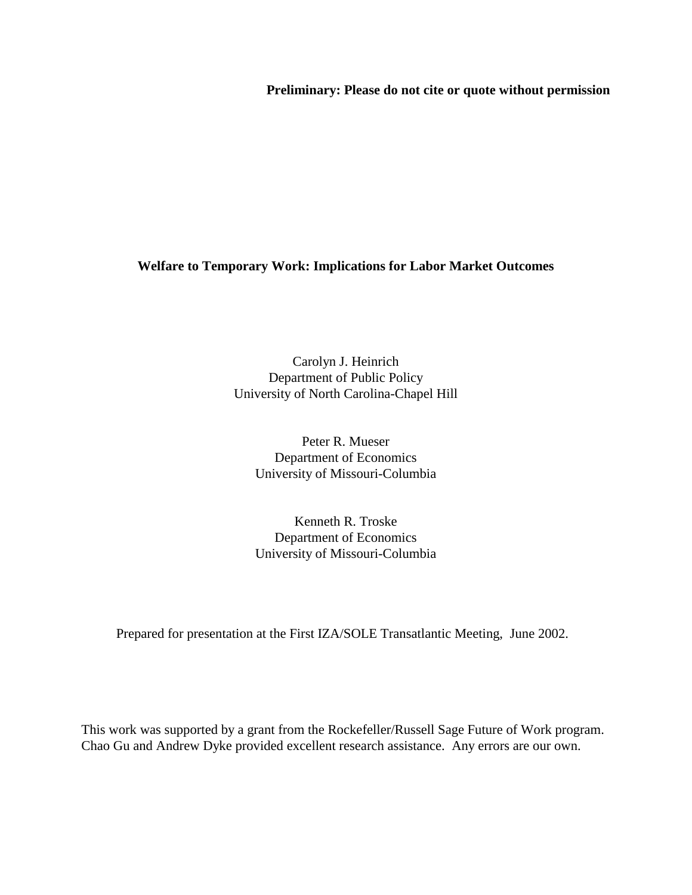**Preliminary: Please do not cite or quote without permission**

# **Welfare to Temporary Work: Implications for Labor Market Outcomes**

Carolyn J. Heinrich Department of Public Policy University of North Carolina-Chapel Hill

Peter R. Mueser Department of Economics University of Missouri-Columbia

Kenneth R. Troske Department of Economics University of Missouri-Columbia

Prepared for presentation at the First IZA/SOLE Transatlantic Meeting, June 2002.

This work was supported by a grant from the Rockefeller/Russell Sage Future of Work program. Chao Gu and Andrew Dyke provided excellent research assistance. Any errors are our own.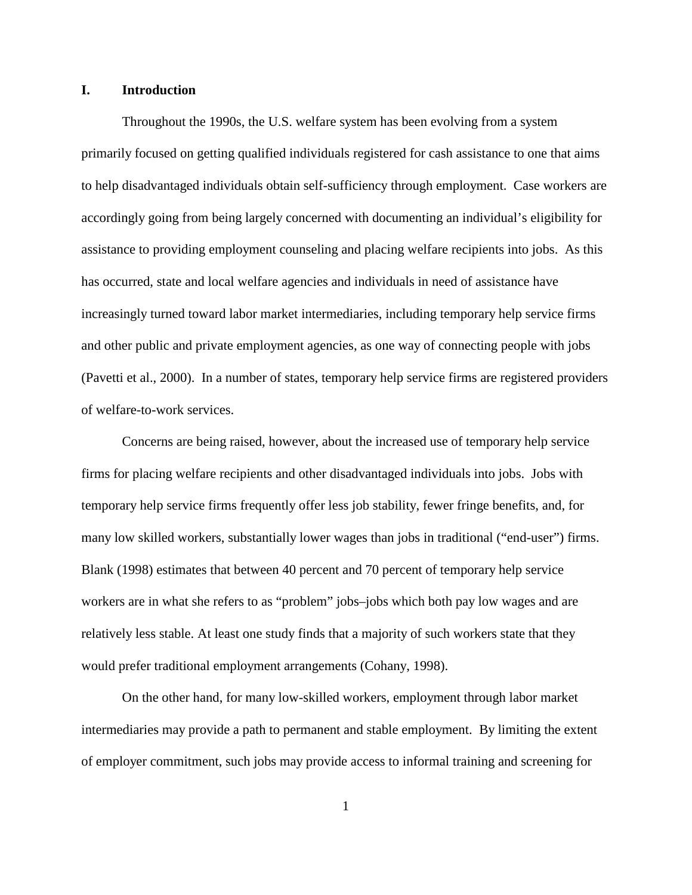### **I. Introduction**

Throughout the 1990s, the U.S. welfare system has been evolving from a system primarily focused on getting qualified individuals registered for cash assistance to one that aims to help disadvantaged individuals obtain self-sufficiency through employment. Case workers are accordingly going from being largely concerned with documenting an individual's eligibility for assistance to providing employment counseling and placing welfare recipients into jobs. As this has occurred, state and local welfare agencies and individuals in need of assistance have increasingly turned toward labor market intermediaries, including temporary help service firms and other public and private employment agencies, as one way of connecting people with jobs (Pavetti et al., 2000). In a number of states, temporary help service firms are registered providers of welfare-to-work services.

Concerns are being raised, however, about the increased use of temporary help service firms for placing welfare recipients and other disadvantaged individuals into jobs. Jobs with temporary help service firms frequently offer less job stability, fewer fringe benefits, and, for many low skilled workers, substantially lower wages than jobs in traditional ("end-user") firms. Blank (1998) estimates that between 40 percent and 70 percent of temporary help service workers are in what she refers to as "problem" jobs–jobs which both pay low wages and are relatively less stable. At least one study finds that a majority of such workers state that they would prefer traditional employment arrangements (Cohany, 1998).

On the other hand, for many low-skilled workers, employment through labor market intermediaries may provide a path to permanent and stable employment. By limiting the extent of employer commitment, such jobs may provide access to informal training and screening for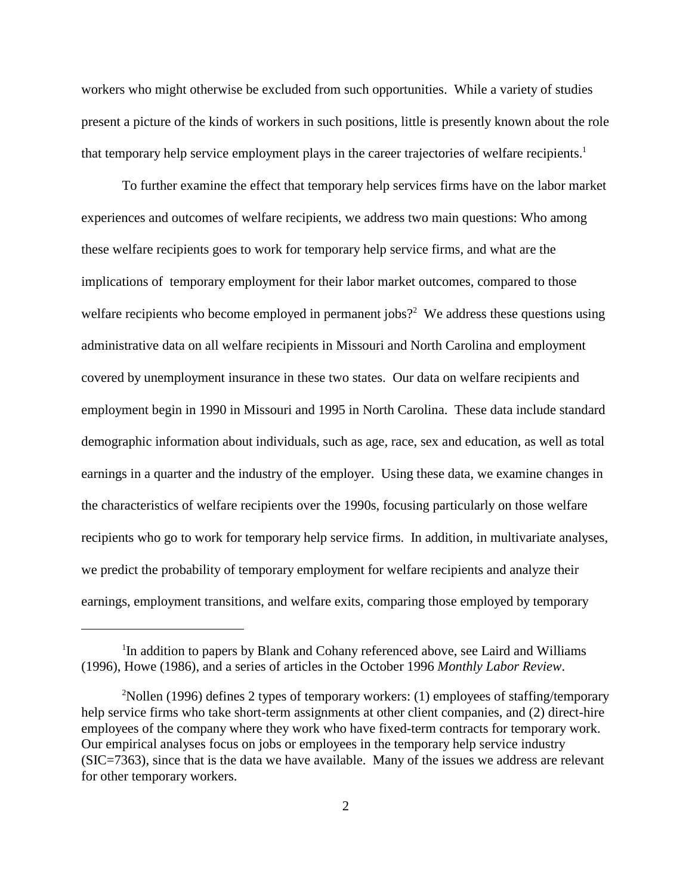workers who might otherwise be excluded from such opportunities. While a variety of studies present a picture of the kinds of workers in such positions, little is presently known about the role that temporary help service employment plays in the career trajectories of welfare recipients.<sup>1</sup>

To further examine the effect that temporary help services firms have on the labor market experiences and outcomes of welfare recipients, we address two main questions: Who among these welfare recipients goes to work for temporary help service firms, and what are the implications of temporary employment for their labor market outcomes, compared to those welfare recipients who become employed in permanent jobs?<sup>2</sup> We address these questions using administrative data on all welfare recipients in Missouri and North Carolina and employment covered by unemployment insurance in these two states. Our data on welfare recipients and employment begin in 1990 in Missouri and 1995 in North Carolina. These data include standard demographic information about individuals, such as age, race, sex and education, as well as total earnings in a quarter and the industry of the employer. Using these data, we examine changes in the characteristics of welfare recipients over the 1990s, focusing particularly on those welfare recipients who go to work for temporary help service firms. In addition, in multivariate analyses, we predict the probability of temporary employment for welfare recipients and analyze their earnings, employment transitions, and welfare exits, comparing those employed by temporary

<sup>&</sup>lt;sup>1</sup>In addition to papers by Blank and Cohany referenced above, see Laird and Williams (1996), Howe (1986), and a series of articles in the October 1996 *Monthly Labor Review*.

 $2^2$ Nollen (1996) defines 2 types of temporary workers: (1) employees of staffing/temporary help service firms who take short-term assignments at other client companies, and (2) direct-hire employees of the company where they work who have fixed-term contracts for temporary work. Our empirical analyses focus on jobs or employees in the temporary help service industry (SIC=7363), since that is the data we have available. Many of the issues we address are relevant for other temporary workers.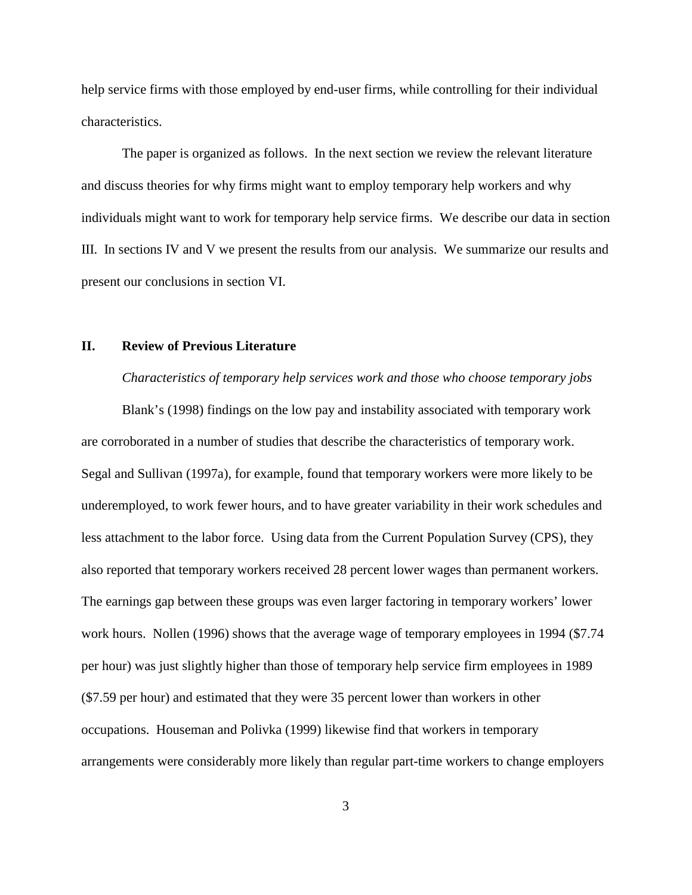help service firms with those employed by end-user firms, while controlling for their individual characteristics.

The paper is organized as follows. In the next section we review the relevant literature and discuss theories for why firms might want to employ temporary help workers and why individuals might want to work for temporary help service firms. We describe our data in section III. In sections IV and V we present the results from our analysis. We summarize our results and present our conclusions in section VI.

### **II. Review of Previous Literature**

*Characteristics of temporary help services work and those who choose temporary jobs*

Blank's (1998) findings on the low pay and instability associated with temporary work are corroborated in a number of studies that describe the characteristics of temporary work. Segal and Sullivan (1997a), for example, found that temporary workers were more likely to be underemployed, to work fewer hours, and to have greater variability in their work schedules and less attachment to the labor force. Using data from the Current Population Survey (CPS), they also reported that temporary workers received 28 percent lower wages than permanent workers. The earnings gap between these groups was even larger factoring in temporary workers' lower work hours. Nollen (1996) shows that the average wage of temporary employees in 1994 (\$7.74 per hour) was just slightly higher than those of temporary help service firm employees in 1989 (\$7.59 per hour) and estimated that they were 35 percent lower than workers in other occupations. Houseman and Polivka (1999) likewise find that workers in temporary arrangements were considerably more likely than regular part-time workers to change employers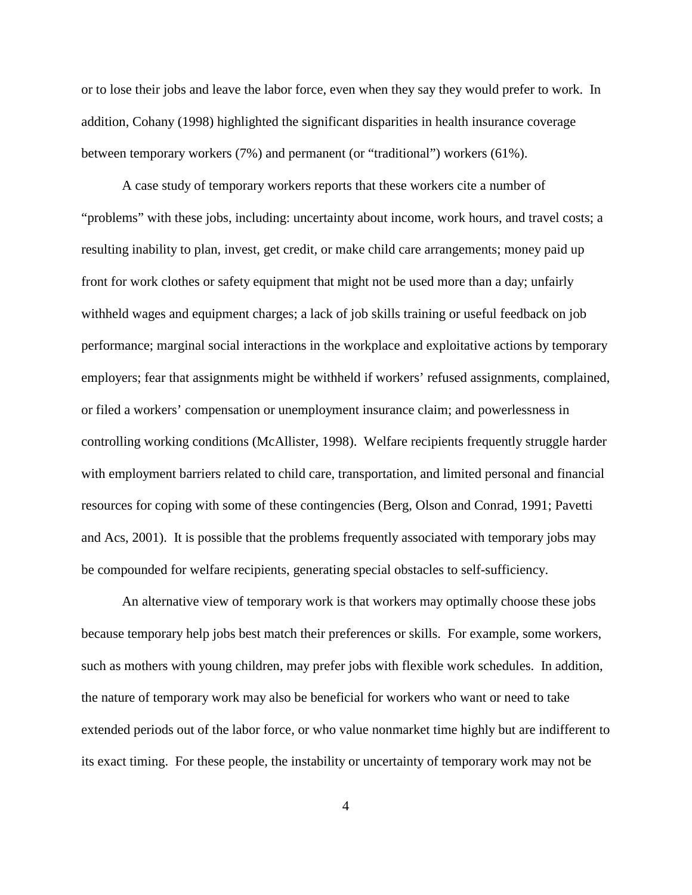or to lose their jobs and leave the labor force, even when they say they would prefer to work. In addition, Cohany (1998) highlighted the significant disparities in health insurance coverage between temporary workers (7%) and permanent (or "traditional") workers (61%).

A case study of temporary workers reports that these workers cite a number of "problems" with these jobs, including: uncertainty about income, work hours, and travel costs; a resulting inability to plan, invest, get credit, or make child care arrangements; money paid up front for work clothes or safety equipment that might not be used more than a day; unfairly withheld wages and equipment charges; a lack of job skills training or useful feedback on job performance; marginal social interactions in the workplace and exploitative actions by temporary employers; fear that assignments might be withheld if workers' refused assignments, complained, or filed a workers' compensation or unemployment insurance claim; and powerlessness in controlling working conditions (McAllister, 1998). Welfare recipients frequently struggle harder with employment barriers related to child care, transportation, and limited personal and financial resources for coping with some of these contingencies (Berg, Olson and Conrad, 1991; Pavetti and Acs, 2001). It is possible that the problems frequently associated with temporary jobs may be compounded for welfare recipients, generating special obstacles to self-sufficiency.

An alternative view of temporary work is that workers may optimally choose these jobs because temporary help jobs best match their preferences or skills. For example, some workers, such as mothers with young children, may prefer jobs with flexible work schedules. In addition, the nature of temporary work may also be beneficial for workers who want or need to take extended periods out of the labor force, or who value nonmarket time highly but are indifferent to its exact timing. For these people, the instability or uncertainty of temporary work may not be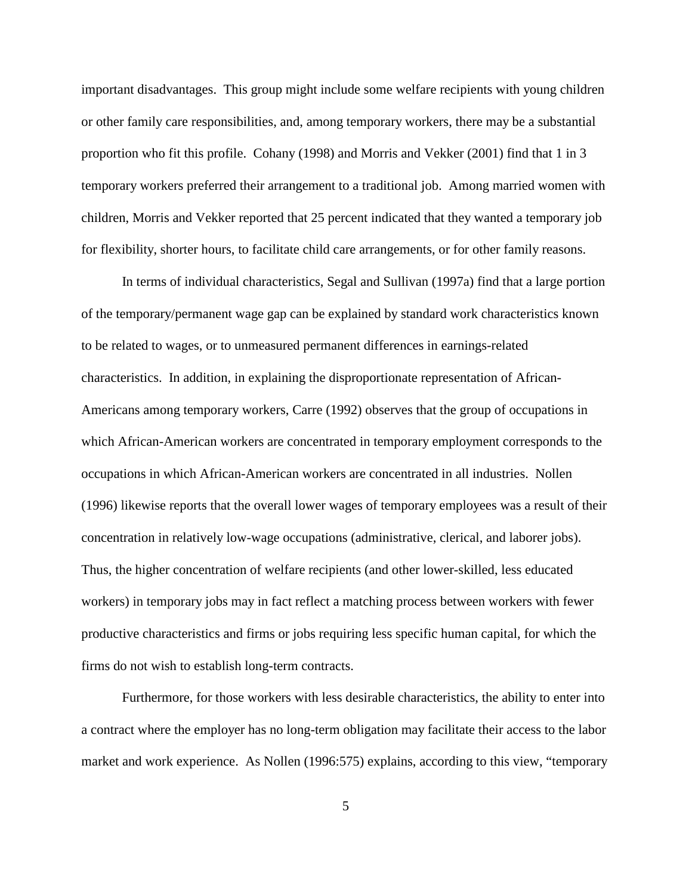important disadvantages. This group might include some welfare recipients with young children or other family care responsibilities, and, among temporary workers, there may be a substantial proportion who fit this profile. Cohany (1998) and Morris and Vekker (2001) find that 1 in 3 temporary workers preferred their arrangement to a traditional job. Among married women with children, Morris and Vekker reported that 25 percent indicated that they wanted a temporary job for flexibility, shorter hours, to facilitate child care arrangements, or for other family reasons.

In terms of individual characteristics, Segal and Sullivan (1997a) find that a large portion of the temporary/permanent wage gap can be explained by standard work characteristics known to be related to wages, or to unmeasured permanent differences in earnings-related characteristics. In addition, in explaining the disproportionate representation of African-Americans among temporary workers, Carre (1992) observes that the group of occupations in which African-American workers are concentrated in temporary employment corresponds to the occupations in which African-American workers are concentrated in all industries. Nollen (1996) likewise reports that the overall lower wages of temporary employees was a result of their concentration in relatively low-wage occupations (administrative, clerical, and laborer jobs). Thus, the higher concentration of welfare recipients (and other lower-skilled, less educated workers) in temporary jobs may in fact reflect a matching process between workers with fewer productive characteristics and firms or jobs requiring less specific human capital, for which the firms do not wish to establish long-term contracts.

Furthermore, for those workers with less desirable characteristics, the ability to enter into a contract where the employer has no long-term obligation may facilitate their access to the labor market and work experience. As Nollen (1996:575) explains, according to this view, "temporary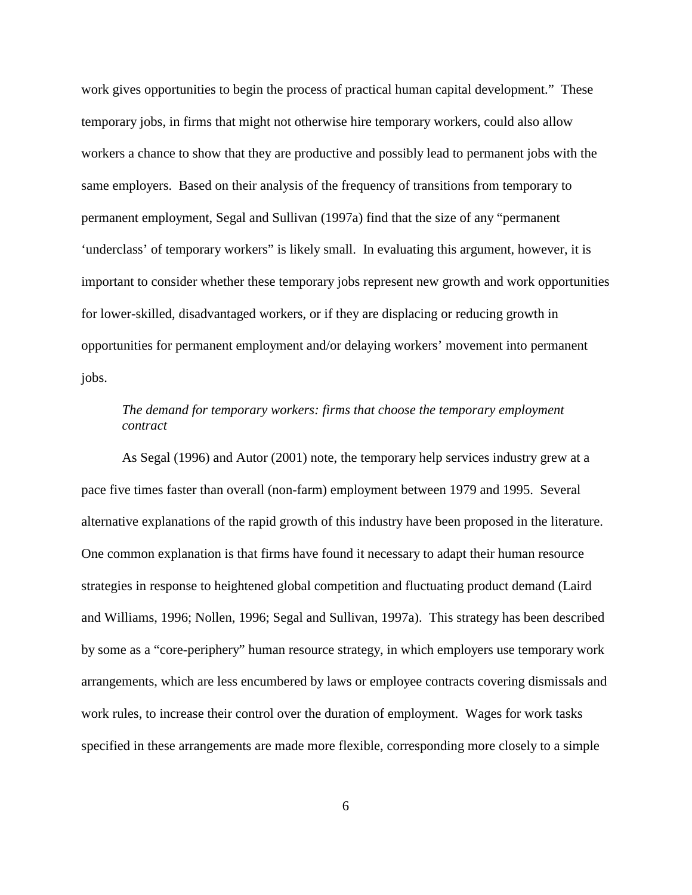work gives opportunities to begin the process of practical human capital development." These temporary jobs, in firms that might not otherwise hire temporary workers, could also allow workers a chance to show that they are productive and possibly lead to permanent jobs with the same employers. Based on their analysis of the frequency of transitions from temporary to permanent employment, Segal and Sullivan (1997a) find that the size of any "permanent 'underclass' of temporary workers" is likely small. In evaluating this argument, however, it is important to consider whether these temporary jobs represent new growth and work opportunities for lower-skilled, disadvantaged workers, or if they are displacing or reducing growth in opportunities for permanent employment and/or delaying workers' movement into permanent jobs.

# *The demand for temporary workers: firms that choose the temporary employment contract*

As Segal (1996) and Autor (2001) note, the temporary help services industry grew at a pace five times faster than overall (non-farm) employment between 1979 and 1995. Several alternative explanations of the rapid growth of this industry have been proposed in the literature. One common explanation is that firms have found it necessary to adapt their human resource strategies in response to heightened global competition and fluctuating product demand (Laird and Williams, 1996; Nollen, 1996; Segal and Sullivan, 1997a). This strategy has been described by some as a "core-periphery" human resource strategy, in which employers use temporary work arrangements, which are less encumbered by laws or employee contracts covering dismissals and work rules, to increase their control over the duration of employment. Wages for work tasks specified in these arrangements are made more flexible, corresponding more closely to a simple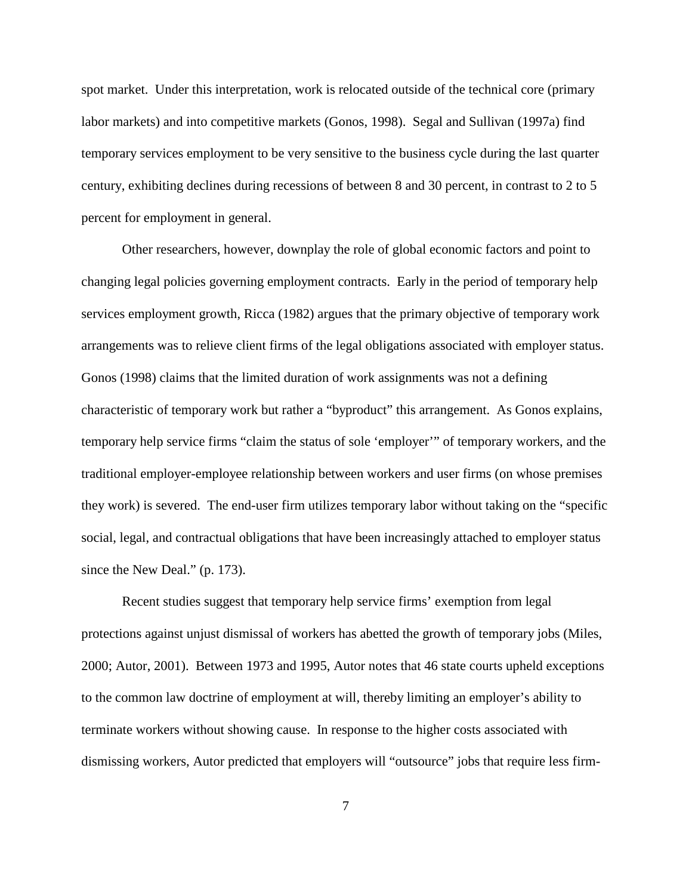spot market. Under this interpretation, work is relocated outside of the technical core (primary labor markets) and into competitive markets (Gonos, 1998). Segal and Sullivan (1997a) find temporary services employment to be very sensitive to the business cycle during the last quarter century, exhibiting declines during recessions of between 8 and 30 percent, in contrast to 2 to 5 percent for employment in general.

Other researchers, however, downplay the role of global economic factors and point to changing legal policies governing employment contracts. Early in the period of temporary help services employment growth, Ricca (1982) argues that the primary objective of temporary work arrangements was to relieve client firms of the legal obligations associated with employer status. Gonos (1998) claims that the limited duration of work assignments was not a defining characteristic of temporary work but rather a "byproduct" this arrangement. As Gonos explains, temporary help service firms "claim the status of sole 'employer'" of temporary workers, and the traditional employer-employee relationship between workers and user firms (on whose premises they work) is severed. The end-user firm utilizes temporary labor without taking on the "specific social, legal, and contractual obligations that have been increasingly attached to employer status since the New Deal." (p. 173).

Recent studies suggest that temporary help service firms' exemption from legal protections against unjust dismissal of workers has abetted the growth of temporary jobs (Miles, 2000; Autor, 2001). Between 1973 and 1995, Autor notes that 46 state courts upheld exceptions to the common law doctrine of employment at will, thereby limiting an employer's ability to terminate workers without showing cause. In response to the higher costs associated with dismissing workers, Autor predicted that employers will "outsource" jobs that require less firm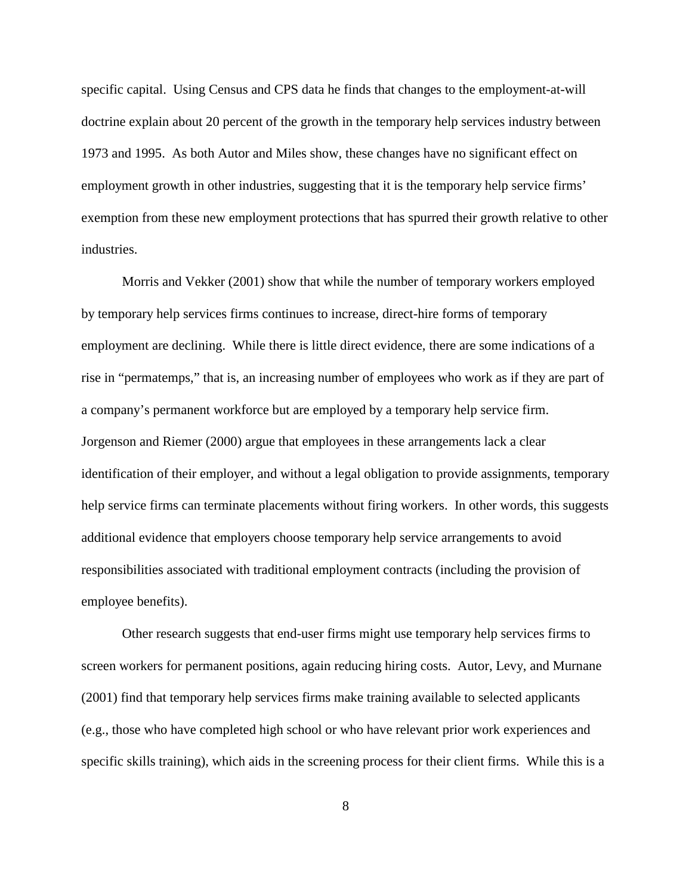specific capital. Using Census and CPS data he finds that changes to the employment-at-will doctrine explain about 20 percent of the growth in the temporary help services industry between 1973 and 1995. As both Autor and Miles show, these changes have no significant effect on employment growth in other industries, suggesting that it is the temporary help service firms' exemption from these new employment protections that has spurred their growth relative to other industries.

Morris and Vekker (2001) show that while the number of temporary workers employed by temporary help services firms continues to increase, direct-hire forms of temporary employment are declining. While there is little direct evidence, there are some indications of a rise in "permatemps," that is, an increasing number of employees who work as if they are part of a company's permanent workforce but are employed by a temporary help service firm. Jorgenson and Riemer (2000) argue that employees in these arrangements lack a clear identification of their employer, and without a legal obligation to provide assignments, temporary help service firms can terminate placements without firing workers. In other words, this suggests additional evidence that employers choose temporary help service arrangements to avoid responsibilities associated with traditional employment contracts (including the provision of employee benefits).

Other research suggests that end-user firms might use temporary help services firms to screen workers for permanent positions, again reducing hiring costs. Autor, Levy, and Murnane (2001) find that temporary help services firms make training available to selected applicants (e.g., those who have completed high school or who have relevant prior work experiences and specific skills training), which aids in the screening process for their client firms. While this is a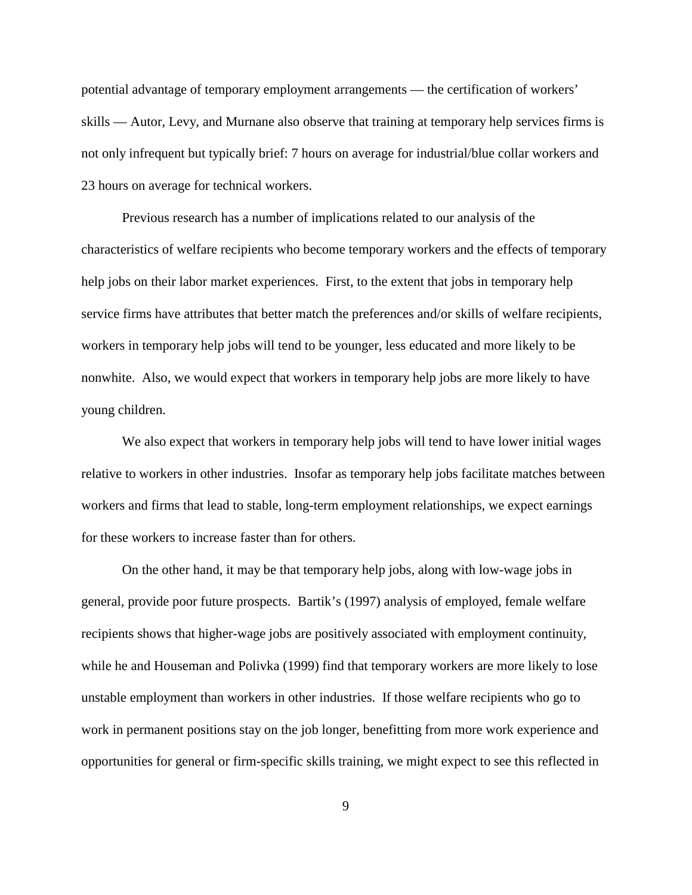potential advantage of temporary employment arrangements — the certification of workers' skills — Autor, Levy, and Murnane also observe that training at temporary help services firms is not only infrequent but typically brief: 7 hours on average for industrial/blue collar workers and 23 hours on average for technical workers.

Previous research has a number of implications related to our analysis of the characteristics of welfare recipients who become temporary workers and the effects of temporary help jobs on their labor market experiences. First, to the extent that jobs in temporary help service firms have attributes that better match the preferences and/or skills of welfare recipients, workers in temporary help jobs will tend to be younger, less educated and more likely to be nonwhite. Also, we would expect that workers in temporary help jobs are more likely to have young children.

We also expect that workers in temporary help jobs will tend to have lower initial wages relative to workers in other industries. Insofar as temporary help jobs facilitate matches between workers and firms that lead to stable, long-term employment relationships, we expect earnings for these workers to increase faster than for others.

On the other hand, it may be that temporary help jobs, along with low-wage jobs in general, provide poor future prospects. Bartik's (1997) analysis of employed, female welfare recipients shows that higher-wage jobs are positively associated with employment continuity, while he and Houseman and Polivka (1999) find that temporary workers are more likely to lose unstable employment than workers in other industries. If those welfare recipients who go to work in permanent positions stay on the job longer, benefitting from more work experience and opportunities for general or firm-specific skills training, we might expect to see this reflected in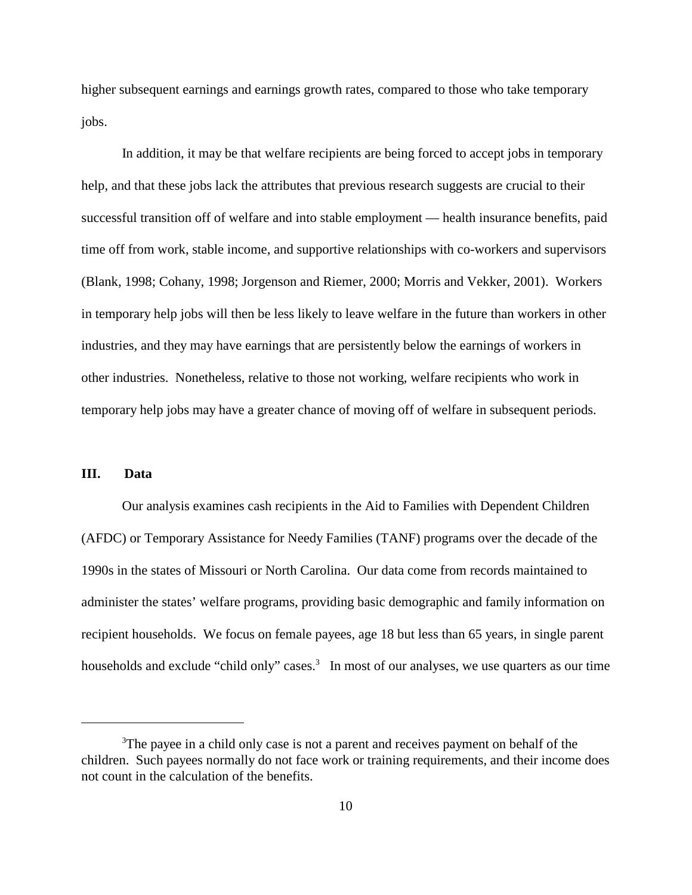higher subsequent earnings and earnings growth rates, compared to those who take temporary jobs.

In addition, it may be that welfare recipients are being forced to accept jobs in temporary help, and that these jobs lack the attributes that previous research suggests are crucial to their successful transition off of welfare and into stable employment — health insurance benefits, paid time off from work, stable income, and supportive relationships with co-workers and supervisors (Blank, 1998; Cohany, 1998; Jorgenson and Riemer, 2000; Morris and Vekker, 2001). Workers in temporary help jobs will then be less likely to leave welfare in the future than workers in other industries, and they may have earnings that are persistently below the earnings of workers in other industries. Nonetheless, relative to those not working, welfare recipients who work in temporary help jobs may have a greater chance of moving off of welfare in subsequent periods.

## **III. Data**

Our analysis examines cash recipients in the Aid to Families with Dependent Children (AFDC) or Temporary Assistance for Needy Families (TANF) programs over the decade of the 1990s in the states of Missouri or North Carolina. Our data come from records maintained to administer the states' welfare programs, providing basic demographic and family information on recipient households. We focus on female payees, age 18 but less than 65 years, in single parent households and exclude "child only" cases.<sup>3</sup> In most of our analyses, we use quarters as our time

<sup>&</sup>lt;sup>3</sup>The payee in a child only case is not a parent and receives payment on behalf of the children. Such payees normally do not face work or training requirements, and their income does not count in the calculation of the benefits.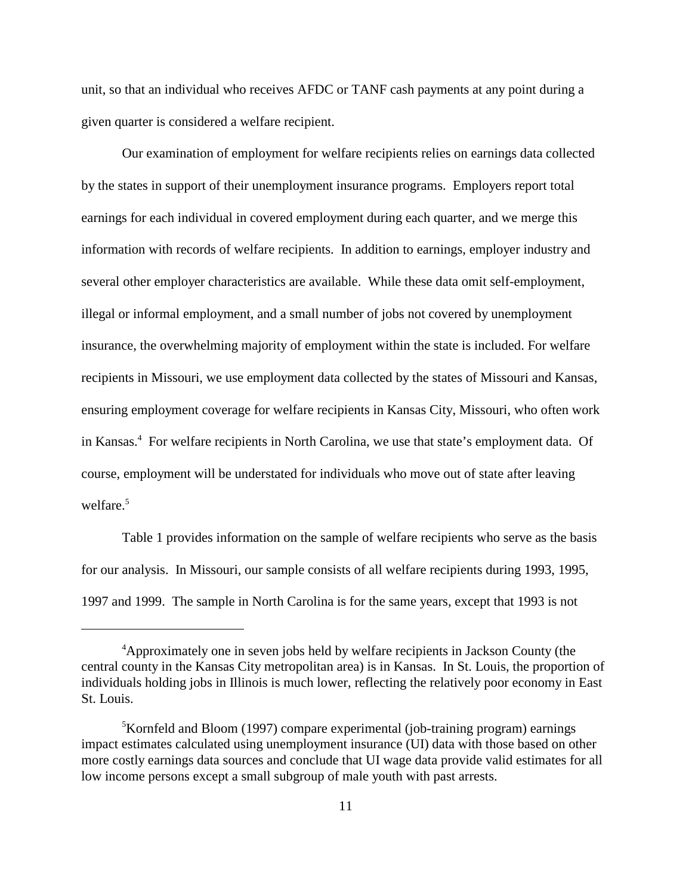unit, so that an individual who receives AFDC or TANF cash payments at any point during a given quarter is considered a welfare recipient.

Our examination of employment for welfare recipients relies on earnings data collected by the states in support of their unemployment insurance programs. Employers report total earnings for each individual in covered employment during each quarter, and we merge this information with records of welfare recipients. In addition to earnings, employer industry and several other employer characteristics are available. While these data omit self-employment, illegal or informal employment, and a small number of jobs not covered by unemployment insurance, the overwhelming majority of employment within the state is included. For welfare recipients in Missouri, we use employment data collected by the states of Missouri and Kansas, ensuring employment coverage for welfare recipients in Kansas City, Missouri, who often work in Kansas.<sup>4</sup> For welfare recipients in North Carolina, we use that state's employment data. Of course, employment will be understated for individuals who move out of state after leaving welfare.<sup>5</sup>

Table 1 provides information on the sample of welfare recipients who serve as the basis for our analysis. In Missouri, our sample consists of all welfare recipients during 1993, 1995, 1997 and 1999. The sample in North Carolina is for the same years, except that 1993 is not

<sup>4</sup> Approximately one in seven jobs held by welfare recipients in Jackson County (the central county in the Kansas City metropolitan area) is in Kansas. In St. Louis, the proportion of individuals holding jobs in Illinois is much lower, reflecting the relatively poor economy in East St. Louis.

<sup>&</sup>lt;sup>5</sup>Kornfeld and Bloom (1997) compare experimental (job-training program) earnings impact estimates calculated using unemployment insurance (UI) data with those based on other more costly earnings data sources and conclude that UI wage data provide valid estimates for all low income persons except a small subgroup of male youth with past arrests.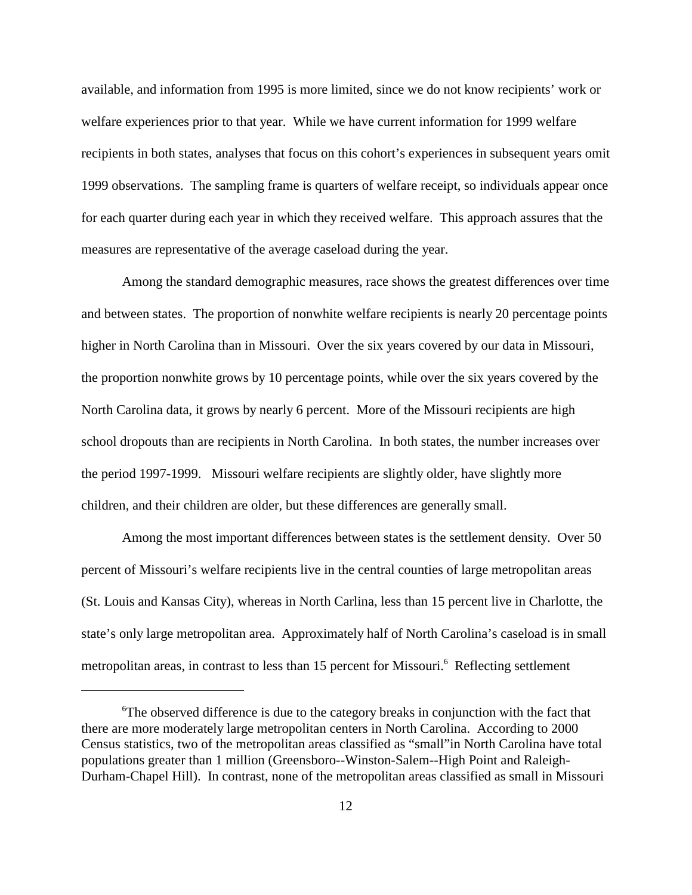available, and information from 1995 is more limited, since we do not know recipients' work or welfare experiences prior to that year. While we have current information for 1999 welfare recipients in both states, analyses that focus on this cohort's experiences in subsequent years omit 1999 observations. The sampling frame is quarters of welfare receipt, so individuals appear once for each quarter during each year in which they received welfare. This approach assures that the measures are representative of the average caseload during the year.

Among the standard demographic measures, race shows the greatest differences over time and between states. The proportion of nonwhite welfare recipients is nearly 20 percentage points higher in North Carolina than in Missouri. Over the six years covered by our data in Missouri, the proportion nonwhite grows by 10 percentage points, while over the six years covered by the North Carolina data, it grows by nearly 6 percent. More of the Missouri recipients are high school dropouts than are recipients in North Carolina. In both states, the number increases over the period 1997-1999. Missouri welfare recipients are slightly older, have slightly more children, and their children are older, but these differences are generally small.

Among the most important differences between states is the settlement density. Over 50 percent of Missouri's welfare recipients live in the central counties of large metropolitan areas (St. Louis and Kansas City), whereas in North Carlina, less than 15 percent live in Charlotte, the state's only large metropolitan area. Approximately half of North Carolina's caseload is in small metropolitan areas, in contrast to less than 15 percent for Missouri.<sup>6</sup> Reflecting settlement

<sup>&</sup>lt;sup>6</sup>The observed difference is due to the category breaks in conjunction with the fact that there are more moderately large metropolitan centers in North Carolina. According to 2000 Census statistics, two of the metropolitan areas classified as "small"in North Carolina have total populations greater than 1 million (Greensboro--Winston-Salem--High Point and Raleigh-Durham-Chapel Hill). In contrast, none of the metropolitan areas classified as small in Missouri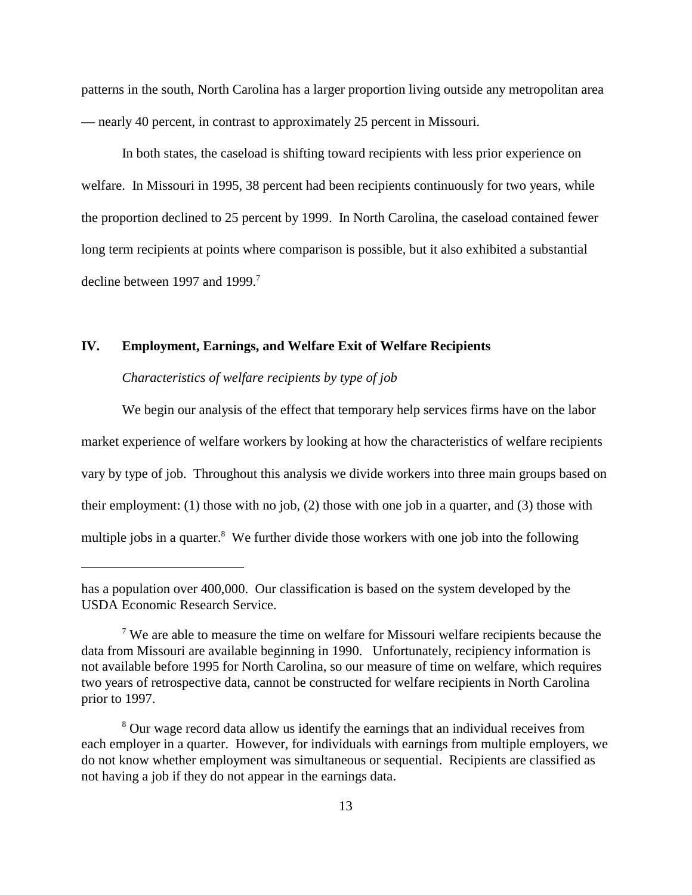patterns in the south, North Carolina has a larger proportion living outside any metropolitan area — nearly 40 percent, in contrast to approximately 25 percent in Missouri.

In both states, the caseload is shifting toward recipients with less prior experience on welfare. In Missouri in 1995, 38 percent had been recipients continuously for two years, while the proportion declined to 25 percent by 1999. In North Carolina, the caseload contained fewer long term recipients at points where comparison is possible, but it also exhibited a substantial decline between 1997 and 1999.<sup>7</sup>

## **IV. Employment, Earnings, and Welfare Exit of Welfare Recipients**

### *Characteristics of welfare recipients by type of job*

We begin our analysis of the effect that temporary help services firms have on the labor market experience of welfare workers by looking at how the characteristics of welfare recipients vary by type of job. Throughout this analysis we divide workers into three main groups based on their employment: (1) those with no job, (2) those with one job in a quarter, and (3) those with multiple jobs in a quarter.<sup>8</sup> We further divide those workers with one job into the following

has a population over 400,000. Our classification is based on the system developed by the USDA Economic Research Service.

<sup>&</sup>lt;sup>7</sup> We are able to measure the time on welfare for Missouri welfare recipients because the data from Missouri are available beginning in 1990. Unfortunately, recipiency information is not available before 1995 for North Carolina, so our measure of time on welfare, which requires two years of retrospective data, cannot be constructed for welfare recipients in North Carolina prior to 1997.

<sup>&</sup>lt;sup>8</sup> Our wage record data allow us identify the earnings that an individual receives from each employer in a quarter. However, for individuals with earnings from multiple employers, we do not know whether employment was simultaneous or sequential. Recipients are classified as not having a job if they do not appear in the earnings data.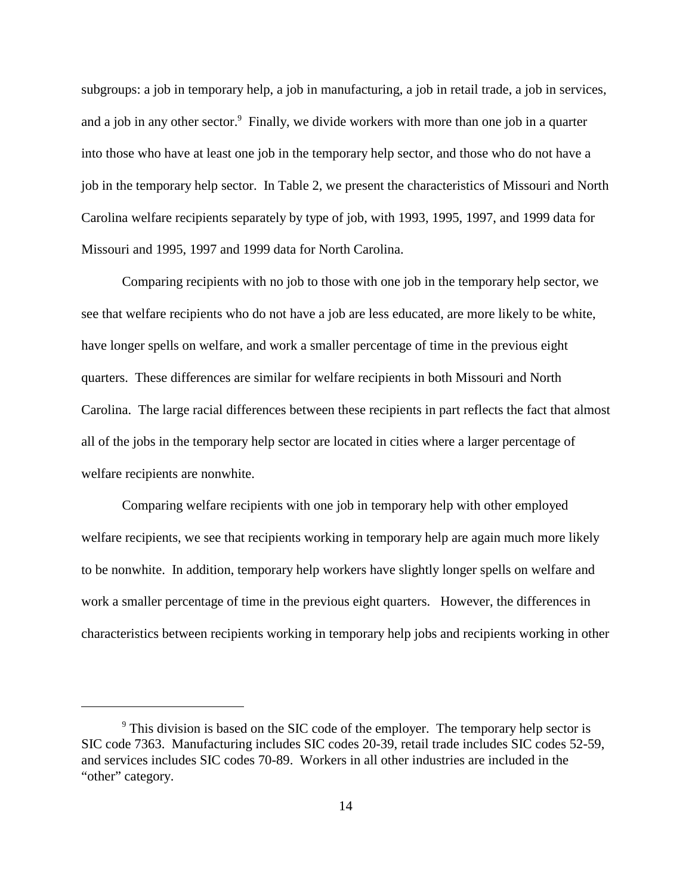subgroups: a job in temporary help, a job in manufacturing, a job in retail trade, a job in services, and a job in any other sector.<sup>9</sup> Finally, we divide workers with more than one job in a quarter into those who have at least one job in the temporary help sector, and those who do not have a job in the temporary help sector. In Table 2, we present the characteristics of Missouri and North Carolina welfare recipients separately by type of job, with 1993, 1995, 1997, and 1999 data for Missouri and 1995, 1997 and 1999 data for North Carolina.

Comparing recipients with no job to those with one job in the temporary help sector, we see that welfare recipients who do not have a job are less educated, are more likely to be white, have longer spells on welfare, and work a smaller percentage of time in the previous eight quarters. These differences are similar for welfare recipients in both Missouri and North Carolina. The large racial differences between these recipients in part reflects the fact that almost all of the jobs in the temporary help sector are located in cities where a larger percentage of welfare recipients are nonwhite.

Comparing welfare recipients with one job in temporary help with other employed welfare recipients, we see that recipients working in temporary help are again much more likely to be nonwhite. In addition, temporary help workers have slightly longer spells on welfare and work a smaller percentage of time in the previous eight quarters. However, the differences in characteristics between recipients working in temporary help jobs and recipients working in other

<sup>&</sup>lt;sup>9</sup> This division is based on the SIC code of the employer. The temporary help sector is SIC code 7363. Manufacturing includes SIC codes 20-39, retail trade includes SIC codes 52-59, and services includes SIC codes 70-89. Workers in all other industries are included in the "other" category.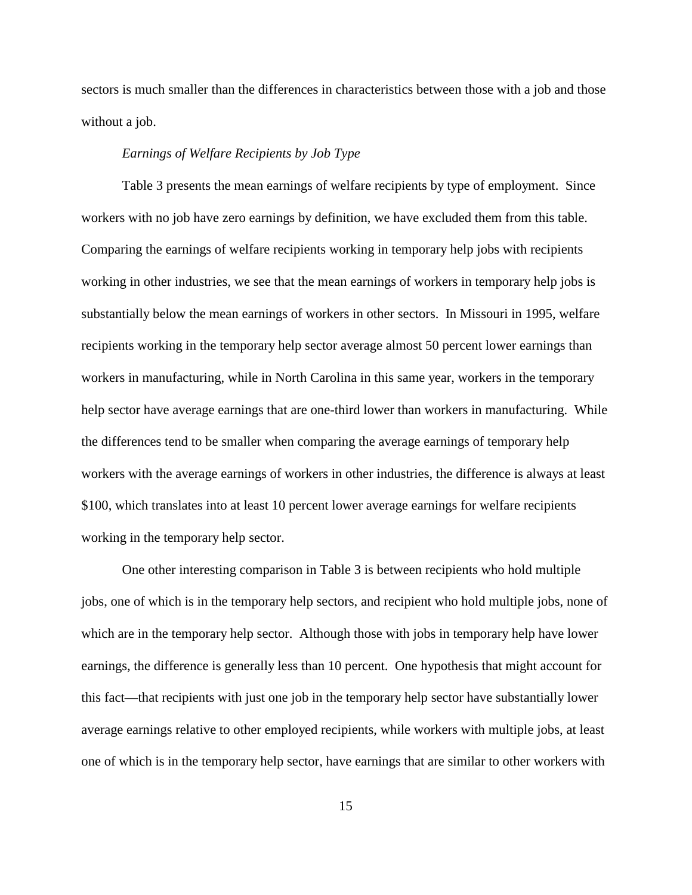sectors is much smaller than the differences in characteristics between those with a job and those without a job.

### *Earnings of Welfare Recipients by Job Type*

Table 3 presents the mean earnings of welfare recipients by type of employment. Since workers with no job have zero earnings by definition, we have excluded them from this table. Comparing the earnings of welfare recipients working in temporary help jobs with recipients working in other industries, we see that the mean earnings of workers in temporary help jobs is substantially below the mean earnings of workers in other sectors. In Missouri in 1995, welfare recipients working in the temporary help sector average almost 50 percent lower earnings than workers in manufacturing, while in North Carolina in this same year, workers in the temporary help sector have average earnings that are one-third lower than workers in manufacturing. While the differences tend to be smaller when comparing the average earnings of temporary help workers with the average earnings of workers in other industries, the difference is always at least \$100, which translates into at least 10 percent lower average earnings for welfare recipients working in the temporary help sector.

One other interesting comparison in Table 3 is between recipients who hold multiple jobs, one of which is in the temporary help sectors, and recipient who hold multiple jobs, none of which are in the temporary help sector. Although those with jobs in temporary help have lower earnings, the difference is generally less than 10 percent. One hypothesis that might account for this fact—that recipients with just one job in the temporary help sector have substantially lower average earnings relative to other employed recipients, while workers with multiple jobs, at least one of which is in the temporary help sector, have earnings that are similar to other workers with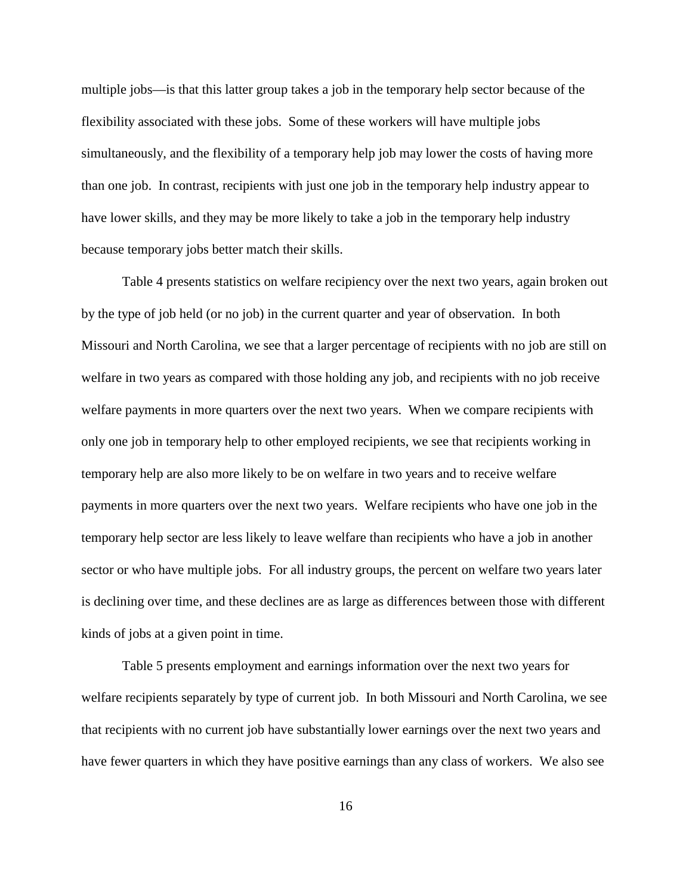multiple jobs—is that this latter group takes a job in the temporary help sector because of the flexibility associated with these jobs. Some of these workers will have multiple jobs simultaneously, and the flexibility of a temporary help job may lower the costs of having more than one job. In contrast, recipients with just one job in the temporary help industry appear to have lower skills, and they may be more likely to take a job in the temporary help industry because temporary jobs better match their skills.

Table 4 presents statistics on welfare recipiency over the next two years, again broken out by the type of job held (or no job) in the current quarter and year of observation. In both Missouri and North Carolina, we see that a larger percentage of recipients with no job are still on welfare in two years as compared with those holding any job, and recipients with no job receive welfare payments in more quarters over the next two years. When we compare recipients with only one job in temporary help to other employed recipients, we see that recipients working in temporary help are also more likely to be on welfare in two years and to receive welfare payments in more quarters over the next two years. Welfare recipients who have one job in the temporary help sector are less likely to leave welfare than recipients who have a job in another sector or who have multiple jobs. For all industry groups, the percent on welfare two years later is declining over time, and these declines are as large as differences between those with different kinds of jobs at a given point in time.

Table 5 presents employment and earnings information over the next two years for welfare recipients separately by type of current job. In both Missouri and North Carolina, we see that recipients with no current job have substantially lower earnings over the next two years and have fewer quarters in which they have positive earnings than any class of workers. We also see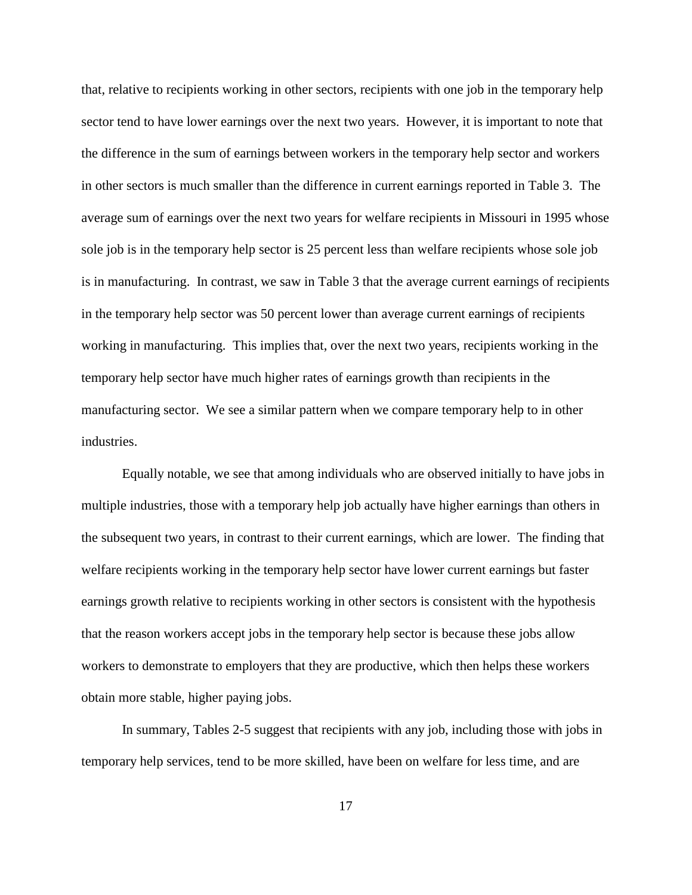that, relative to recipients working in other sectors, recipients with one job in the temporary help sector tend to have lower earnings over the next two years. However, it is important to note that the difference in the sum of earnings between workers in the temporary help sector and workers in other sectors is much smaller than the difference in current earnings reported in Table 3. The average sum of earnings over the next two years for welfare recipients in Missouri in 1995 whose sole job is in the temporary help sector is 25 percent less than welfare recipients whose sole job is in manufacturing. In contrast, we saw in Table 3 that the average current earnings of recipients in the temporary help sector was 50 percent lower than average current earnings of recipients working in manufacturing. This implies that, over the next two years, recipients working in the temporary help sector have much higher rates of earnings growth than recipients in the manufacturing sector. We see a similar pattern when we compare temporary help to in other industries.

Equally notable, we see that among individuals who are observed initially to have jobs in multiple industries, those with a temporary help job actually have higher earnings than others in the subsequent two years, in contrast to their current earnings, which are lower. The finding that welfare recipients working in the temporary help sector have lower current earnings but faster earnings growth relative to recipients working in other sectors is consistent with the hypothesis that the reason workers accept jobs in the temporary help sector is because these jobs allow workers to demonstrate to employers that they are productive, which then helps these workers obtain more stable, higher paying jobs.

In summary, Tables 2-5 suggest that recipients with any job, including those with jobs in temporary help services, tend to be more skilled, have been on welfare for less time, and are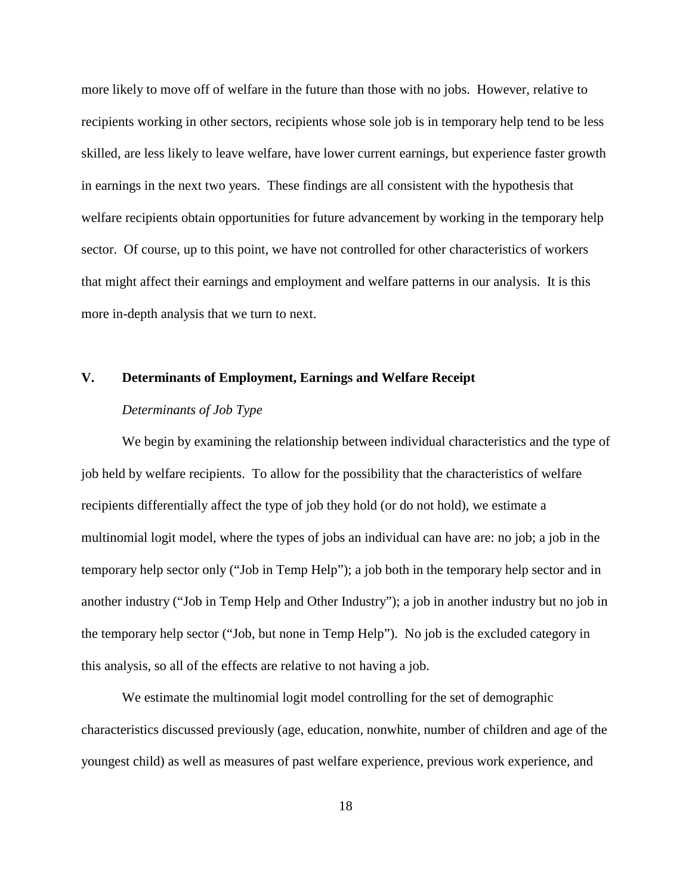more likely to move off of welfare in the future than those with no jobs. However, relative to recipients working in other sectors, recipients whose sole job is in temporary help tend to be less skilled, are less likely to leave welfare, have lower current earnings, but experience faster growth in earnings in the next two years. These findings are all consistent with the hypothesis that welfare recipients obtain opportunities for future advancement by working in the temporary help sector. Of course, up to this point, we have not controlled for other characteristics of workers that might affect their earnings and employment and welfare patterns in our analysis. It is this more in-depth analysis that we turn to next.

#### **V. Determinants of Employment, Earnings and Welfare Receipt**

# *Determinants of Job Type*

We begin by examining the relationship between individual characteristics and the type of job held by welfare recipients. To allow for the possibility that the characteristics of welfare recipients differentially affect the type of job they hold (or do not hold), we estimate a multinomial logit model, where the types of jobs an individual can have are: no job; a job in the temporary help sector only ("Job in Temp Help"); a job both in the temporary help sector and in another industry ("Job in Temp Help and Other Industry"); a job in another industry but no job in the temporary help sector ("Job, but none in Temp Help"). No job is the excluded category in this analysis, so all of the effects are relative to not having a job.

We estimate the multinomial logit model controlling for the set of demographic characteristics discussed previously (age, education, nonwhite, number of children and age of the youngest child) as well as measures of past welfare experience, previous work experience, and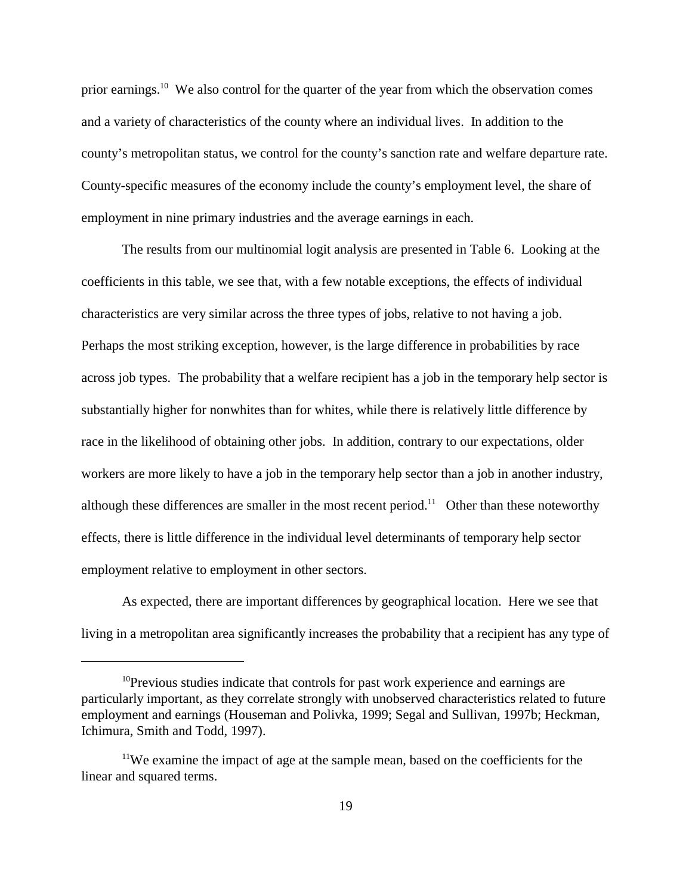prior earnings.<sup>10</sup> We also control for the quarter of the year from which the observation comes and a variety of characteristics of the county where an individual lives. In addition to the county's metropolitan status, we control for the county's sanction rate and welfare departure rate. County-specific measures of the economy include the county's employment level, the share of employment in nine primary industries and the average earnings in each.

The results from our multinomial logit analysis are presented in Table 6. Looking at the coefficients in this table, we see that, with a few notable exceptions, the effects of individual characteristics are very similar across the three types of jobs, relative to not having a job. Perhaps the most striking exception, however, is the large difference in probabilities by race across job types. The probability that a welfare recipient has a job in the temporary help sector is substantially higher for nonwhites than for whites, while there is relatively little difference by race in the likelihood of obtaining other jobs. In addition, contrary to our expectations, older workers are more likely to have a job in the temporary help sector than a job in another industry, although these differences are smaller in the most recent period.<sup>11</sup> Other than these noteworthy effects, there is little difference in the individual level determinants of temporary help sector employment relative to employment in other sectors.

As expected, there are important differences by geographical location. Here we see that living in a metropolitan area significantly increases the probability that a recipient has any type of

<sup>&</sup>lt;sup>10</sup>Previous studies indicate that controls for past work experience and earnings are particularly important, as they correlate strongly with unobserved characteristics related to future employment and earnings (Houseman and Polivka, 1999; Segal and Sullivan, 1997b; Heckman, Ichimura, Smith and Todd, 1997).

<sup>&</sup>lt;sup>11</sup>We examine the impact of age at the sample mean, based on the coefficients for the linear and squared terms.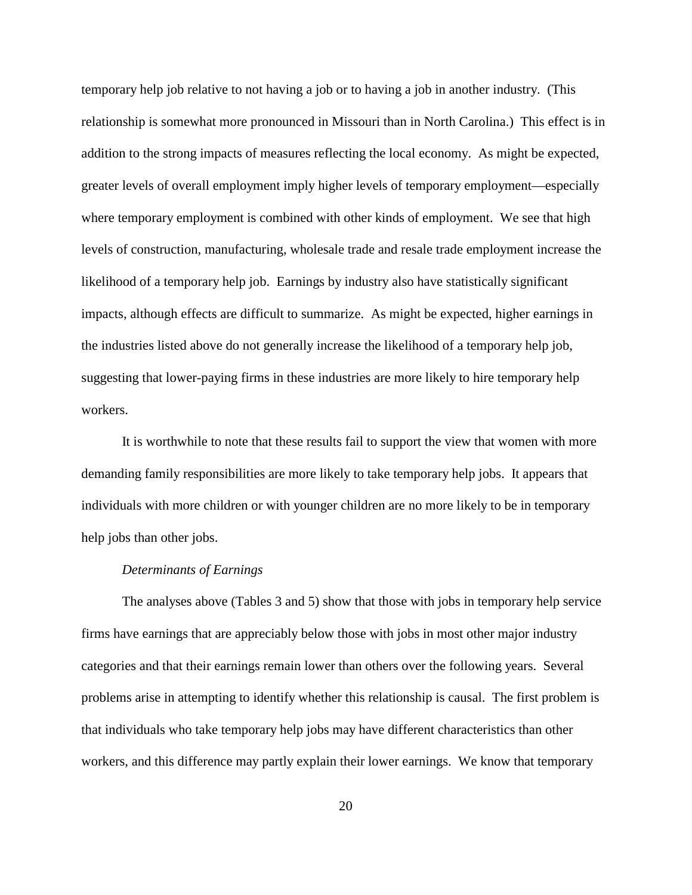temporary help job relative to not having a job or to having a job in another industry. (This relationship is somewhat more pronounced in Missouri than in North Carolina.) This effect is in addition to the strong impacts of measures reflecting the local economy. As might be expected, greater levels of overall employment imply higher levels of temporary employment—especially where temporary employment is combined with other kinds of employment. We see that high levels of construction, manufacturing, wholesale trade and resale trade employment increase the likelihood of a temporary help job. Earnings by industry also have statistically significant impacts, although effects are difficult to summarize. As might be expected, higher earnings in the industries listed above do not generally increase the likelihood of a temporary help job, suggesting that lower-paying firms in these industries are more likely to hire temporary help workers.

It is worthwhile to note that these results fail to support the view that women with more demanding family responsibilities are more likely to take temporary help jobs. It appears that individuals with more children or with younger children are no more likely to be in temporary help jobs than other jobs.

#### *Determinants of Earnings*

The analyses above (Tables 3 and 5) show that those with jobs in temporary help service firms have earnings that are appreciably below those with jobs in most other major industry categories and that their earnings remain lower than others over the following years. Several problems arise in attempting to identify whether this relationship is causal. The first problem is that individuals who take temporary help jobs may have different characteristics than other workers, and this difference may partly explain their lower earnings. We know that temporary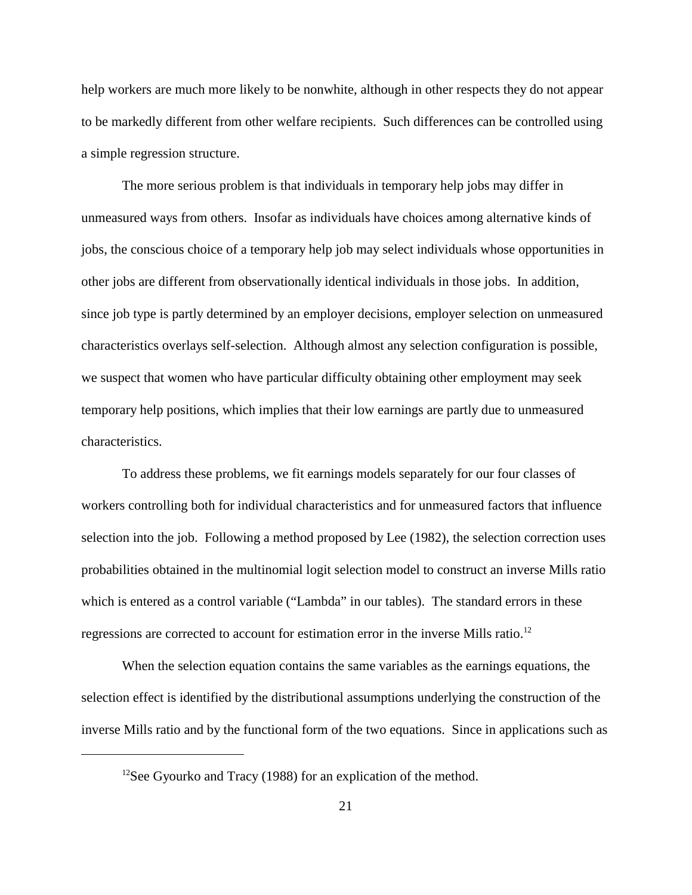help workers are much more likely to be nonwhite, although in other respects they do not appear to be markedly different from other welfare recipients. Such differences can be controlled using a simple regression structure.

The more serious problem is that individuals in temporary help jobs may differ in unmeasured ways from others. Insofar as individuals have choices among alternative kinds of jobs, the conscious choice of a temporary help job may select individuals whose opportunities in other jobs are different from observationally identical individuals in those jobs. In addition, since job type is partly determined by an employer decisions, employer selection on unmeasured characteristics overlays self-selection. Although almost any selection configuration is possible, we suspect that women who have particular difficulty obtaining other employment may seek temporary help positions, which implies that their low earnings are partly due to unmeasured characteristics.

To address these problems, we fit earnings models separately for our four classes of workers controlling both for individual characteristics and for unmeasured factors that influence selection into the job. Following a method proposed by Lee (1982), the selection correction uses probabilities obtained in the multinomial logit selection model to construct an inverse Mills ratio which is entered as a control variable ("Lambda" in our tables). The standard errors in these regressions are corrected to account for estimation error in the inverse Mills ratio.<sup>12</sup>

When the selection equation contains the same variables as the earnings equations, the selection effect is identified by the distributional assumptions underlying the construction of the inverse Mills ratio and by the functional form of the two equations. Since in applications such as

<sup>&</sup>lt;sup>12</sup>See Gyourko and Tracy (1988) for an explication of the method.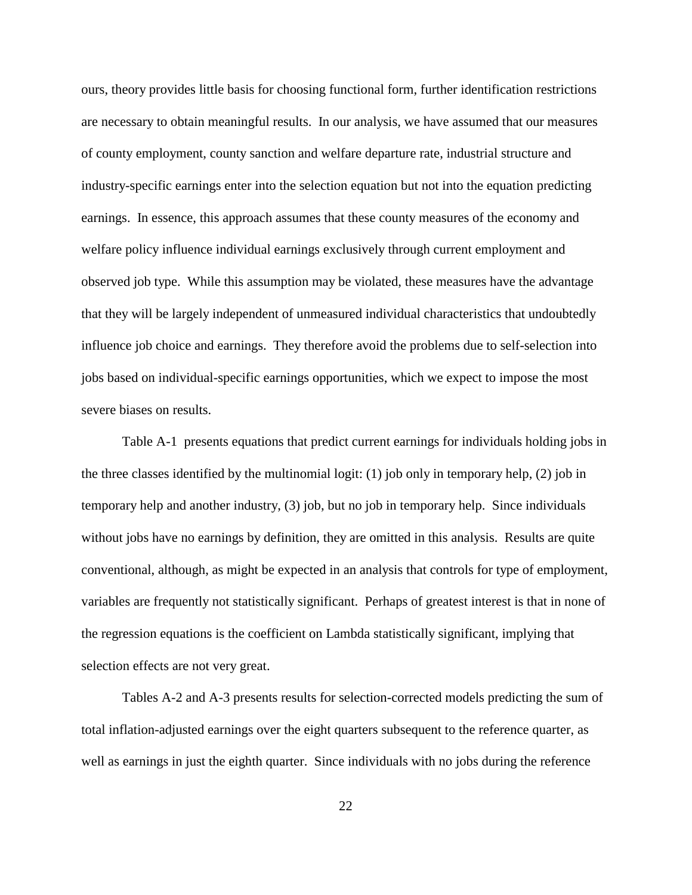ours, theory provides little basis for choosing functional form, further identification restrictions are necessary to obtain meaningful results. In our analysis, we have assumed that our measures of county employment, county sanction and welfare departure rate, industrial structure and industry-specific earnings enter into the selection equation but not into the equation predicting earnings. In essence, this approach assumes that these county measures of the economy and welfare policy influence individual earnings exclusively through current employment and observed job type. While this assumption may be violated, these measures have the advantage that they will be largely independent of unmeasured individual characteristics that undoubtedly influence job choice and earnings. They therefore avoid the problems due to self-selection into jobs based on individual-specific earnings opportunities, which we expect to impose the most severe biases on results.

Table A-1 presents equations that predict current earnings for individuals holding jobs in the three classes identified by the multinomial logit: (1) job only in temporary help, (2) job in temporary help and another industry, (3) job, but no job in temporary help. Since individuals without jobs have no earnings by definition, they are omitted in this analysis. Results are quite conventional, although, as might be expected in an analysis that controls for type of employment, variables are frequently not statistically significant. Perhaps of greatest interest is that in none of the regression equations is the coefficient on Lambda statistically significant, implying that selection effects are not very great.

Tables A-2 and A-3 presents results for selection-corrected models predicting the sum of total inflation-adjusted earnings over the eight quarters subsequent to the reference quarter, as well as earnings in just the eighth quarter. Since individuals with no jobs during the reference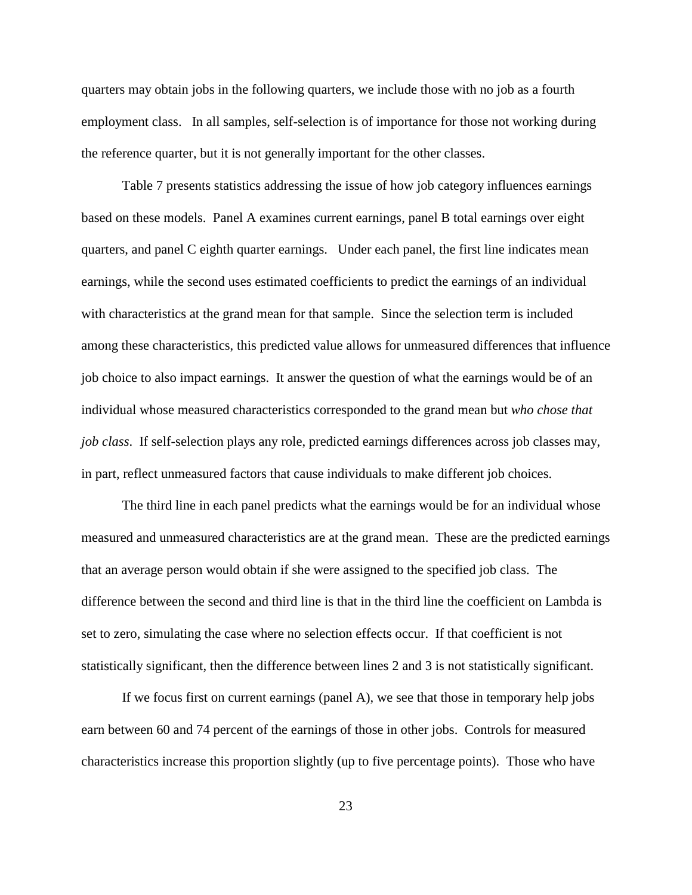quarters may obtain jobs in the following quarters, we include those with no job as a fourth employment class. In all samples, self-selection is of importance for those not working during the reference quarter, but it is not generally important for the other classes.

Table 7 presents statistics addressing the issue of how job category influences earnings based on these models. Panel A examines current earnings, panel B total earnings over eight quarters, and panel C eighth quarter earnings. Under each panel, the first line indicates mean earnings, while the second uses estimated coefficients to predict the earnings of an individual with characteristics at the grand mean for that sample. Since the selection term is included among these characteristics, this predicted value allows for unmeasured differences that influence job choice to also impact earnings. It answer the question of what the earnings would be of an individual whose measured characteristics corresponded to the grand mean but *who chose that job class*. If self-selection plays any role, predicted earnings differences across job classes may, in part, reflect unmeasured factors that cause individuals to make different job choices.

The third line in each panel predicts what the earnings would be for an individual whose measured and unmeasured characteristics are at the grand mean. These are the predicted earnings that an average person would obtain if she were assigned to the specified job class. The difference between the second and third line is that in the third line the coefficient on Lambda is set to zero, simulating the case where no selection effects occur. If that coefficient is not statistically significant, then the difference between lines 2 and 3 is not statistically significant.

If we focus first on current earnings (panel A), we see that those in temporary help jobs earn between 60 and 74 percent of the earnings of those in other jobs. Controls for measured characteristics increase this proportion slightly (up to five percentage points). Those who have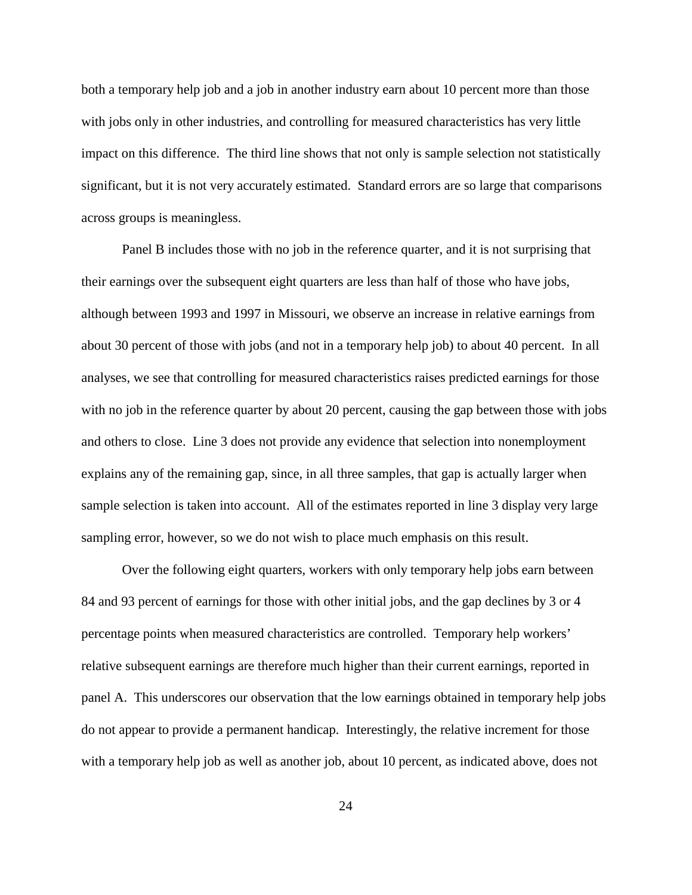both a temporary help job and a job in another industry earn about 10 percent more than those with jobs only in other industries, and controlling for measured characteristics has very little impact on this difference. The third line shows that not only is sample selection not statistically significant, but it is not very accurately estimated. Standard errors are so large that comparisons across groups is meaningless.

Panel B includes those with no job in the reference quarter, and it is not surprising that their earnings over the subsequent eight quarters are less than half of those who have jobs, although between 1993 and 1997 in Missouri, we observe an increase in relative earnings from about 30 percent of those with jobs (and not in a temporary help job) to about 40 percent. In all analyses, we see that controlling for measured characteristics raises predicted earnings for those with no job in the reference quarter by about 20 percent, causing the gap between those with jobs and others to close. Line 3 does not provide any evidence that selection into nonemployment explains any of the remaining gap, since, in all three samples, that gap is actually larger when sample selection is taken into account. All of the estimates reported in line 3 display very large sampling error, however, so we do not wish to place much emphasis on this result.

Over the following eight quarters, workers with only temporary help jobs earn between 84 and 93 percent of earnings for those with other initial jobs, and the gap declines by 3 or 4 percentage points when measured characteristics are controlled. Temporary help workers' relative subsequent earnings are therefore much higher than their current earnings, reported in panel A. This underscores our observation that the low earnings obtained in temporary help jobs do not appear to provide a permanent handicap. Interestingly, the relative increment for those with a temporary help job as well as another job, about 10 percent, as indicated above, does not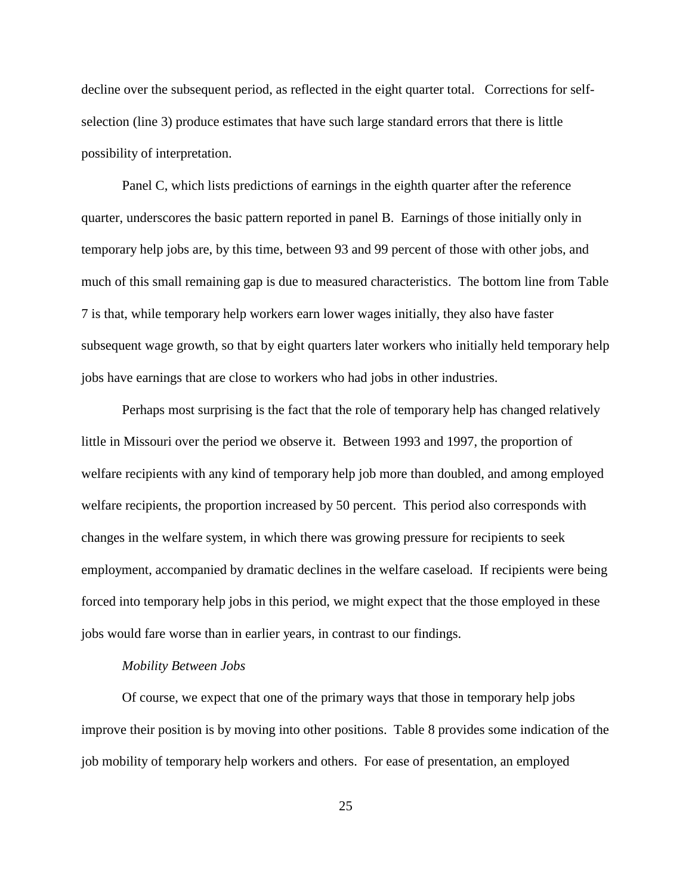decline over the subsequent period, as reflected in the eight quarter total. Corrections for selfselection (line 3) produce estimates that have such large standard errors that there is little possibility of interpretation.

Panel C, which lists predictions of earnings in the eighth quarter after the reference quarter, underscores the basic pattern reported in panel B. Earnings of those initially only in temporary help jobs are, by this time, between 93 and 99 percent of those with other jobs, and much of this small remaining gap is due to measured characteristics. The bottom line from Table 7 is that, while temporary help workers earn lower wages initially, they also have faster subsequent wage growth, so that by eight quarters later workers who initially held temporary help jobs have earnings that are close to workers who had jobs in other industries.

Perhaps most surprising is the fact that the role of temporary help has changed relatively little in Missouri over the period we observe it. Between 1993 and 1997, the proportion of welfare recipients with any kind of temporary help job more than doubled, and among employed welfare recipients, the proportion increased by 50 percent. This period also corresponds with changes in the welfare system, in which there was growing pressure for recipients to seek employment, accompanied by dramatic declines in the welfare caseload. If recipients were being forced into temporary help jobs in this period, we might expect that the those employed in these jobs would fare worse than in earlier years, in contrast to our findings.

### *Mobility Between Jobs*

Of course, we expect that one of the primary ways that those in temporary help jobs improve their position is by moving into other positions. Table 8 provides some indication of the job mobility of temporary help workers and others. For ease of presentation, an employed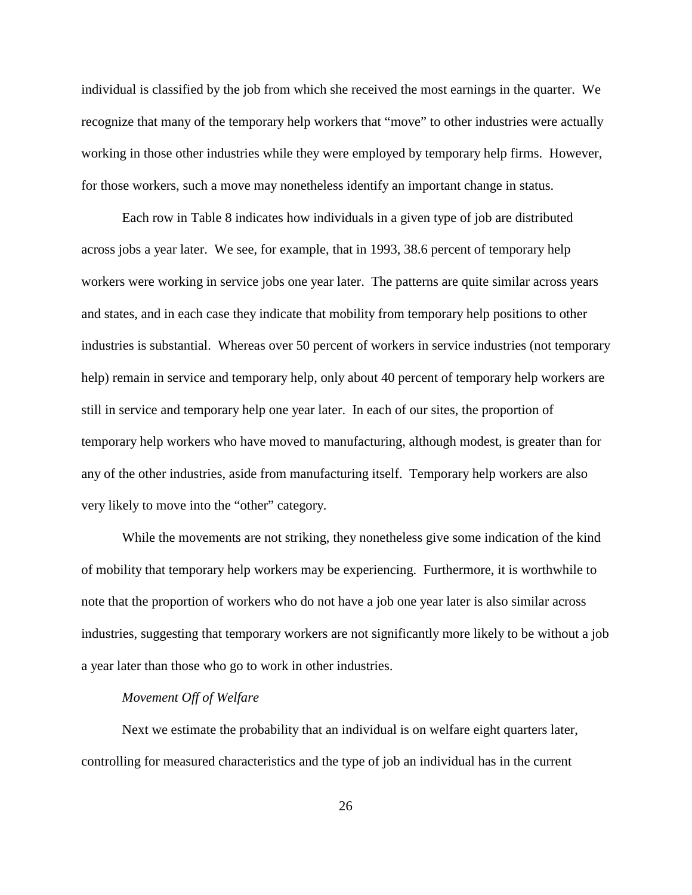individual is classified by the job from which she received the most earnings in the quarter. We recognize that many of the temporary help workers that "move" to other industries were actually working in those other industries while they were employed by temporary help firms. However, for those workers, such a move may nonetheless identify an important change in status.

Each row in Table 8 indicates how individuals in a given type of job are distributed across jobs a year later. We see, for example, that in 1993, 38.6 percent of temporary help workers were working in service jobs one year later. The patterns are quite similar across years and states, and in each case they indicate that mobility from temporary help positions to other industries is substantial. Whereas over 50 percent of workers in service industries (not temporary help) remain in service and temporary help, only about 40 percent of temporary help workers are still in service and temporary help one year later. In each of our sites, the proportion of temporary help workers who have moved to manufacturing, although modest, is greater than for any of the other industries, aside from manufacturing itself. Temporary help workers are also very likely to move into the "other" category.

While the movements are not striking, they nonetheless give some indication of the kind of mobility that temporary help workers may be experiencing. Furthermore, it is worthwhile to note that the proportion of workers who do not have a job one year later is also similar across industries, suggesting that temporary workers are not significantly more likely to be without a job a year later than those who go to work in other industries.

#### *Movement Off of Welfare*

Next we estimate the probability that an individual is on welfare eight quarters later, controlling for measured characteristics and the type of job an individual has in the current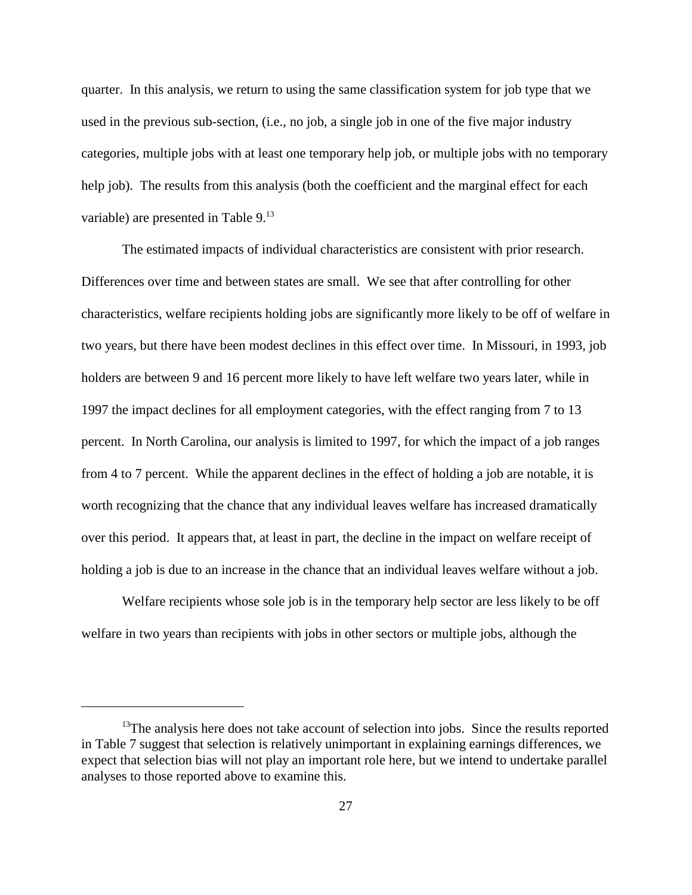quarter. In this analysis, we return to using the same classification system for job type that we used in the previous sub-section, (i.e., no job, a single job in one of the five major industry categories, multiple jobs with at least one temporary help job, or multiple jobs with no temporary help job). The results from this analysis (both the coefficient and the marginal effect for each variable) are presented in Table 9.<sup>13</sup>

The estimated impacts of individual characteristics are consistent with prior research. Differences over time and between states are small. We see that after controlling for other characteristics, welfare recipients holding jobs are significantly more likely to be off of welfare in two years, but there have been modest declines in this effect over time. In Missouri, in 1993, job holders are between 9 and 16 percent more likely to have left welfare two years later, while in 1997 the impact declines for all employment categories, with the effect ranging from 7 to 13 percent. In North Carolina, our analysis is limited to 1997, for which the impact of a job ranges from 4 to 7 percent. While the apparent declines in the effect of holding a job are notable, it is worth recognizing that the chance that any individual leaves welfare has increased dramatically over this period. It appears that, at least in part, the decline in the impact on welfare receipt of holding a job is due to an increase in the chance that an individual leaves welfare without a job.

Welfare recipients whose sole job is in the temporary help sector are less likely to be off welfare in two years than recipients with jobs in other sectors or multiple jobs, although the

 $13$ The analysis here does not take account of selection into jobs. Since the results reported in Table 7 suggest that selection is relatively unimportant in explaining earnings differences, we expect that selection bias will not play an important role here, but we intend to undertake parallel analyses to those reported above to examine this.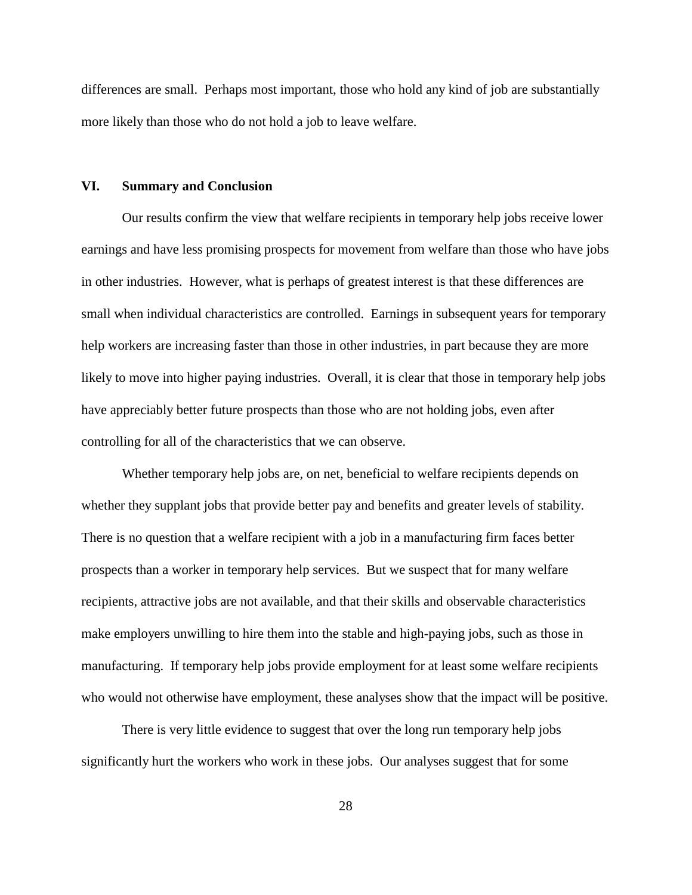differences are small. Perhaps most important, those who hold any kind of job are substantially more likely than those who do not hold a job to leave welfare.

### **VI. Summary and Conclusion**

Our results confirm the view that welfare recipients in temporary help jobs receive lower earnings and have less promising prospects for movement from welfare than those who have jobs in other industries. However, what is perhaps of greatest interest is that these differences are small when individual characteristics are controlled. Earnings in subsequent years for temporary help workers are increasing faster than those in other industries, in part because they are more likely to move into higher paying industries. Overall, it is clear that those in temporary help jobs have appreciably better future prospects than those who are not holding jobs, even after controlling for all of the characteristics that we can observe.

Whether temporary help jobs are, on net, beneficial to welfare recipients depends on whether they supplant jobs that provide better pay and benefits and greater levels of stability. There is no question that a welfare recipient with a job in a manufacturing firm faces better prospects than a worker in temporary help services. But we suspect that for many welfare recipients, attractive jobs are not available, and that their skills and observable characteristics make employers unwilling to hire them into the stable and high-paying jobs, such as those in manufacturing. If temporary help jobs provide employment for at least some welfare recipients who would not otherwise have employment, these analyses show that the impact will be positive.

There is very little evidence to suggest that over the long run temporary help jobs significantly hurt the workers who work in these jobs. Our analyses suggest that for some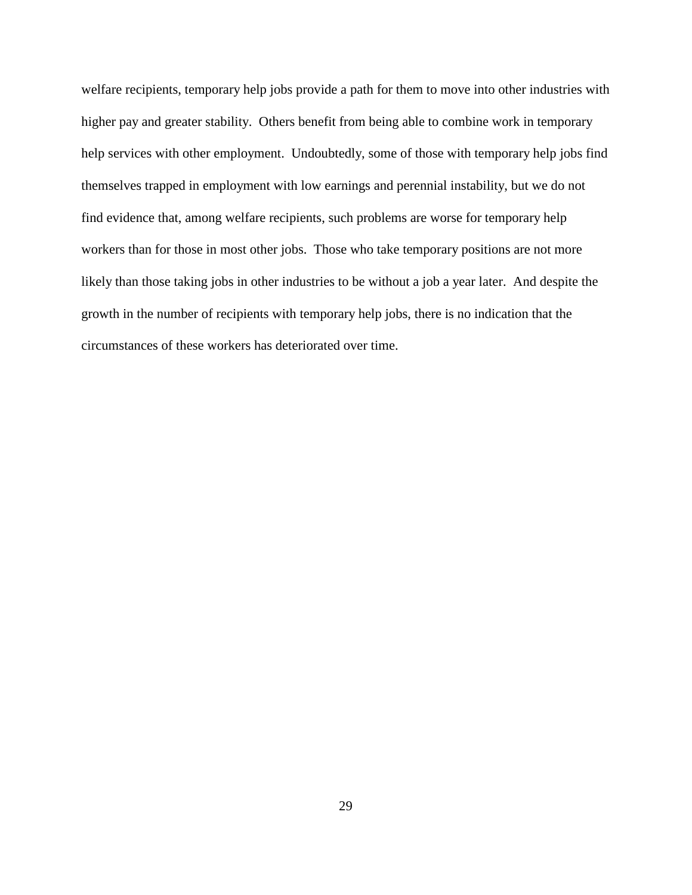welfare recipients, temporary help jobs provide a path for them to move into other industries with higher pay and greater stability. Others benefit from being able to combine work in temporary help services with other employment. Undoubtedly, some of those with temporary help jobs find themselves trapped in employment with low earnings and perennial instability, but we do not find evidence that, among welfare recipients, such problems are worse for temporary help workers than for those in most other jobs. Those who take temporary positions are not more likely than those taking jobs in other industries to be without a job a year later. And despite the growth in the number of recipients with temporary help jobs, there is no indication that the circumstances of these workers has deteriorated over time.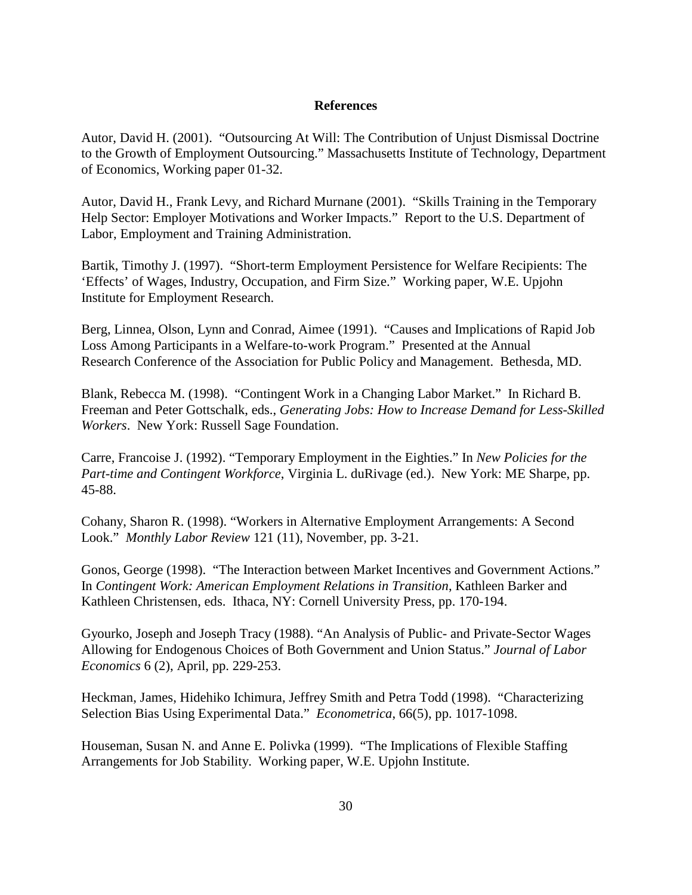## **References**

Autor, David H. (2001). "Outsourcing At Will: The Contribution of Unjust Dismissal Doctrine to the Growth of Employment Outsourcing." Massachusetts Institute of Technology, Department of Economics, Working paper 01-32.

Autor, David H., Frank Levy, and Richard Murnane (2001). "Skills Training in the Temporary Help Sector: Employer Motivations and Worker Impacts." Report to the U.S. Department of Labor, Employment and Training Administration.

Bartik, Timothy J. (1997). "Short-term Employment Persistence for Welfare Recipients: The 'Effects' of Wages, Industry, Occupation, and Firm Size." Working paper, W.E. Upjohn Institute for Employment Research.

Berg, Linnea, Olson, Lynn and Conrad, Aimee (1991). "Causes and Implications of Rapid Job Loss Among Participants in a Welfare-to-work Program." Presented at the Annual Research Conference of the Association for Public Policy and Management. Bethesda, MD.

Blank, Rebecca M. (1998). "Contingent Work in a Changing Labor Market." In Richard B. Freeman and Peter Gottschalk, eds., *Generating Jobs: How to Increase Demand for Less-Skilled Workers*. New York: Russell Sage Foundation.

Carre, Francoise J. (1992). "Temporary Employment in the Eighties." In *New Policies for the Part-time and Contingent Workforce*, Virginia L. duRivage (ed.). New York: ME Sharpe, pp. 45-88.

Cohany, Sharon R. (1998). "Workers in Alternative Employment Arrangements: A Second Look." *Monthly Labor Review* 121 (11), November, pp. 3-21.

Gonos, George (1998). "The Interaction between Market Incentives and Government Actions." In *Contingent Work: American Employment Relations in Transition*, Kathleen Barker and Kathleen Christensen, eds. Ithaca, NY: Cornell University Press, pp. 170-194.

Gyourko, Joseph and Joseph Tracy (1988). "An Analysis of Public- and Private-Sector Wages Allowing for Endogenous Choices of Both Government and Union Status." *Journal of Labor Economics* 6 (2), April, pp. 229-253.

Heckman, James, Hidehiko Ichimura, Jeffrey Smith and Petra Todd (1998). "Characterizing Selection Bias Using Experimental Data." *Econometrica*, 66(5), pp. 1017-1098.

Houseman, Susan N. and Anne E. Polivka (1999). "The Implications of Flexible Staffing Arrangements for Job Stability. Working paper, W.E. Upjohn Institute.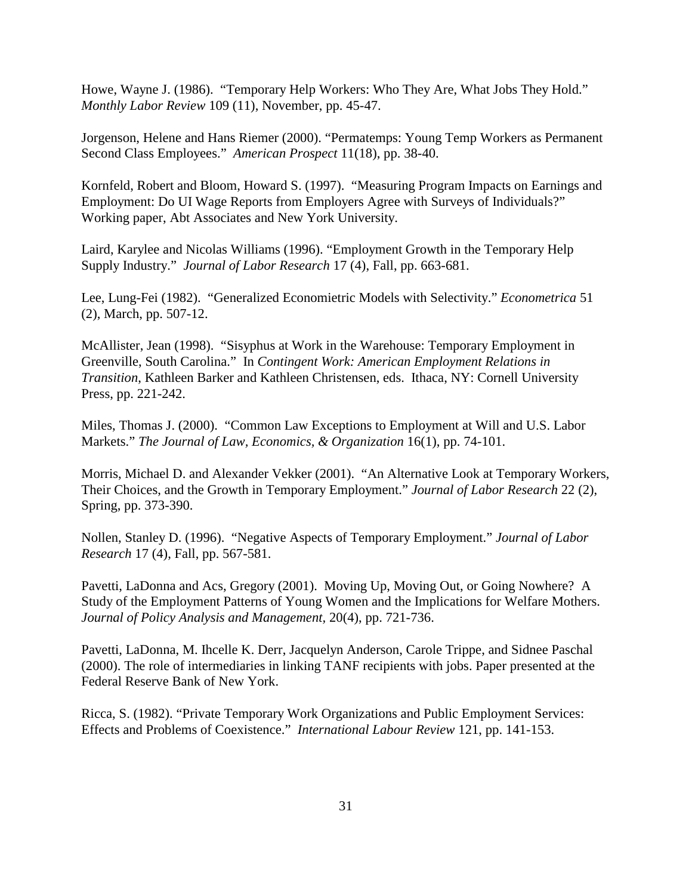Howe, Wayne J. (1986). "Temporary Help Workers: Who They Are, What Jobs They Hold." *Monthly Labor Review* 109 (11), November, pp. 45-47.

Jorgenson, Helene and Hans Riemer (2000). "Permatemps: Young Temp Workers as Permanent Second Class Employees." *American Prospect* 11(18), pp. 38-40.

Kornfeld, Robert and Bloom, Howard S. (1997). "Measuring Program Impacts on Earnings and Employment: Do UI Wage Reports from Employers Agree with Surveys of Individuals?" Working paper, Abt Associates and New York University.

Laird, Karylee and Nicolas Williams (1996). "Employment Growth in the Temporary Help Supply Industry." *Journal of Labor Research* 17 (4), Fall, pp. 663-681.

Lee, Lung-Fei (1982). "Generalized Economietric Models with Selectivity." *Econometrica* 51 (2), March, pp. 507-12.

McAllister, Jean (1998). "Sisyphus at Work in the Warehouse: Temporary Employment in Greenville, South Carolina." In *Contingent Work: American Employment Relations in Transition*, Kathleen Barker and Kathleen Christensen, eds. Ithaca, NY: Cornell University Press, pp. 221-242.

Miles, Thomas J. (2000). "Common Law Exceptions to Employment at Will and U.S. Labor Markets." *The Journal of Law, Economics, & Organization* 16(1), pp. 74-101.

Morris, Michael D. and Alexander Vekker (2001). "An Alternative Look at Temporary Workers, Their Choices, and the Growth in Temporary Employment." *Journal of Labor Research* 22 (2), Spring, pp. 373-390.

Nollen, Stanley D. (1996). "Negative Aspects of Temporary Employment." *Journal of Labor Research* 17 (4), Fall, pp. 567-581.

Pavetti, LaDonna and Acs, Gregory (2001). Moving Up, Moving Out, or Going Nowhere? A Study of the Employment Patterns of Young Women and the Implications for Welfare Mothers. *Journal of Policy Analysis and Management,* 20(4), pp. 721-736.

Pavetti, LaDonna, M. Ihcelle K. Derr, Jacquelyn Anderson, Carole Trippe, and Sidnee Paschal (2000). The role of intermediaries in linking TANF recipients with jobs. Paper presented at the Federal Reserve Bank of New York.

Ricca, S. (1982). "Private Temporary Work Organizations and Public Employment Services: Effects and Problems of Coexistence." *International Labour Review* 121, pp. 141-153.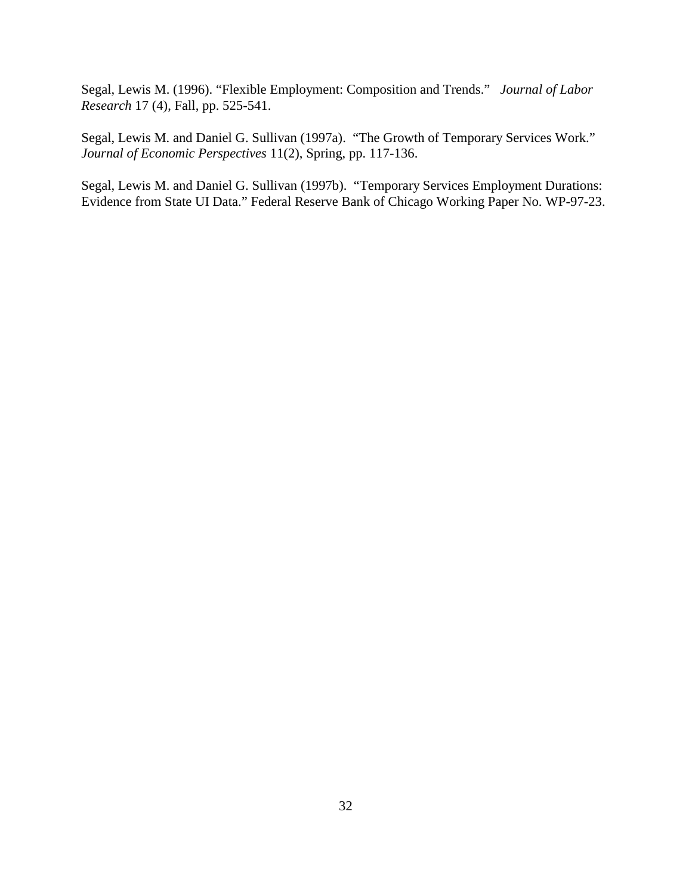Segal, Lewis M. (1996). "Flexible Employment: Composition and Trends." *Journal of Labor Research* 17 (4), Fall, pp. 525-541.

Segal, Lewis M. and Daniel G. Sullivan (1997a). "The Growth of Temporary Services Work." *Journal of Economic Perspectives* 11(2), Spring, pp. 117-136.

Segal, Lewis M. and Daniel G. Sullivan (1997b). "Temporary Services Employment Durations: Evidence from State UI Data." Federal Reserve Bank of Chicago Working Paper No. WP-97-23.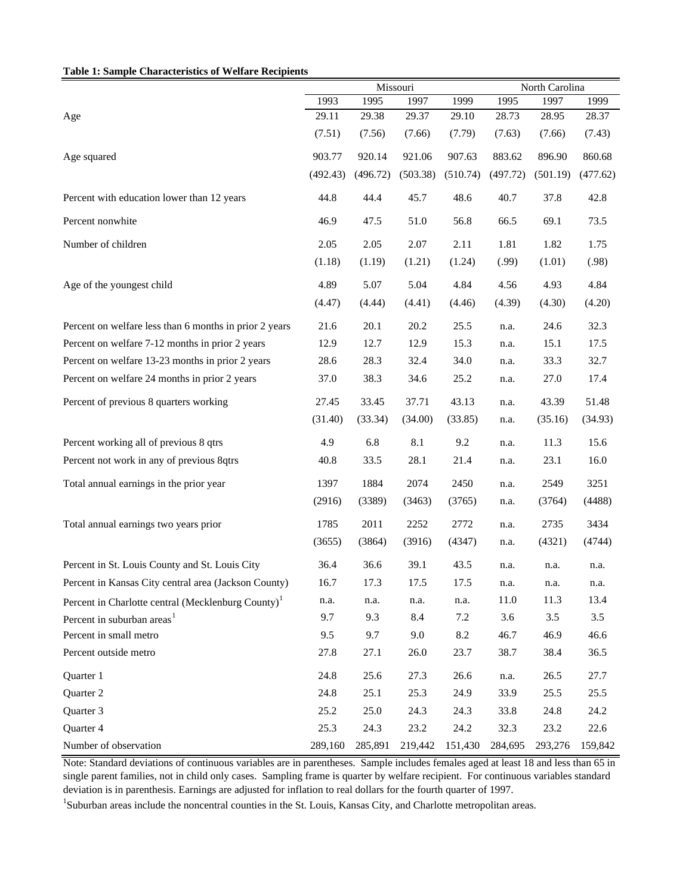#### **Table 1: Sample Characteristics of Welfare Recipients**

|                                                                |          |          | Missouri |          | North Carolina |          |          |  |
|----------------------------------------------------------------|----------|----------|----------|----------|----------------|----------|----------|--|
|                                                                | 1993     | 1995     | 1997     | 1999     | 1995           | 1997     | 1999     |  |
| Age                                                            | 29.11    | 29.38    | 29.37    | 29.10    | 28.73          | 28.95    | 28.37    |  |
|                                                                | (7.51)   | (7.56)   | (7.66)   | (7.79)   | (7.63)         | (7.66)   | (7.43)   |  |
| Age squared                                                    | 903.77   | 920.14   | 921.06   | 907.63   | 883.62         | 896.90   | 860.68   |  |
|                                                                | (492.43) | (496.72) | (503.38) | (510.74) | (497.72)       | (501.19) | (477.62) |  |
| Percent with education lower than 12 years                     | 44.8     | 44.4     | 45.7     | 48.6     | 40.7           | 37.8     | 42.8     |  |
| Percent nonwhite                                               | 46.9     | 47.5     | 51.0     | 56.8     | 66.5           | 69.1     | 73.5     |  |
| Number of children                                             | 2.05     | 2.05     | 2.07     | 2.11     | 1.81           | 1.82     | 1.75     |  |
|                                                                | (1.18)   | (1.19)   | (1.21)   | (1.24)   | (.99)          | (1.01)   | (.98)    |  |
| Age of the youngest child                                      | 4.89     | 5.07     | 5.04     | 4.84     | 4.56           | 4.93     | 4.84     |  |
|                                                                | (4.47)   | (4.44)   | (4.41)   | (4.46)   | (4.39)         | (4.30)   | (4.20)   |  |
| Percent on welfare less than 6 months in prior 2 years         | 21.6     | 20.1     | 20.2     | 25.5     | n.a.           | 24.6     | 32.3     |  |
| Percent on welfare 7-12 months in prior 2 years                | 12.9     | 12.7     | 12.9     | 15.3     | n.a.           | 15.1     | 17.5     |  |
| Percent on welfare 13-23 months in prior 2 years               | 28.6     | 28.3     | 32.4     | 34.0     | n.a.           | 33.3     | 32.7     |  |
| Percent on welfare 24 months in prior 2 years                  | 37.0     | 38.3     | 34.6     | 25.2     | n.a.           | 27.0     | 17.4     |  |
| Percent of previous 8 quarters working                         | 27.45    | 33.45    | 37.71    | 43.13    | n.a.           | 43.39    | 51.48    |  |
|                                                                | (31.40)  | (33.34)  | (34.00)  | (33.85)  | n.a.           | (35.16)  | (34.93)  |  |
| Percent working all of previous 8 qtrs                         | 4.9      | 6.8      | 8.1      | 9.2      | n.a.           | 11.3     | 15.6     |  |
| Percent not work in any of previous 8qtrs                      | 40.8     | 33.5     | 28.1     | 21.4     | n.a.           | 23.1     | 16.0     |  |
| Total annual earnings in the prior year                        | 1397     | 1884     | 2074     | 2450     | n.a.           | 2549     | 3251     |  |
|                                                                | (2916)   | (3389)   | (3463)   | (3765)   | n.a.           | (3764)   | (4488)   |  |
| Total annual earnings two years prior                          | 1785     | 2011     | 2252     | 2772     | n.a.           | 2735     | 3434     |  |
|                                                                | (3655)   | (3864)   | (3916)   | (4347)   | n.a.           | (4321)   | (4744)   |  |
| Percent in St. Louis County and St. Louis City                 | 36.4     | 36.6     | 39.1     | 43.5     | n.a.           | n.a.     | n.a.     |  |
| Percent in Kansas City central area (Jackson County)           | 16.7     | 17.3     | 17.5     | 17.5     | n.a.           | n.a.     | n.a.     |  |
| Percent in Charlotte central (Mecklenburg County) <sup>1</sup> | n.a.     | n.a.     | n.a.     | n.a.     | 11.0           | 11.3     | 13.4     |  |
| Percent in suburban areas <sup>1</sup>                         | 9.7      | 9.3      | 8.4      | 7.2      | 3.6            | 3.5      | 3.5      |  |
| Percent in small metro                                         | 9.5      | 9.7      | 9.0      | 8.2      | 46.7           | 46.9     | 46.6     |  |
| Percent outside metro                                          | 27.8     | 27.1     | 26.0     | 23.7     | 38.7           | 38.4     | 36.5     |  |
| Quarter 1                                                      | 24.8     | 25.6     | 27.3     | 26.6     | n.a.           | 26.5     | 27.7     |  |
| Quarter 2                                                      | 24.8     | 25.1     | 25.3     | 24.9     | 33.9           | 25.5     | 25.5     |  |
| Quarter 3                                                      | 25.2     | 25.0     | 24.3     | 24.3     | 33.8           | 24.8     | 24.2     |  |
| Quarter 4                                                      | 25.3     | 24.3     | 23.2     | 24.2     | 32.3           | 23.2     | 22.6     |  |
| Number of observation                                          | 289,160  | 285,891  | 219,442  | 151,430  | 284,695        | 293,276  | 159,842  |  |

Note: Standard deviations of continuous variables are in parentheses. Sample includes females aged at least 18 and less than 65 in single parent families, not in child only cases. Sampling frame is quarter by welfare recipient. For continuous variables standard deviation is in parenthesis. Earnings are adjusted for inflation to real dollars for the fourth quarter of 1997.

<sup>1</sup>Suburban areas include the noncentral counties in the St. Louis, Kansas City, and Charlotte metropolitan areas.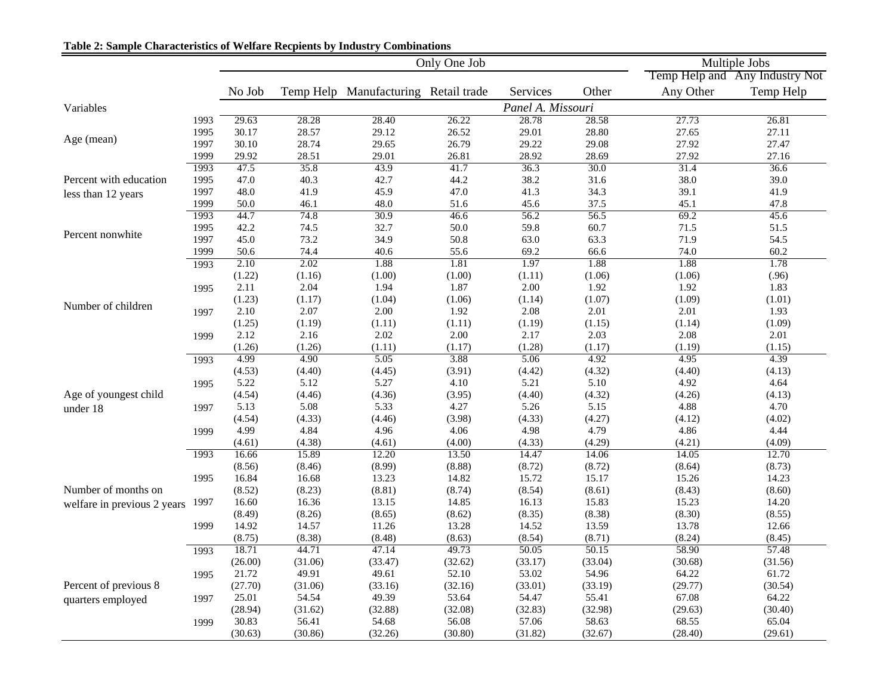|                             |      |         |         | Only One Job                         |         | Multiple Jobs     |         |           |                                |
|-----------------------------|------|---------|---------|--------------------------------------|---------|-------------------|---------|-----------|--------------------------------|
|                             |      |         |         |                                      |         |                   |         |           | Temp Help and Any Industry Not |
|                             |      | No Job  |         | Temp Help Manufacturing Retail trade |         | Services          | Other   | Any Other | Temp Help                      |
| Variables                   |      |         |         |                                      |         | Panel A. Missouri |         |           |                                |
|                             | 1993 | 29.63   | 28.28   | 28.40                                | 26.22   | 28.78             | 28.58   | 27.73     | 26.81                          |
|                             | 1995 | 30.17   | 28.57   | 29.12                                | 26.52   | 29.01             | 28.80   | 27.65     | 27.11                          |
| Age (mean)                  | 1997 | 30.10   | 28.74   | 29.65                                | 26.79   | 29.22             | 29.08   | 27.92     | 27.47                          |
|                             | 1999 | 29.92   | 28.51   | 29.01                                | 26.81   | 28.92             | 28.69   | 27.92     | 27.16                          |
|                             | 1993 | 47.5    | 35.8    | 43.9                                 | 41.7    | 36.3              | 30.0    | 31.4      | 36.6                           |
| Percent with education      | 1995 | 47.0    | 40.3    | 42.7                                 | 44.2    | 38.2              | 31.6    | 38.0      | 39.0                           |
| less than 12 years          | 1997 | 48.0    | 41.9    | 45.9                                 | 47.0    | 41.3              | 34.3    | 39.1      | 41.9                           |
|                             | 1999 | 50.0    | 46.1    | 48.0                                 | 51.6    | 45.6              | 37.5    | 45.1      | 47.8                           |
|                             | 1993 | 44.7    | 74.8    | 30.9                                 | 46.6    | 56.2              | 56.5    | 69.2      | 45.6                           |
| Percent nonwhite            | 1995 | 42.2    | 74.5    | 32.7                                 | 50.0    | 59.8              | 60.7    | 71.5      | 51.5                           |
|                             | 1997 | 45.0    | 73.2    | 34.9                                 | 50.8    | 63.0              | 63.3    | 71.9      | 54.5                           |
|                             | 1999 | 50.6    | 74.4    | 40.6                                 | 55.6    | 69.2              | 66.6    | 74.0      | 60.2                           |
|                             | 1993 | 2.10    | 2.02    | 1.88                                 | 1.81    | 1.97              | 1.88    | 1.88      | 1.78                           |
|                             |      | (1.22)  | (1.16)  | (1.00)                               | (1.00)  | (1.11)            | (1.06)  | (1.06)    | (.96)                          |
|                             | 1995 | 2.11    | 2.04    | 1.94                                 | 1.87    | 2.00              | 1.92    | 1.92      | 1.83                           |
| Number of children          |      | (1.23)  | (1.17)  | (1.04)                               | (1.06)  | (1.14)            | (1.07)  | (1.09)    | (1.01)                         |
|                             | 1997 | 2.10    | 2.07    | 2.00                                 | 1.92    | 2.08              | 2.01    | 2.01      | 1.93                           |
|                             |      | (1.25)  | (1.19)  | (1.11)                               | (1.11)  | (1.19)            | (1.15)  | (1.14)    | (1.09)                         |
|                             | 1999 | 2.12    | 2.16    | 2.02                                 | 2.00    | 2.17              | 2.03    | 2.08      | 2.01                           |
|                             |      | (1.26)  | (1.26)  | (1.11)                               | (1.17)  | (1.28)            | (1.17)  | (1.19)    | (1.15)                         |
|                             | 1993 | 4.99    | 4.90    | 5.05                                 | 3.88    | 5.06              | 4.92    | 4.95      | 4.39                           |
|                             |      | (4.53)  | (4.40)  | (4.45)                               | (3.91)  | (4.42)            | (4.32)  | (4.40)    | (4.13)                         |
|                             | 1995 | 5.22    | 5.12    | 5.27                                 | 4.10    | 5.21              | 5.10    | 4.92      | 4.64                           |
| Age of youngest child       |      | (4.54)  | (4.46)  | (4.36)                               | (3.95)  | (4.40)            | (4.32)  | (4.26)    | (4.13)                         |
| under 18                    | 1997 | 5.13    | 5.08    | 5.33                                 | 4.27    | 5.26              | 5.15    | 4.88      | 4.70                           |
|                             |      | (4.54)  | (4.33)  | (4.46)                               | (3.98)  | (4.33)            | (4.27)  | (4.12)    | (4.02)                         |
|                             | 1999 | 4.99    | 4.84    | 4.96                                 | 4.06    | 4.98              | 4.79    | 4.86      | 4.44                           |
|                             |      | (4.61)  | (4.38)  | (4.61)                               | (4.00)  | (4.33)            | (4.29)  | (4.21)    | (4.09)                         |
|                             | 1993 | 16.66   | 15.89   | 12.20                                | 13.50   | 14.47             | 14.06   | 14.05     | 12.70                          |
|                             |      | (8.56)  | (8.46)  | (8.99)                               | (8.88)  | (8.72)            | (8.72)  | (8.64)    | (8.73)                         |
|                             | 1995 | 16.84   | 16.68   | 13.23                                | 14.82   | 15.72             | 15.17   | 15.26     | 14.23                          |
| Number of months on         |      | (8.52)  | (8.23)  | (8.81)                               | (8.74)  | (8.54)            | (8.61)  | (8.43)    | (8.60)                         |
| welfare in previous 2 years | 1997 | 16.60   | 16.36   | 13.15                                | 14.85   | 16.13             | 15.83   | 15.23     | 14.20                          |
|                             |      | (8.49)  | (8.26)  | (8.65)                               | (8.62)  | (8.35)            | (8.38)  | (8.30)    | (8.55)                         |
|                             | 1999 | 14.92   | 14.57   | 11.26                                | 13.28   | 14.52             | 13.59   | 13.78     | 12.66                          |
|                             |      | (8.75)  | (8.38)  | (8.48)                               | (8.63)  | (8.54)            | (8.71)  | (8.24)    | (8.45)                         |
|                             | 1993 | 18.71   | 44.71   | 47.14                                | 49.73   | 50.05             | 50.15   | 58.90     | 57.48                          |
|                             |      | (26.00) | (31.06) | (33.47)                              | (32.62) | (33.17)           | (33.04) | (30.68)   | (31.56)                        |
|                             | 1995 | 21.72   | 49.91   | 49.61                                | 52.10   | 53.02             | 54.96   | 64.22     | 61.72                          |
| Percent of previous 8       |      | (27.70) | (31.06) | (33.16)                              | (32.16) | (33.01)           | (33.19) | (29.77)   | (30.54)                        |
| quarters employed           | 1997 | 25.01   | 54.54   | 49.39                                | 53.64   | 54.47             | 55.41   | 67.08     | 64.22                          |
|                             |      | (28.94) | (31.62) | (32.88)                              | (32.08) | (32.83)           | (32.98) | (29.63)   | (30.40)                        |
|                             | 1999 | 30.83   | 56.41   | 54.68                                | 56.08   | 57.06             | 58.63   | 68.55     | 65.04                          |
|                             |      | (30.63) | (30.86) | (32.26)                              | (30.80) | (31.82)           | (32.67) | (28.40)   | (29.61)                        |

# **Table 2: Sample Characteristics of Welfare Recpients by Industry Combinations**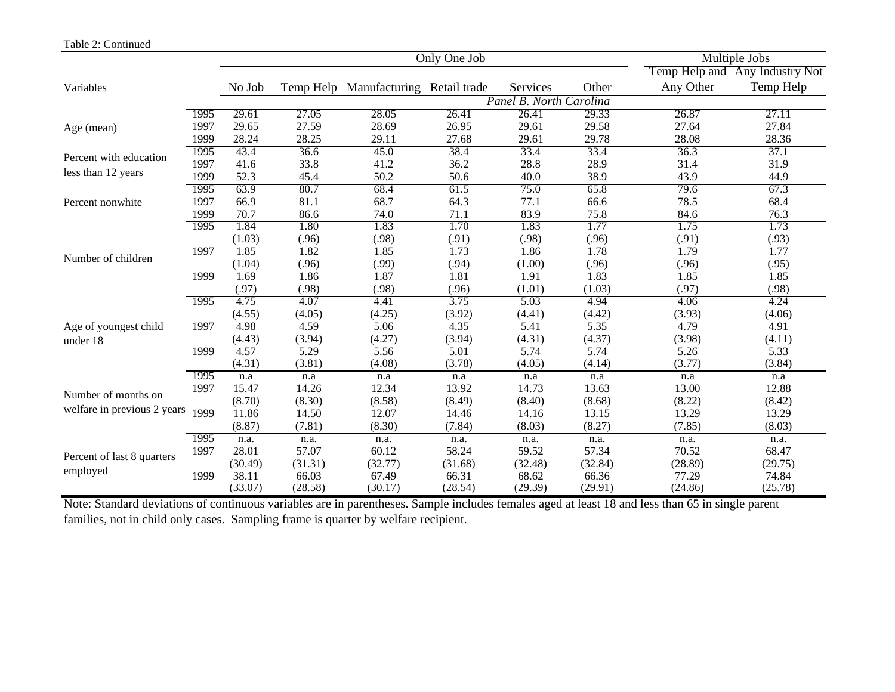#### Table 2: Continued

|                             |      |         |           | Only One Job               |         | Multiple Jobs           |         |           |                                |
|-----------------------------|------|---------|-----------|----------------------------|---------|-------------------------|---------|-----------|--------------------------------|
|                             |      |         |           |                            |         |                         |         |           | Temp Help and Any Industry Not |
| Variables                   |      | No Job  | Temp Help | Manufacturing Retail trade |         | Services                | Other   | Any Other | Temp Help                      |
|                             |      |         |           |                            |         | Panel B. North Carolina |         |           |                                |
|                             | 1995 | 29.61   | 27.05     | 28.05                      | 26.41   | 26.41                   | 29.33   | 26.87     | 27.11                          |
| Age (mean)                  | 1997 | 29.65   | 27.59     | 28.69                      | 26.95   | 29.61                   | 29.58   | 27.64     | 27.84                          |
|                             | 1999 | 28.24   | 28.25     | 29.11                      | 27.68   | 29.61                   | 29.78   | 28.08     | 28.36                          |
| Percent with education      | 1995 | 43.4    | 36.6      | 45.0                       | 38.4    | 33.4                    | 33.4    | 36.3      | 37.1                           |
|                             | 1997 | 41.6    | 33.8      | 41.2                       | 36.2    | 28.8                    | 28.9    | 31.4      | 31.9                           |
| less than 12 years          | 1999 | 52.3    | 45.4      | 50.2                       | 50.6    | 40.0                    | 38.9    | 43.9      | 44.9                           |
|                             | 1995 | 63.9    | 80.7      | 68.4                       | 61.5    | 75.0                    | 65.8    | 79.6      | 67.3                           |
| Percent nonwhite            | 1997 | 66.9    | 81.1      | 68.7                       | 64.3    | 77.1                    | 66.6    | 78.5      | 68.4                           |
|                             | 1999 | 70.7    | 86.6      | 74.0                       | 71.1    | 83.9                    | 75.8    | 84.6      | 76.3                           |
|                             | 1995 | 1.84    | 1.80      | 1.83                       | 1.70    | 1.83                    | 1.77    | 1.75      | 1.73                           |
|                             |      | (1.03)  | (.96)     | (.98)                      | (.91)   | (.98)                   | (.96)   | (.91)     | (.93)                          |
| Number of children          | 1997 | 1.85    | 1.82      | 1.85                       | 1.73    | 1.86                    | 1.78    | 1.79      | 1.77                           |
|                             |      | (1.04)  | (.96)     | (.99)                      | (.94)   | (1.00)                  | (.96)   | (.96)     | (.95)                          |
|                             | 1999 | 1.69    | 1.86      | 1.87                       | 1.81    | 1.91                    | 1.83    | 1.85      | 1.85                           |
|                             |      | (.97)   | (.98)     | (.98)                      | (.96)   | (1.01)                  | (1.03)  | (.97)     | (.98)                          |
|                             | 1995 | 4.75    | 4.07      | 4.41                       | 3.75    | 5.03                    | 4.94    | 4.06      | 4.24                           |
|                             |      | (4.55)  | (4.05)    | (4.25)                     | (3.92)  | (4.41)                  | (4.42)  | (3.93)    | (4.06)                         |
| Age of youngest child       | 1997 | 4.98    | 4.59      | 5.06                       | 4.35    | 5.41                    | 5.35    | 4.79      | 4.91                           |
| under 18                    |      | (4.43)  | (3.94)    | (4.27)                     | (3.94)  | (4.31)                  | (4.37)  | (3.98)    | (4.11)                         |
|                             | 1999 | 4.57    | 5.29      | 5.56                       | 5.01    | 5.74                    | 5.74    | 5.26      | 5.33                           |
|                             |      | (4.31)  | (3.81)    | (4.08)                     | (3.78)  | (4.05)                  | (4.14)  | (3.77)    | (3.84)                         |
|                             | 1995 | n.a     | n.a       | n.a                        | n.a     | n.a                     | n.a     | n.a       | n.a                            |
| Number of months on         | 1997 | 15.47   | 14.26     | 12.34                      | 13.92   | 14.73                   | 13.63   | 13.00     | 12.88                          |
|                             |      | (8.70)  | (8.30)    | (8.58)                     | (8.49)  | (8.40)                  | (8.68)  | (8.22)    | (8.42)                         |
| welfare in previous 2 years | 1999 | 11.86   | 14.50     | 12.07                      | 14.46   | 14.16                   | 13.15   | 13.29     | 13.29                          |
|                             |      | (8.87)  | (7.81)    | (8.30)                     | (7.84)  | (8.03)                  | (8.27)  | (7.85)    | (8.03)                         |
|                             | 1995 | n.a.    | n.a.      | n.a.                       | n.a.    | n.a.                    | n.a.    | n.a.      | n.a.                           |
| Percent of last 8 quarters  | 1997 | 28.01   | 57.07     | 60.12                      | 58.24   | 59.52                   | 57.34   | 70.52     | 68.47                          |
|                             |      | (30.49) | (31.31)   | (32.77)                    | (31.68) | (32.48)                 | (32.84) | (28.89)   | (29.75)                        |
| employed                    | 1999 | 38.11   | 66.03     | 67.49                      | 66.31   | 68.62                   | 66.36   | 77.29     | 74.84                          |
|                             |      | (33.07) | (28.58)   | (30.17)                    | (28.54) | (29.39)                 | (29.91) | (24.86)   | (25.78)                        |

Note: Standard deviations of continuous variables are in parentheses. Sample includes females aged at least 18 and less than 65 in single parent families, not in child only cases. Sampling frame is quarter by welfare recipient.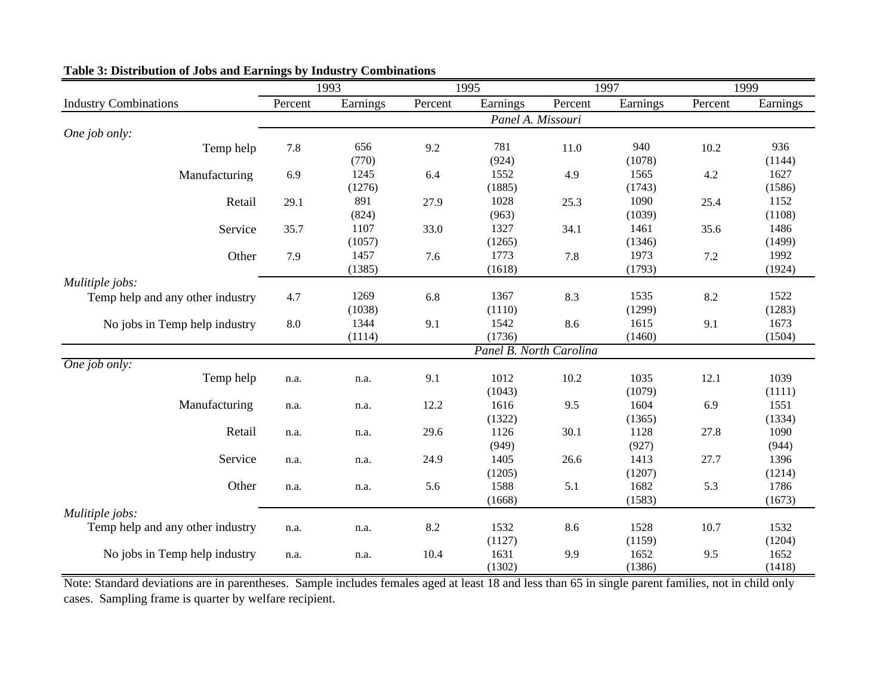|                                  | 1993    |          |         | 1995                    | 1997    |                | 1999    |                |
|----------------------------------|---------|----------|---------|-------------------------|---------|----------------|---------|----------------|
| <b>Industry Combinations</b>     | Percent | Earnings | Percent | Earnings                | Percent | Earnings       | Percent | Earnings       |
|                                  |         |          |         | Panel A. Missouri       |         |                |         |                |
| One job only:                    |         |          |         |                         |         |                |         |                |
| Temp help                        | 7.8     | 656      | 9.2     | 781                     | 11.0    | 940            | 10.2    | 936            |
|                                  |         | (770)    |         | (924)                   |         | (1078)         |         | (1144)         |
| Manufacturing                    | 6.9     | 1245     | 6.4     | 1552                    | 4.9     | 1565           | 4.2     | 1627           |
|                                  |         | (1276)   |         | (1885)                  |         | (1743)         |         | (1586)         |
| Retail                           | 29.1    | 891      | 27.9    | 1028                    | 25.3    | 1090           | 25.4    | 1152           |
|                                  |         | (824)    |         | (963)                   |         | (1039)         |         | (1108)         |
| Service                          | 35.7    | 1107     | 33.0    | 1327                    | 34.1    | 1461           | 35.6    | 1486           |
|                                  |         | (1057)   |         | (1265)                  |         | (1346)         |         | (1499)         |
| Other                            | 7.9     | 1457     | 7.6     | 1773                    | 7.8     | 1973           | $7.2\,$ | 1992           |
|                                  |         | (1385)   |         | (1618)                  |         | (1793)         |         | (1924)         |
| Mulitiple jobs:                  |         |          |         |                         |         |                |         |                |
| Temp help and any other industry | 4.7     | 1269     | 6.8     | 1367                    | 8.3     | 1535           | 8.2     | 1522           |
|                                  |         | (1038)   |         | (1110)                  |         | (1299)         |         | (1283)         |
| No jobs in Temp help industry    | 8.0     | 1344     | 9.1     | 1542                    | 8.6     | 1615           | 9.1     | 1673           |
|                                  |         | (1114)   |         | (1736)                  |         | (1460)         |         | (1504)         |
|                                  |         |          |         | Panel B. North Carolina |         |                |         |                |
| One job only:                    |         |          |         |                         |         |                |         |                |
| Temp help                        | n.a.    | n.a.     | 9.1     | 1012                    | 10.2    | 1035           | 12.1    | 1039           |
|                                  |         |          |         | (1043)                  |         | (1079)         |         | (1111)         |
| Manufacturing                    | n.a.    | n.a.     | 12.2    | 1616                    | 9.5     | 1604           | 6.9     | 1551           |
| Retail                           |         |          | 29.6    | (1322)<br>1126          | 30.1    | (1365)<br>1128 |         | (1334)<br>1090 |
|                                  | n.a.    | n.a.     |         | (949)                   |         | (927)          | 27.8    | (944)          |
| Service                          | n.a.    |          | 24.9    | 1405                    | 26.6    | 1413           | 27.7    | 1396           |
|                                  |         | n.a.     |         | (1205)                  |         | (1207)         |         | (1214)         |
| Other                            | n.a.    | n.a.     | 5.6     | 1588                    | 5.1     | 1682           | 5.3     | 1786           |
|                                  |         |          |         | (1668)                  |         | (1583)         |         | (1673)         |
| Mulitiple jobs:                  |         |          |         |                         |         |                |         |                |
| Temp help and any other industry | n.a.    | n.a.     | 8.2     | 1532                    | 8.6     | 1528           | 10.7    | 1532           |
|                                  |         |          |         | (1127)                  |         | (1159)         |         | (1204)         |
| No jobs in Temp help industry    | n.a.    | n.a.     | 10.4    | 1631                    | 9.9     | 1652           | 9.5     | 1652           |
|                                  |         |          |         | (1302)                  |         | (1386)         |         | (1418)         |

# **Table 3: Distribution of Jobs and Earnings by Industry Combinations**

Note: Standard deviations are in parentheses. Sample includes females aged at least 18 and less than 65 in single parent families, not in child only cases. Sampling frame is quarter by welfare recipient.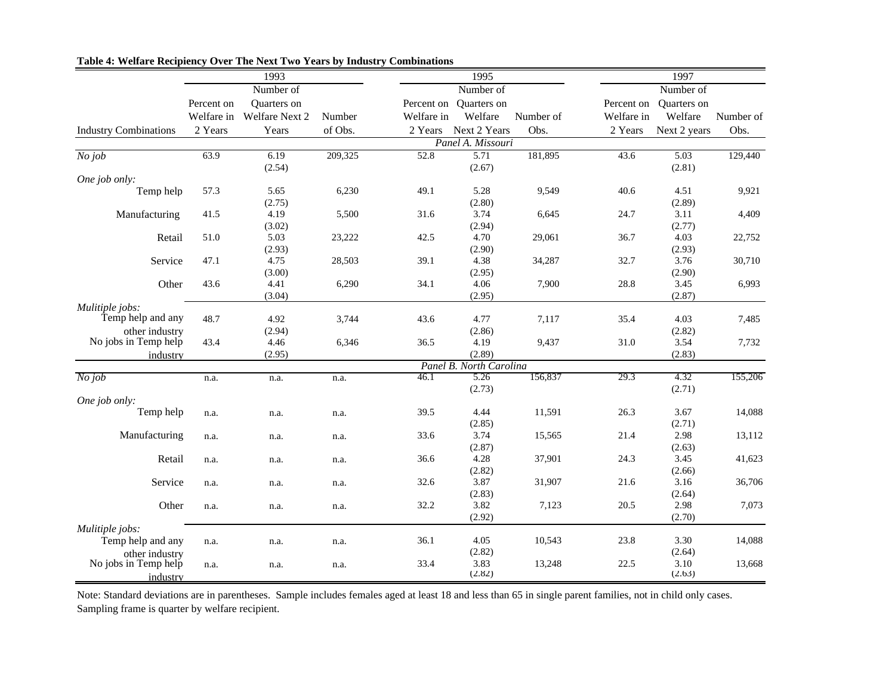|                                                    |            | 1993           |         |            | 1995                     |           |            | 1997                     |           |
|----------------------------------------------------|------------|----------------|---------|------------|--------------------------|-----------|------------|--------------------------|-----------|
|                                                    |            | Number of      |         |            | Number of                |           |            | Number of                |           |
|                                                    | Percent on | Quarters on    |         | Percent on | Quarters on              |           | Percent on | Quarters on              |           |
|                                                    | Welfare in | Welfare Next 2 | Number  | Welfare in | Welfare                  | Number of | Welfare in | Welfare                  | Number of |
| <b>Industry Combinations</b>                       | 2 Years    | Years          | of Obs. | 2 Years    | Next 2 Years             | Obs.      | 2 Years    | Next 2 years             | Obs.      |
|                                                    |            |                |         |            | Panel A. Missouri        |           |            |                          |           |
| $No$ job                                           | 63.9       | 6.19<br>(2.54) | 209,325 | 52.8       | 5.71<br>(2.67)           | 181,895   | 43.6       | 5.03<br>(2.81)           | 129,440   |
| One job only:                                      |            |                |         |            |                          |           |            |                          |           |
| Temp help                                          | 57.3       | 5.65<br>(2.75) | 6,230   | 49.1       | 5.28<br>(2.80)           | 9,549     | 40.6       | 4.51<br>(2.89)           | 9,921     |
| Manufacturing                                      | 41.5       | 4.19<br>(3.02) | 5,500   | 31.6       | 3.74<br>(2.94)           | 6,645     | 24.7       | 3.11<br>(2.77)           | 4,409     |
| Retail                                             | 51.0       | 5.03<br>(2.93) | 23,222  | 42.5       | 4.70<br>(2.90)           | 29,061    | 36.7       | 4.03<br>(2.93)           | 22,752    |
| Service                                            | 47.1       | 4.75<br>(3.00) | 28,503  | 39.1       | 4.38<br>(2.95)           | 34,287    | 32.7       | 3.76<br>(2.90)           | 30,710    |
| Other                                              | 43.6       | 4.41<br>(3.04) | 6,290   | 34.1       | 4.06<br>(2.95)           | 7,900     | 28.8       | 3.45<br>(2.87)           | 6,993     |
| Mulitiple jobs:                                    |            |                |         |            |                          |           |            |                          |           |
| Temp help and any                                  | 48.7       | 4.92           | 3,744   | 43.6       | 4.77                     | 7,117     | 35.4       | 4.03                     | 7,485     |
| other industry                                     |            | (2.94)         |         |            | (2.86)                   |           |            | (2.82)                   |           |
| No jobs in Temp help                               | 43.4       | 4.46           | 6,346   | 36.5       | 4.19                     | 9,437     | 31.0       | 3.54                     | 7,732     |
| industry                                           |            | (2.95)         |         |            | (2.89)                   |           |            | (2.83)                   |           |
|                                                    |            |                |         |            | Panel B. North Carolina  |           |            |                          |           |
| No job                                             | n.a.       | n.a.           | n.a.    | 46.1       | 5.26<br>(2.73)           | 156,837   | 29.3       | 4.32<br>(2.71)           | 155,206   |
| One job only:                                      |            |                |         |            |                          |           |            |                          |           |
| Temp help                                          | n.a.       | n.a.           | n.a.    | 39.5       | 4.44<br>(2.85)           | 11,591    | 26.3       | 3.67<br>(2.71)           | 14,088    |
| Manufacturing                                      | n.a.       | n.a.           | n.a.    | 33.6       | 3.74<br>(2.87)           | 15,565    | 21.4       | 2.98<br>(2.63)           | 13,112    |
| Retail                                             | n.a.       | n.a.           | n.a.    | 36.6       | 4.28<br>(2.82)           | 37,901    | 24.3       | 3.45<br>(2.66)           | 41,623    |
| Service                                            | n.a.       | n.a.           | n.a.    | 32.6       | 3.87<br>(2.83)           | 31,907    | 21.6       | 3.16<br>(2.64)           | 36,706    |
| Other                                              | n.a.       | n.a.           | n.a.    | 32.2       | 3.82<br>(2.92)           | 7,123     | 20.5       | 2.98<br>(2.70)           | 7,073     |
| Mulitiple jobs:<br>Temp help and any               | n.a.       | n.a.           | n.a.    | 36.1       | 4.05                     | 10,543    | 23.8       | 3.30                     | 14,088    |
| other industry<br>No jobs in Temp help<br>industry | n.a.       | n.a.           | n.a.    | 33.4       | (2.82)<br>3.83<br>(2.82) | 13,248    | 22.5       | (2.64)<br>3.10<br>(2.63) | 13,668    |

## **Table 4: Welfare Recipiency Over The Next Two Years by Industry Combinations**

Note: Standard deviations are in parentheses. Sample includes females aged at least 18 and less than 65 in single parent families, not in child only cases. Sampling frame is quarter by welfare recipient.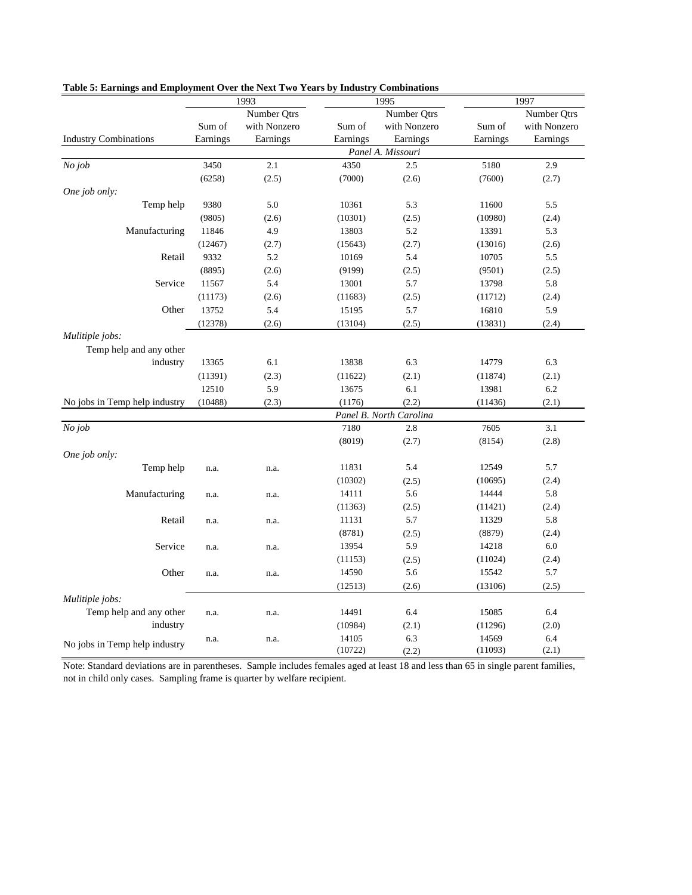|                               |          | 1993         |          | 1995                    | 1997     |              |  |
|-------------------------------|----------|--------------|----------|-------------------------|----------|--------------|--|
|                               |          | Number Qtrs  |          | Number Qtrs             |          | Number Qtrs  |  |
|                               | Sum of   | with Nonzero | Sum of   | with Nonzero            | Sum of   | with Nonzero |  |
| <b>Industry Combinations</b>  | Earnings | Earnings     | Earnings | Earnings                | Earnings | Earnings     |  |
|                               |          |              |          | Panel A. Missouri       |          |              |  |
| No job                        | 3450     | 2.1          | 4350     | 2.5                     | 5180     | 2.9          |  |
|                               | (6258)   | (2.5)        | (7000)   | (2.6)                   | (7600)   | (2.7)        |  |
| One job only:                 |          |              |          |                         |          |              |  |
| Temp help                     | 9380     | 5.0          | 10361    | 5.3                     | 11600    | 5.5          |  |
|                               | (9805)   | (2.6)        | (10301)  | (2.5)                   | (10980)  | (2.4)        |  |
| Manufacturing                 | 11846    | 4.9          | 13803    | 5.2                     | 13391    | 5.3          |  |
|                               | (12467)  | (2.7)        | (15643)  | (2.7)                   | (13016)  | (2.6)        |  |
| Retail                        | 9332     | 5.2          | 10169    | 5.4                     | 10705    | 5.5          |  |
|                               | (8895)   | (2.6)        | (9199)   | (2.5)                   | (9501)   | (2.5)        |  |
| Service                       | 11567    | 5.4          | 13001    | 5.7                     | 13798    | 5.8          |  |
|                               | (11173)  | (2.6)        | (11683)  | (2.5)                   | (11712)  | (2.4)        |  |
| Other                         | 13752    | 5.4          | 15195    | 5.7                     | 16810    | 5.9          |  |
|                               | (12378)  | (2.6)        | (13104)  | (2.5)                   | (13831)  | (2.4)        |  |
| Mulitiple jobs:               |          |              |          |                         |          |              |  |
| Temp help and any other       |          |              |          |                         |          |              |  |
| industry                      | 13365    | 6.1          | 13838    | 6.3                     | 14779    | 6.3          |  |
|                               | (11391)  | (2.3)        | (11622)  | (2.1)                   | (11874)  | (2.1)        |  |
|                               | 12510    | 5.9          | 13675    | 6.1                     | 13981    | 6.2          |  |
| No jobs in Temp help industry | (10488)  | (2.3)        | (1176)   | (2.2)                   | (11436)  | (2.1)        |  |
|                               |          |              |          | Panel B. North Carolina |          |              |  |
| No job                        |          |              | 7180     | 2.8                     | 7605     | 3.1          |  |
|                               |          |              | (8019)   | (2.7)                   | (8154)   | (2.8)        |  |
| One job only:                 |          |              |          |                         |          |              |  |
| Temp help                     | n.a.     | n.a.         | 11831    | 5.4                     | 12549    | 5.7          |  |
|                               |          |              | (10302)  | (2.5)                   | (10695)  | (2.4)        |  |
| Manufacturing                 | n.a.     | n.a.         | 14111    | 5.6                     | 14444    | 5.8          |  |
|                               |          |              | (11363)  | (2.5)                   | (11421)  | (2.4)        |  |
| Retail                        | n.a.     | n.a.         | 11131    | 5.7                     | 11329    | 5.8          |  |
|                               |          |              | (8781)   | (2.5)                   | (8879)   | (2.4)        |  |
| Service                       | n.a.     | n.a.         | 13954    | 5.9                     | 14218    | 6.0          |  |
|                               |          |              | (11153)  | (2.5)                   | (11024)  | (2.4)        |  |
| Other                         | n.a.     | n.a.         | 14590    | 5.6                     | 15542    | 5.7          |  |
|                               |          |              | (12513)  | (2.6)                   | (13106)  | (2.5)        |  |
| Mulitiple jobs:               |          |              |          |                         |          |              |  |
| Temp help and any other       | n.a.     | n.a.         | 14491    | 6.4                     | 15085    | 6.4          |  |
| industry                      |          |              | (10984)  | (2.1)                   | (11296)  | (2.0)        |  |
| No jobs in Temp help industry | n.a.     | n.a.         | 14105    | 6.3                     | 14569    | 6.4          |  |
|                               |          |              | (10722)  | (2.2)                   | (11093)  | (2.1)        |  |

#### **Table 5: Earnings and Employment Over the Next Two Years by Industry Combinations**

Note: Standard deviations are in parentheses. Sample includes females aged at least 18 and less than 65 in single parent families, not in child only cases. Sampling frame is quarter by welfare recipient.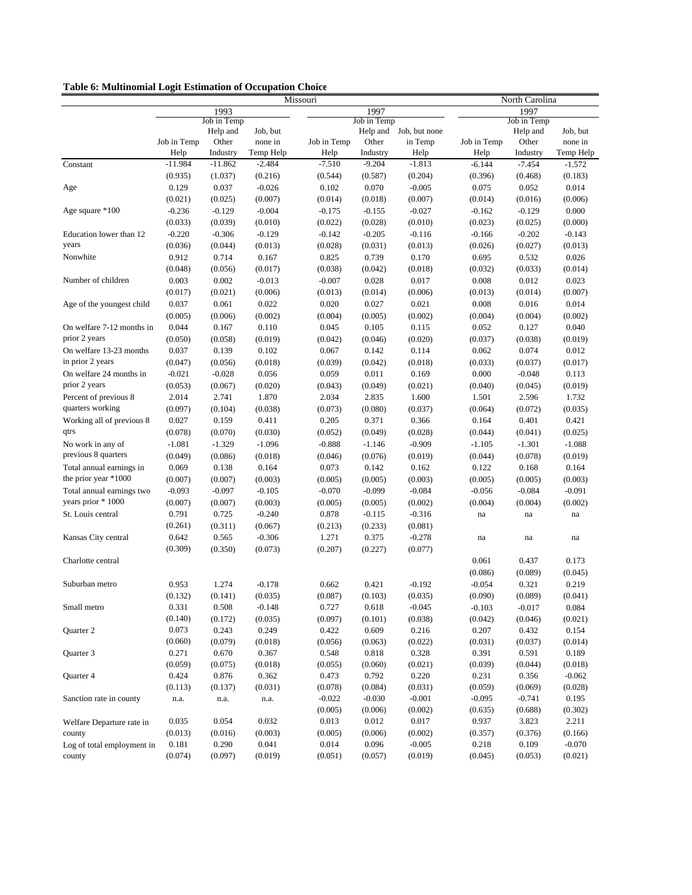| Table 6: Multinomial Logit Estimation of Occupation Choice |  |  |  |  |  |
|------------------------------------------------------------|--|--|--|--|--|
|                                                            |  |  |  |  |  |

|                            |             |             |           | Missouri    |             |                        |             | North Carolina |           |  |
|----------------------------|-------------|-------------|-----------|-------------|-------------|------------------------|-------------|----------------|-----------|--|
|                            |             | 1993        |           |             | 1997        |                        | 1997        |                |           |  |
|                            |             | Job in Temp |           |             | Job in Temp |                        |             | Job in Temp    |           |  |
|                            |             | Help and    | Job, but  |             |             | Help and Job, but none |             | Help and       | Job, but  |  |
|                            | Job in Temp | Other       | none in   | Job in Temp | Other       | in Temp                | Job in Temp | Other          | none in   |  |
|                            | Help        | Industry    | Temp Help | Help        | Industry    | Help                   | Help        | Industry       | Temp Help |  |
| Constant                   | $-11.984$   | $-11.862$   | $-2.484$  | $-7.510$    | $-9.204$    | $-1.813$               | $-6.144$    | $-7.454$       | $-1.572$  |  |
|                            | (0.935)     | (1.037)     | (0.216)   | (0.544)     | (0.587)     | (0.204)                | (0.396)     | (0.468)        | (0.183)   |  |
| Age                        | 0.129       | 0.037       | $-0.026$  | 0.102       | 0.070       | $-0.005$               | 0.075       | 0.052          | 0.014     |  |
|                            | (0.021)     | (0.025)     | (0.007)   | (0.014)     | (0.018)     | (0.007)                | (0.014)     | (0.016)        | (0.006)   |  |
| Age square *100            | $-0.236$    | $-0.129$    | $-0.004$  | $-0.175$    | $-0.155$    | $-0.027$               | $-0.162$    | $-0.129$       | 0.000     |  |
|                            | (0.033)     | (0.039)     | (0.010)   | (0.022)     | (0.028)     | (0.010)                | (0.023)     | (0.025)        | (0.000)   |  |
| Education lower than 12    | $-0.220$    | $-0.306$    | $-0.129$  | $-0.142$    | $-0.205$    | $-0.116$               | $-0.166$    | $-0.202$       | $-0.143$  |  |
| years                      | (0.036)     | (0.044)     | (0.013)   | (0.028)     | (0.031)     | (0.013)                | (0.026)     | (0.027)        | (0.013)   |  |
| Nonwhite                   | 0.912       | 0.714       | 0.167     | 0.825       | 0.739       | 0.170                  | 0.695       | 0.532          | 0.026     |  |
|                            | (0.048)     | (0.056)     | (0.017)   | (0.038)     | (0.042)     | (0.018)                | (0.032)     | (0.033)        | (0.014)   |  |
| Number of children         | 0.003       | 0.002       | $-0.013$  | $-0.007$    | 0.028       | 0.017                  | 0.008       | 0.012          | 0.023     |  |
|                            | (0.017)     | (0.021)     | (0.006)   | (0.013)     | (0.014)     | (0.006)                | (0.013)     | (0.014)        | (0.007)   |  |
| Age of the youngest child  | 0.037       | 0.061       | 0.022     | 0.020       | 0.027       | 0.021                  | 0.008       | 0.016          | 0.014     |  |
|                            | (0.005)     | (0.006)     | (0.002)   | (0.004)     | (0.005)     | (0.002)                | (0.004)     | (0.004)        | (0.002)   |  |
| On welfare 7-12 months in  | 0.044       | 0.167       | 0.110     | 0.045       | 0.105       | 0.115                  | 0.052       | 0.127          | 0.040     |  |
| prior 2 years              | (0.050)     | (0.058)     | (0.019)   | (0.042)     | (0.046)     | (0.020)                | (0.037)     | (0.038)        | (0.019)   |  |
| On welfare 13-23 months    | 0.037       | 0.139       | 0.102     | 0.067       | 0.142       | 0.114                  | 0.062       | 0.074          | 0.012     |  |
| in prior 2 years           | (0.047)     | (0.056)     | (0.018)   | (0.039)     | (0.042)     | (0.018)                | (0.033)     | (0.037)        | (0.017)   |  |
| On welfare 24 months in    | $-0.021$    | $-0.028$    | 0.056     | 0.059       | 0.011       | 0.169                  | 0.000       | $-0.048$       | 0.113     |  |
| prior 2 years              | (0.053)     | (0.067)     | (0.020)   | (0.043)     | (0.049)     | (0.021)                | (0.040)     | (0.045)        | (0.019)   |  |
| Percent of previous 8      | 2.014       | 2.741       | 1.870     | 2.034       | 2.835       | 1.600                  | 1.501       | 2.596          | 1.732     |  |
| quarters working           | (0.097)     |             | (0.038)   | (0.073)     | (0.080)     | (0.037)                | (0.064)     | (0.072)        |           |  |
| Working all of previous 8  |             | (0.104)     |           |             |             |                        |             |                | (0.035)   |  |
|                            | 0.027       | 0.159       | 0.411     | 0.205       | 0.371       | 0.366                  | 0.164       | 0.401          | 0.421     |  |
| qtrs                       | (0.078)     | (0.070)     | (0.030)   | (0.052)     | (0.049)     | (0.028)                | (0.044)     | (0.041)        | (0.025)   |  |
| No work in any of          | $-1.081$    | $-1.329$    | $-1.096$  | $-0.888$    | $-1.146$    | $-0.909$               | $-1.105$    | $-1.301$       | $-1.088$  |  |
| previous 8 quarters        | (0.049)     | (0.086)     | (0.018)   | (0.046)     | (0.076)     | (0.019)                | (0.044)     | (0.078)        | (0.019)   |  |
| Total annual earnings in   | 0.069       | 0.138       | 0.164     | 0.073       | 0.142       | 0.162                  | 0.122       | 0.168          | 0.164     |  |
| the prior year *1000       | (0.007)     | (0.007)     | (0.003)   | (0.005)     | (0.005)     | (0.003)                | (0.005)     | (0.005)        | (0.003)   |  |
| Total annual earnings two  | $-0.093$    | $-0.097$    | $-0.105$  | $-0.070$    | $-0.099$    | $-0.084$               | $-0.056$    | $-0.084$       | $-0.091$  |  |
| years prior * 1000         | (0.007)     | (0.007)     | (0.003)   | (0.005)     | (0.005)     | (0.002)                | (0.004)     | (0.004)        | (0.002)   |  |
| St. Louis central          | 0.791       | 0.725       | $-0.240$  | 0.878       | $-0.115$    | $-0.316$               | na          | na             | na        |  |
|                            | (0.261)     | (0.311)     | (0.067)   | (0.213)     | (0.233)     | (0.081)                |             |                |           |  |
| Kansas City central        | 0.642       | 0.565       | $-0.306$  | 1.271       | 0.375       | $-0.278$               | na          | na             | na        |  |
|                            | (0.309)     | (0.350)     | (0.073)   | (0.207)     | (0.227)     | (0.077)                |             |                |           |  |
| Charlotte central          |             |             |           |             |             |                        | 0.061       | 0.437          | 0.173     |  |
|                            |             |             |           |             |             |                        | (0.086)     | (0.089)        | (0.045)   |  |
| Suburban metro             | 0.953       | 1.274       | $-0.178$  | 0.662       | 0.421       | $-0.192$               | $-0.054$    | 0.321          | 0.219     |  |
|                            | (0.132)     | (0.141)     | (0.035)   | (0.087)     | (0.103)     | (0.035)                | (0.090)     | (0.089)        | (0.041)   |  |
| Small metro                | 0.331       | 0.508       | $-0.148$  | 0.727       | 0.618       | $-0.045$               | $-0.103$    | $-0.017$       | 0.084     |  |
|                            | (0.140)     | (0.172)     | (0.035)   | (0.097)     | (0.101)     | (0.038)                | (0.042)     | (0.046)        | (0.021)   |  |
| Quarter 2                  | 0.073       | 0.243       | 0.249     | 0.422       | 0.609       | 0.216                  | 0.207       | 0.432          | 0.154     |  |
|                            | (0.060)     | (0.079)     | (0.018)   | (0.056)     | (0.063)     | (0.022)                | (0.031)     | (0.037)        | (0.014)   |  |
| Quarter 3                  | 0.271       | 0.670       | 0.367     | 0.548       | 0.818       | 0.328                  | 0.391       | 0.591          | 0.189     |  |
|                            | (0.059)     | (0.075)     | (0.018)   | (0.055)     | (0.060)     | (0.021)                | (0.039)     | (0.044)        | (0.018)   |  |
| Quarter 4                  | 0.424       | 0.876       | 0.362     | 0.473       | 0.792       | 0.220                  | 0.231       | 0.356          | $-0.062$  |  |
|                            | (0.113)     | (0.137)     | (0.031)   | (0.078)     | (0.084)     | (0.031)                | (0.059)     | (0.069)        | (0.028)   |  |
| Sanction rate in county    | n.a.        | n.a.        | n.a.      | $-0.022$    | $-0.030$    | $-0.001$               | $-0.095$    | $-0.741$       | 0.195     |  |
|                            |             |             |           | (0.005)     | (0.006)     | (0.002)                | (0.635)     | (0.688)        | (0.302)   |  |
| Welfare Departure rate in  | 0.035       | 0.054       | 0.032     | 0.013       | 0.012       | 0.017                  | 0.937       | 3.823          | 2.211     |  |
| county                     | (0.013)     | (0.016)     | (0.003)   | (0.005)     | (0.006)     | (0.002)                | (0.357)     | (0.376)        | (0.166)   |  |
| Log of total employment in | 0.181       | 0.290       | 0.041     | 0.014       | 0.096       | $-0.005$               | 0.218       | 0.109          | $-0.070$  |  |
| county                     | (0.074)     | (0.097)     | (0.019)   | (0.051)     | (0.057)     | (0.019)                | (0.045)     | (0.053)        | (0.021)   |  |
|                            |             |             |           |             |             |                        |             |                |           |  |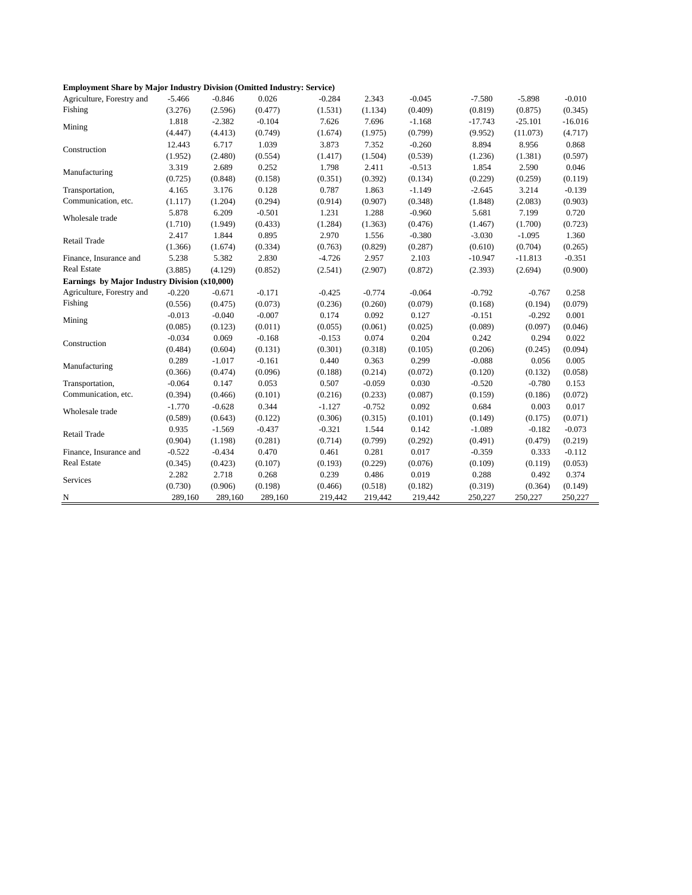|  | <b>Employment Share by Major Industry Division (Omitted Industry: Service)</b> |  |  |  |  |
|--|--------------------------------------------------------------------------------|--|--|--|--|
|--|--------------------------------------------------------------------------------|--|--|--|--|

| Agriculture, Forestry and                     | $-5.466$ | $-0.846$ | 0.026    | $-0.284$ | 2.343    | $-0.045$ | $-7.580$  | $-5.898$  | $-0.010$  |
|-----------------------------------------------|----------|----------|----------|----------|----------|----------|-----------|-----------|-----------|
| Fishing                                       | (3.276)  | (2.596)  | (0.477)  | (1.531)  | (1.134)  | (0.409)  | (0.819)   | (0.875)   | (0.345)   |
| Mining                                        | 1.818    | $-2.382$ | $-0.104$ | 7.626    | 7.696    | $-1.168$ | $-17.743$ | $-25.101$ | $-16.016$ |
|                                               | (4.447)  | (4.413)  | (0.749)  | (1.674)  | (1.975)  | (0.799)  | (9.952)   | (11.073)  | (4.717)   |
| Construction                                  | 12.443   | 6.717    | 1.039    | 3.873    | 7.352    | $-0.260$ | 8.894     | 8.956     | 0.868     |
|                                               | (1.952)  | (2.480)  | (0.554)  | (1.417)  | (1.504)  | (0.539)  | (1.236)   | (1.381)   | (0.597)   |
| Manufacturing                                 | 3.319    | 2.689    | 0.252    | 1.798    | 2.411    | $-0.513$ | 1.854     | 2.590     | 0.046     |
|                                               | (0.725)  | (0.848)  | (0.158)  | (0.351)  | (0.392)  | (0.134)  | (0.229)   | (0.259)   | (0.119)   |
| Transportation,                               | 4.165    | 3.176    | 0.128    | 0.787    | 1.863    | $-1.149$ | $-2.645$  | 3.214     | $-0.139$  |
| Communication, etc.                           | (1.117)  | (1.204)  | (0.294)  | (0.914)  | (0.907)  | (0.348)  | (1.848)   | (2.083)   | (0.903)   |
| Wholesale trade                               | 5.878    | 6.209    | $-0.501$ | 1.231    | 1.288    | $-0.960$ | 5.681     | 7.199     | 0.720     |
|                                               | (1.710)  | (1.949)  | (0.433)  | (1.284)  | (1.363)  | (0.476)  | (1.467)   | (1.700)   | (0.723)   |
| Retail Trade                                  | 2.417    | 1.844    | 0.895    | 2.970    | 1.556    | $-0.380$ | $-3.030$  | $-1.095$  | 1.360     |
|                                               | (1.366)  | (1.674)  | (0.334)  | (0.763)  | (0.829)  | (0.287)  | (0.610)   | (0.704)   | (0.265)   |
| Finance, Insurance and                        | 5.238    | 5.382    | 2.830    | $-4.726$ | 2.957    | 2.103    | $-10.947$ | $-11.813$ | $-0.351$  |
| <b>Real Estate</b>                            | (3.885)  | (4.129)  | (0.852)  | (2.541)  | (2.907)  | (0.872)  | (2.393)   | (2.694)   | (0.900)   |
| Earnings by Major Industry Division (x10,000) |          |          |          |          |          |          |           |           |           |
| Agriculture, Forestry and                     | $-0.220$ | $-0.671$ | $-0.171$ | $-0.425$ | $-0.774$ | $-0.064$ | $-0.792$  | $-0.767$  | 0.258     |
| Fishing                                       | (0.556)  | (0.475)  | (0.073)  | (0.236)  | (0.260)  | (0.079)  | (0.168)   | (0.194)   | (0.079)   |
| Mining                                        | $-0.013$ | $-0.040$ | $-0.007$ | 0.174    | 0.092    | 0.127    | $-0.151$  | $-0.292$  | 0.001     |
|                                               | (0.085)  | (0.123)  | (0.011)  | (0.055)  | (0.061)  | (0.025)  | (0.089)   | (0.097)   | (0.046)   |
| Construction                                  | $-0.034$ | 0.069    | $-0.168$ | $-0.153$ | 0.074    | 0.204    | 0.242     | 0.294     | 0.022     |
|                                               | (0.484)  | (0.604)  | (0.131)  | (0.301)  | (0.318)  | (0.105)  | (0.206)   | (0.245)   | (0.094)   |
| Manufacturing                                 | 0.289    | $-1.017$ | $-0.161$ | 0.440    | 0.363    | 0.299    | $-0.088$  | 0.056     | 0.005     |
|                                               | (0.366)  | (0.474)  | (0.096)  | (0.188)  | (0.214)  | (0.072)  | (0.120)   | (0.132)   | (0.058)   |
| Transportation,                               | $-0.064$ | 0.147    | 0.053    | 0.507    | $-0.059$ | 0.030    | $-0.520$  | $-0.780$  | 0.153     |
| Communication, etc.                           | (0.394)  | (0.466)  | (0.101)  | (0.216)  | (0.233)  | (0.087)  | (0.159)   | (0.186)   | (0.072)   |
| Wholesale trade                               | $-1.770$ | $-0.628$ | 0.344    | $-1.127$ | $-0.752$ | 0.092    | 0.684     | 0.003     | 0.017     |
|                                               | (0.589)  | (0.643)  | (0.122)  | (0.306)  | (0.315)  | (0.101)  | (0.149)   | (0.175)   | (0.071)   |
| Retail Trade                                  | 0.935    | $-1.569$ | $-0.437$ | $-0.321$ | 1.544    | 0.142    | $-1.089$  | $-0.182$  | $-0.073$  |
|                                               | (0.904)  | (1.198)  | (0.281)  | (0.714)  | (0.799)  | (0.292)  | (0.491)   | (0.479)   | (0.219)   |
| Finance, Insurance and                        | $-0.522$ | $-0.434$ | 0.470    | 0.461    | 0.281    | 0.017    | $-0.359$  | 0.333     | $-0.112$  |
| <b>Real Estate</b>                            | (0.345)  | (0.423)  | (0.107)  | (0.193)  | (0.229)  | (0.076)  | (0.109)   | (0.119)   | (0.053)   |
| Services                                      | 2.282    | 2.718    | 0.268    | 0.239    | 0.486    | 0.019    | 0.288     | 0.492     | 0.374     |
|                                               | (0.730)  | (0.906)  | (0.198)  | (0.466)  | (0.518)  | (0.182)  | (0.319)   | (0.364)   | (0.149)   |
| N                                             | 289,160  | 289,160  | 289,160  | 219,442  | 219,442  | 219,442  | 250,227   | 250,227   | 250,227   |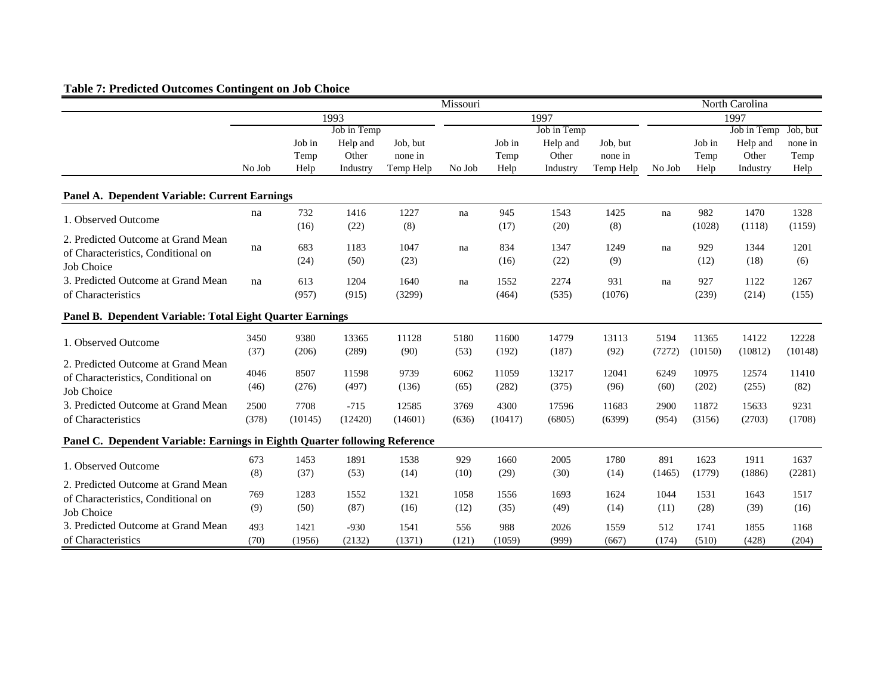# **Table 7: Predicted Outcomes Contingent on Job Choice**

|                                                                             |        |         |              |           | Missouri |         |             |           |        |         | North Carolina       |         |
|-----------------------------------------------------------------------------|--------|---------|--------------|-----------|----------|---------|-------------|-----------|--------|---------|----------------------|---------|
|                                                                             | 1993   |         |              |           | 1997     |         |             |           | 1997   |         |                      |         |
|                                                                             |        |         | Job in Temp  |           |          |         | Job in Temp |           |        |         | Job in Temp Job, but |         |
|                                                                             |        | Job in  | Help and     | Job, but  |          | Job in  | Help and    | Job, but  |        | Job in  | Help and             | none in |
|                                                                             |        | Temp    | Other        | none in   |          | Temp    | Other       | none in   |        | Temp    | Other                | Temp    |
|                                                                             | No Job | Help    | Industry     | Temp Help | No Job   | Help    | Industry    | Temp Help | No Job | Help    | Industry             | Help    |
| Panel A. Dependent Variable: Current Earnings                               |        |         |              |           |          |         |             |           |        |         |                      |         |
|                                                                             | na     | 732     | 1416         | 1227      | na       | 945     | 1543        | 1425      | na     | 982     | 1470                 | 1328    |
| 1. Observed Outcome                                                         |        | (16)    | (22)         | (8)       |          | (17)    | (20)        | (8)       |        | (1028)  | (1118)               | (1159)  |
| 2. Predicted Outcome at Grand Mean                                          |        |         |              | 1047      |          |         | 1347        |           |        | 929     |                      |         |
| of Characteristics, Conditional on                                          | na     | 683     | 1183<br>(50) | (23)      | na       | 834     | (22)        | 1249      | na     |         | 1344<br>(18)         | 1201    |
| Job Choice                                                                  |        | (24)    |              |           |          | (16)    |             | (9)       |        | (12)    |                      | (6)     |
| 3. Predicted Outcome at Grand Mean                                          | na     | 613     | 1204         | 1640      | na       | 1552    | 2274        | 931       | na     | 927     | 1122                 | 1267    |
| of Characteristics                                                          |        | (957)   | (915)        | (3299)    |          | (464)   | (535)       | (1076)    |        | (239)   | (214)                | (155)   |
| Panel B. Dependent Variable: Total Eight Quarter Earnings                   |        |         |              |           |          |         |             |           |        |         |                      |         |
|                                                                             | 3450   | 9380    | 13365        | 11128     | 5180     | 11600   | 14779       | 13113     | 5194   | 11365   | 14122                | 12228   |
| 1. Observed Outcome                                                         | (37)   | (206)   | (289)        | (90)      | (53)     | (192)   | (187)       | (92)      | (7272) | (10150) | (10812)              | (10148) |
| 2. Predicted Outcome at Grand Mean                                          |        |         |              |           |          |         |             |           |        |         |                      |         |
| of Characteristics, Conditional on                                          | 4046   | 8507    | 11598        | 9739      | 6062     | 11059   | 13217       | 12041     | 6249   | 10975   | 12574                | 11410   |
| Job Choice                                                                  | (46)   | (276)   | (497)        | (136)     | (65)     | (282)   | (375)       | (96)      | (60)   | (202)   | (255)                | (82)    |
| 3. Predicted Outcome at Grand Mean                                          | 2500   | 7708    | $-715$       | 12585     | 3769     | 4300    | 17596       | 11683     | 2900   | 11872   | 15633                | 9231    |
| of Characteristics                                                          | (378)  | (10145) | (12420)      | (14601)   | (636)    | (10417) | (6805)      | (6399)    | (954)  | (3156)  | (2703)               | (1708)  |
| Panel C. Dependent Variable: Earnings in Eighth Quarter following Reference |        |         |              |           |          |         |             |           |        |         |                      |         |
|                                                                             | 673    | 1453    | 1891         | 1538      | 929      | 1660    | 2005        | 1780      | 891    | 1623    | 1911                 | 1637    |
| 1. Observed Outcome                                                         | (8)    | (37)    | (53)         | (14)      | (10)     | (29)    | (30)        | (14)      | (1465) | (1779)  | (1886)               | (2281)  |
| 2. Predicted Outcome at Grand Mean                                          |        |         |              |           |          |         |             |           |        |         |                      |         |
| of Characteristics, Conditional on                                          | 769    | 1283    | 1552         | 1321      | 1058     | 1556    | 1693        | 1624      | 1044   | 1531    | 1643                 | 1517    |
| Job Choice                                                                  | (9)    | (50)    | (87)         | (16)      | (12)     | (35)    | (49)        | (14)      | (11)   | (28)    | (39)                 | (16)    |
| 3. Predicted Outcome at Grand Mean                                          | 493    | 1421    | $-930$       | 1541      | 556      | 988     | 2026        | 1559      | 512    | 1741    | 1855                 | 1168    |
| of Characteristics                                                          | (70)   | (1956)  | (2132)       | (1371)    | (121)    | (1059)  | (999)       | (667)     | (174)  | (510)   | (428)                | (204)   |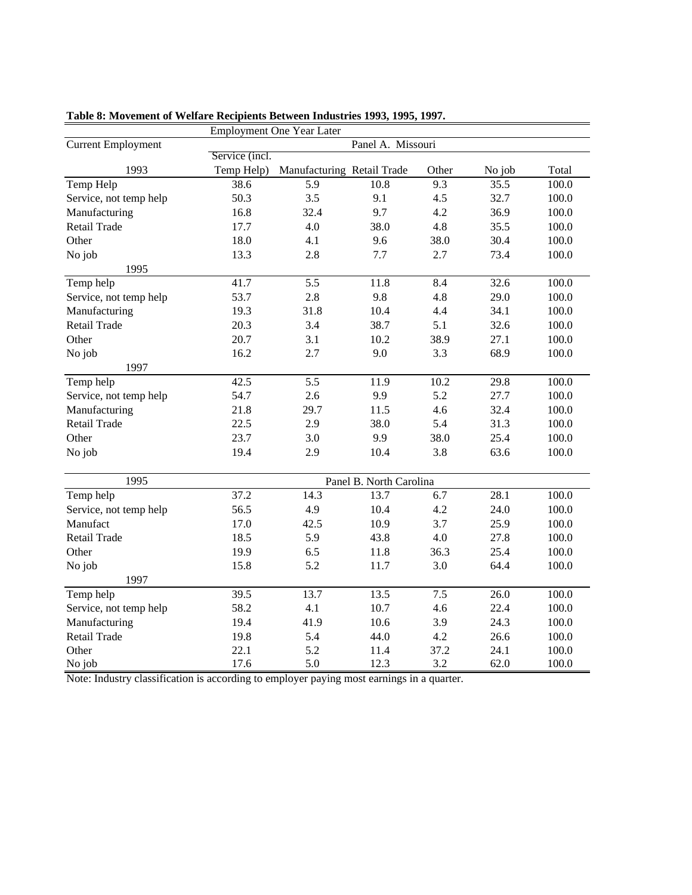|                           |                | <b>Employment One Year Later</b> |                         |       |        |       |
|---------------------------|----------------|----------------------------------|-------------------------|-------|--------|-------|
| <b>Current Employment</b> |                |                                  | Panel A. Missouri       |       |        |       |
|                           | Service (incl. |                                  |                         |       |        |       |
| 1993                      | Temp Help)     | Manufacturing Retail Trade       |                         | Other | No job | Total |
| Temp Help                 | 38.6           | 5.9                              | 10.8                    | 9.3   | 35.5   | 100.0 |
| Service, not temp help    | 50.3           | 3.5                              | 9.1                     | 4.5   | 32.7   | 100.0 |
| Manufacturing             | 16.8           | 32.4                             | 9.7                     | 4.2   | 36.9   | 100.0 |
| Retail Trade              | 17.7           | 4.0                              | 38.0                    | 4.8   | 35.5   | 100.0 |
| Other                     | 18.0           | 4.1                              | 9.6                     | 38.0  | 30.4   | 100.0 |
| No job                    | 13.3           | 2.8                              | 7.7                     | 2.7   | 73.4   | 100.0 |
| 1995                      |                |                                  |                         |       |        |       |
| Temp help                 | 41.7           | 5.5                              | 11.8                    | 8.4   | 32.6   | 100.0 |
| Service, not temp help    | 53.7           | 2.8                              | 9.8                     | 4.8   | 29.0   | 100.0 |
| Manufacturing             | 19.3           | 31.8                             | 10.4                    | 4.4   | 34.1   | 100.0 |
| <b>Retail Trade</b>       | 20.3           | 3.4                              | 38.7                    | 5.1   | 32.6   | 100.0 |
| Other                     | 20.7           | 3.1                              | 10.2                    | 38.9  | 27.1   | 100.0 |
| No job                    | 16.2           | 2.7                              | 9.0                     | 3.3   | 68.9   | 100.0 |
| 1997                      |                |                                  |                         |       |        |       |
| Temp help                 | 42.5           | 5.5                              | 11.9                    | 10.2  | 29.8   | 100.0 |
| Service, not temp help    | 54.7           | 2.6                              | 9.9                     | 5.2   | 27.7   | 100.0 |
| Manufacturing             | 21.8           | 29.7                             | 11.5                    | 4.6   | 32.4   | 100.0 |
| <b>Retail Trade</b>       | 22.5           | 2.9                              | 38.0                    | 5.4   | 31.3   | 100.0 |
| Other                     | 23.7           | 3.0                              | 9.9                     | 38.0  | 25.4   | 100.0 |
| No job                    | 19.4           | 2.9                              | 10.4                    | 3.8   | 63.6   | 100.0 |
| 1995                      |                |                                  | Panel B. North Carolina |       |        |       |
| Temp help                 | 37.2           | 14.3                             | 13.7                    | 6.7   | 28.1   | 100.0 |
| Service, not temp help    | 56.5           | 4.9                              | 10.4                    | 4.2   | 24.0   | 100.0 |
| Manufact                  | 17.0           | 42.5                             | 10.9                    | 3.7   | 25.9   | 100.0 |
| <b>Retail Trade</b>       | 18.5           | 5.9                              | 43.8                    | 4.0   | 27.8   | 100.0 |
| Other                     | 19.9           | 6.5                              | 11.8                    | 36.3  | 25.4   | 100.0 |
| No job                    | 15.8           | 5.2                              | 11.7                    | 3.0   | 64.4   | 100.0 |
| 1997                      |                |                                  |                         |       |        |       |
| Temp help                 | 39.5           | 13.7                             | 13.5                    | 7.5   | 26.0   | 100.0 |
| Service, not temp help    | 58.2           | 4.1                              | 10.7                    | 4.6   | 22.4   | 100.0 |
| Manufacturing             | 19.4           | 41.9                             | 10.6                    | 3.9   | 24.3   | 100.0 |
| Retail Trade              | 19.8           | 5.4                              | 44.0                    | 4.2   | 26.6   | 100.0 |
| Other                     | 22.1           | 5.2                              | 11.4                    | 37.2  | 24.1   | 100.0 |
| No job                    | 17.6           | 5.0                              | 12.3                    | 3.2   | 62.0   | 100.0 |

**Table 8: Movement of Welfare Recipients Between Industries 1993, 1995, 1997.**

Note: Industry classification is according to employer paying most earnings in a quarter.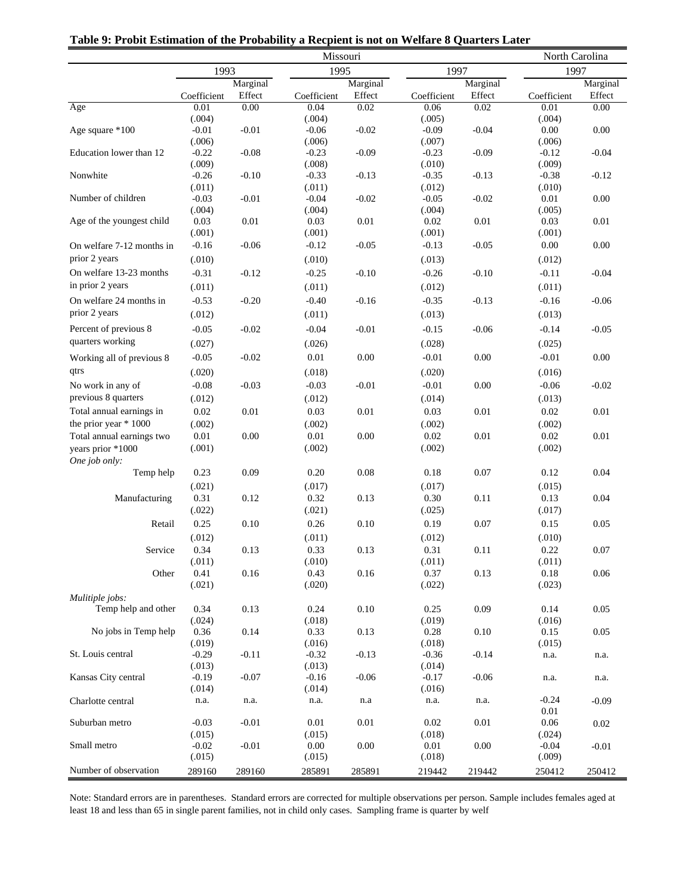|                           | Missouri          |         |                    |          |                   |          | North Carolina    |          |  |  |
|---------------------------|-------------------|---------|--------------------|----------|-------------------|----------|-------------------|----------|--|--|
|                           | 1993              |         | 1995               |          | 1997              |          | 1997              |          |  |  |
|                           | Marginal          |         |                    | Marginal |                   | Marginal | Marginal          |          |  |  |
|                           | Coefficient       | Effect  | Coefficient        | Effect   | Coefficient       | Effect   | Coefficient       | Effect   |  |  |
| Age                       | 0.01              | 0.00    | 0.04               | 0.02     | 0.06              | 0.02     | 0.01              | 0.00     |  |  |
|                           | (.004)            |         | (.004)             |          | (.005)            |          | (.004)            |          |  |  |
| Age square *100           | $-0.01$           | $-0.01$ | $-0.06$            | $-0.02$  | $-0.09$           | $-0.04$  | 0.00              | $0.00\,$ |  |  |
|                           | (.006)            |         | (.006)             |          | (.007)            |          | (.006)            |          |  |  |
| Education lower than 12   | $-0.22$           | $-0.08$ | $-0.23$            | $-0.09$  | $-0.23$           | $-0.09$  | $-0.12$           | $-0.04$  |  |  |
| Nonwhite                  | (.009)<br>$-0.26$ | $-0.10$ | (.008)<br>$-0.33$  | $-0.13$  | (.010)<br>$-0.35$ | $-0.13$  | (.009)<br>$-0.38$ | $-0.12$  |  |  |
|                           | (.011)            |         | (.011)             |          | (.012)            |          | (.010)            |          |  |  |
| Number of children        | $-0.03$           | $-0.01$ | $-0.04$            | $-0.02$  | $-0.05$           | $-0.02$  | 0.01              | $0.00\,$ |  |  |
|                           | (.004)            |         | (.004)             |          | (.004)            |          | (.005)            |          |  |  |
| Age of the youngest child | 0.03              | 0.01    | 0.03               | 0.01     | 0.02              | 0.01     | 0.03              | $0.01\,$ |  |  |
|                           | (.001)            |         | (.001)             |          | (.001)            |          | (.001)            |          |  |  |
| On welfare 7-12 months in | $-0.16$           | $-0.06$ | $-0.12$            | $-0.05$  | $-0.13$           | $-0.05$  | 0.00              | $0.00\,$ |  |  |
| prior 2 years             | (.010)            |         | (.010)             |          | (.013)            |          | (.012)            |          |  |  |
| On welfare 13-23 months   | $-0.31$           | $-0.12$ | $-0.25$            | $-0.10$  | $-0.26$           | $-0.10$  | $-0.11$           | $-0.04$  |  |  |
| in prior 2 years          | (.011)            |         | (.011)             |          | (.012)            |          | (.011)            |          |  |  |
| On welfare 24 months in   | $-0.53$           | $-0.20$ | $-0.40$            | $-0.16$  | $-0.35$           | $-0.13$  | $-0.16$           | $-0.06$  |  |  |
| prior 2 years             | (.012)            |         | (.011)             |          | (.013)            |          | (.013)            |          |  |  |
|                           |                   |         |                    |          |                   |          |                   |          |  |  |
| Percent of previous 8     | $-0.05$           | $-0.02$ | $-0.04$            | $-0.01$  | $-0.15$           | $-0.06$  | $-0.14$           | $-0.05$  |  |  |
| quarters working          | (.027)            |         | (.026)             |          | (.028)            |          | (.025)            |          |  |  |
| Working all of previous 8 | $-0.05$           | $-0.02$ | 0.01               | $0.00\,$ | $-0.01$           | 0.00     | $-0.01$           | $0.00\,$ |  |  |
| qtrs                      | (.020)            |         | (.018)             |          | (.020)            |          | (.016)            |          |  |  |
| No work in any of         | $-0.08$           | $-0.03$ | $-0.03$            | $-0.01$  | $-0.01$           | $0.00\,$ | $-0.06$           | $-0.02$  |  |  |
| previous 8 quarters       | (.012)            |         | (.012)             |          | (.014)            |          | (.013)            |          |  |  |
| Total annual earnings in  | 0.02              | 0.01    | 0.03               | 0.01     | 0.03              | 0.01     | 0.02              | 0.01     |  |  |
| the prior year * 1000     | (.002)            |         | (.002)             |          | (.002)            |          | (.002)            |          |  |  |
| Total annual earnings two | 0.01              | 0.00    | 0.01               | $0.00\,$ | $0.02\,$          | 0.01     | 0.02              | $0.01\,$ |  |  |
| years prior *1000         | (.001)            |         | (.002)             |          | (.002)            |          | (.002)            |          |  |  |
| One job only:             |                   |         |                    |          |                   |          |                   |          |  |  |
| Temp help                 | 0.23              | 0.09    | 0.20               | 0.08     | 0.18              | 0.07     | 0.12              | 0.04     |  |  |
|                           | (.021)            |         | (.017)             |          | (.017)            |          | (.015)            |          |  |  |
| Manufacturing             | 0.31              | 0.12    | 0.32               | 0.13     | 0.30              | 0.11     | 0.13              | 0.04     |  |  |
|                           | (.022)            |         | (.021)             |          | (.025)            |          | (.017)            |          |  |  |
| Retail                    | 0.25              | 0.10    | 0.26               | 0.10     | 0.19              | 0.07     | 0.15              | 0.05     |  |  |
|                           | (.012)            |         | (.011)             |          | (.012)            |          | (.010)            |          |  |  |
| Service                   | 0.34              | 0.13    | 0.33               | 0.13     | 0.31              | 0.11     | 0.22              | 0.07     |  |  |
|                           | (.011)            |         | (.010)             |          | (.011)            |          | (.011)            |          |  |  |
| Other                     | 0.41              | 0.16    | 0.43               | $0.16\,$ | 0.37              | 0.13     | 0.18              | 0.06     |  |  |
|                           | (.021)            |         | (.020)             |          | (.022)            |          | (.023)            |          |  |  |
| Mulitiple jobs:           |                   |         |                    |          |                   |          |                   |          |  |  |
| Temp help and other       | 0.34              | 0.13    | 0.24               | 0.10     | 0.25              | 0.09     | 0.14              | 0.05     |  |  |
|                           | (.024)            |         | (.018)             |          | (.019)            |          | (.016)            |          |  |  |
| No jobs in Temp help      | 0.36<br>(.019)    | 0.14    | 0.33<br>(.016)     | 0.13     | 0.28<br>(.018)    | $0.10\,$ | 0.15<br>(.015)    | 0.05     |  |  |
| St. Louis central         | $-0.29$           | $-0.11$ | $-0.32$            | $-0.13$  | $-0.36$           | $-0.14$  | n.a.              | n.a.     |  |  |
|                           | (.013)            |         | (.013)             |          | (.014)            |          |                   |          |  |  |
| Kansas City central       | $-0.19$           | $-0.07$ | $-0.16$            | $-0.06$  | $-0.17$           | $-0.06$  | n.a.              | n.a.     |  |  |
|                           | (.014)            |         | (.014)             |          | (.016)            |          |                   |          |  |  |
| Charlotte central         | n.a.              | n.a.    | n.a.               | n.a      | n.a.              | n.a.     | $-0.24$           | $-0.09$  |  |  |
|                           |                   |         |                    |          |                   |          | 0.01              |          |  |  |
| Suburban metro            | $-0.03$           | $-0.01$ | $0.01\,$           | $0.01\,$ | $0.02\,$          | 0.01     | 0.06              | 0.02     |  |  |
|                           | (.015)            |         | (.015)             |          | (.018)            |          | (.024)            |          |  |  |
| Small metro               | $-0.02$<br>(.015) | $-0.01$ | $0.00\,$<br>(.015) | $0.00\,$ | 0.01<br>(.018)    | $0.00\,$ | $-0.04$<br>(.009) | $-0.01$  |  |  |
| Number of observation     |                   |         |                    |          |                   |          |                   |          |  |  |
|                           | 289160            | 289160  | 285891             | 285891   | 219442            | 219442   | 250412            | 250412   |  |  |

**Table 9: Probit Estimation of the Probability a Recpient is not on Welfare 8 Quarters Later**

Note: Standard errors are in parentheses. Standard errors are corrected for multiple observations per person. Sample includes females aged at least 18 and less than 65 in single parent families, not in child only cases. Sampling frame is quarter by welf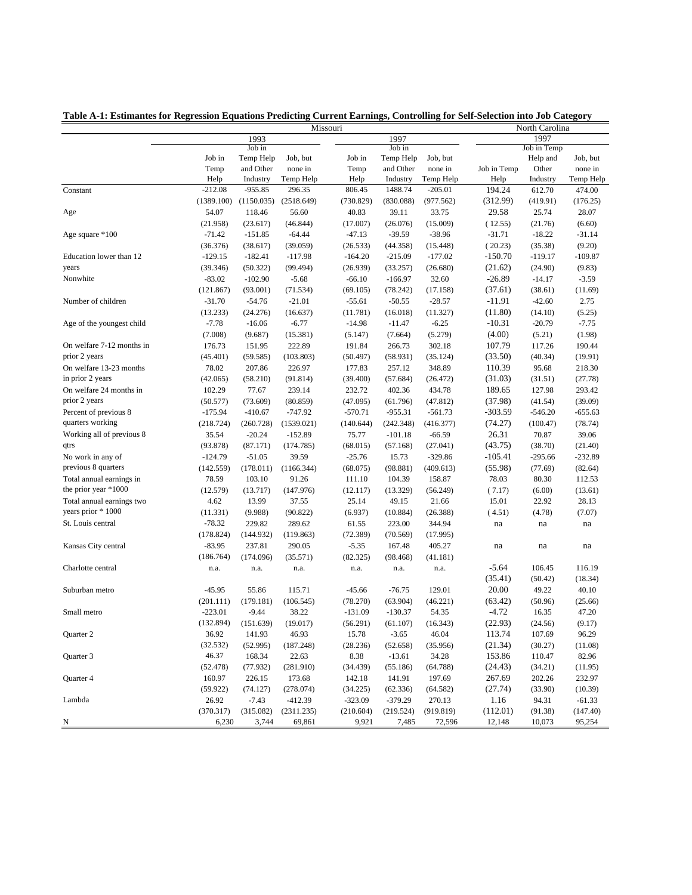|                           | North Carolina<br>Missouri |                      |                    |           |                       |           |                    |                  |                  |
|---------------------------|----------------------------|----------------------|--------------------|-----------|-----------------------|-----------|--------------------|------------------|------------------|
|                           |                            | 1993                 |                    |           | 1997                  |           |                    | 1997             |                  |
|                           |                            | Job in               |                    |           | Job in                |           |                    | Job in Temp      |                  |
|                           | Job in                     | Temp Help            | Job. but           | Job in    | Temp Help             | Job, but  |                    | Help and         | Job, but         |
|                           | Temp                       | and Other            | none in            | Temp      | and Other             | none in   | Job in Temp        | Other            | none in          |
|                           | Help                       | Industry             | Temp Help          | Help      | Industry              | Temp Help | Help               | Industry         | Temp Help        |
| Constant                  | $-212.08$                  | $-955.85$            | 296.35             | 806.45    | 1488.74               | $-205.01$ | 194.24             | 612.70           | 474.00           |
|                           | (1389.100)                 | (1150.035)           | (2518.649)         | (730.829) | (830.088)             | (977.562) | (312.99)           | (419.91)         | (176.25)         |
| Age                       | 54.07                      | 118.46               | 56.60              | 40.83     | 39.11                 | 33.75     | 29.58              | 25.74            | 28.07            |
|                           | (21.958)                   | (23.617)             | (46.844)           | (17.007)  | (26.076)              | (15.009)  | (12.55)            | (21.76)          | (6.60)           |
| Age square *100           | $-71.42$                   | $-151.85$            | $-64.44$           | $-47.13$  | $-39.59$              | $-38.96$  | $-31.71$           | $-18.22$         | $-31.14$         |
|                           | (36.376)                   | (38.617)             | (39.059)           | (26.533)  | (44.358)              | (15.448)  | (20.23)            | (35.38)          | (9.20)           |
| Education lower than 12   | $-129.15$                  | $-182.41$            | $-117.98$          | $-164.20$ | $-215.09$             | $-177.02$ | $-150.70$          | $-119.17$        | $-109.87$        |
| years                     | (39.346)                   | (50.322)             | (99.494)           | (26.939)  | (33.257)              | (26.680)  | (21.62)            | (24.90)          | (9.83)           |
| Nonwhite                  | $-83.02$                   | $-102.90$            | $-5.68$            | $-66.10$  | $-166.97$             | 32.60     | $-26.89$           | $-14.17$         | $-3.59$          |
|                           | (121.867)                  | (93.001)             | (71.534)           | (69.105)  | (78.242)              | (17.158)  | (37.61)            | (38.61)          | (11.69)          |
| Number of children        | $-31.70$                   | $-54.76$             | $-21.01$           | $-55.61$  | $-50.55$              | $-28.57$  | $-11.91$           | $-42.60$         | 2.75             |
|                           | (13.233)                   | (24.276)             | (16.637)           | (11.781)  | (16.018)              | (11.327)  | (11.80)            | (14.10)          | (5.25)           |
| Age of the youngest child | $-7.78$                    | $-16.06$             | $-6.77$            | $-14.98$  | $-11.47$              | $-6.25$   | $-10.31$           | $-20.79$         | $-7.75$          |
|                           | (7.008)                    | (9.687)              | (15.381)           | (5.147)   | (7.664)               | (5.279)   | (4.00)             | (5.21)           | (1.98)           |
| On welfare 7-12 months in | 176.73                     | 151.95               | 222.89             | 191.84    | 266.73                | 302.18    | 107.79             | 117.26           | 190.44           |
| prior 2 years             | (45.401)                   | (59.585)             | (103.803)          | (50.497)  | (58.931)              | (35.124)  | (33.50)            | (40.34)          | (19.91)          |
| On welfare 13-23 months   | 78.02                      | 207.86               | 226.97             | 177.83    | 257.12                | 348.89    | 110.39             | 95.68            | 218.30           |
| in prior 2 years          | (42.065)                   | (58.210)             | (91.814)           | (39.400)  | (57.684)              | (26.472)  | (31.03)            | (31.51)          | (27.78)          |
| On welfare 24 months in   | 102.29                     | 77.67                | 239.14             | 232.72    | 402.36                | 434.78    | 189.65             | 127.98           | 293.42           |
| prior 2 years             | (50.577)                   | (73.609)             | (80.859)           | (47.095)  | (61.796)              | (47.812)  | (37.98)            | (41.54)          | (39.09)          |
| Percent of previous 8     | $-175.94$                  | $-410.67$            | $-747.92$          | $-570.71$ | $-955.31$             | $-561.73$ | $-303.59$          | $-546.20$        | $-655.63$        |
| quarters working          | (218.724)                  | (260.728)            | (1539.021)         | (140.644) | (242.348)             | (416.377) | (74.27)            | (100.47)         | (78.74)          |
| Working all of previous 8 | 35.54                      | $-20.24$             | $-152.89$          | 75.77     | $-101.18$             | $-66.59$  | 26.31              | 70.87            | 39.06            |
| qtrs                      | (93.878)                   | (87.171)             | (174.785)          | (68.015)  | (57.168)              | (27.041)  | (43.75)            | (38.70)          | (21.40)          |
| No work in any of         | $-124.79$                  | $-51.05$             | 39.59              | $-25.76$  | 15.73                 | $-329.86$ | $-105.41$          | $-295.66$        | $-232.89$        |
| previous 8 quarters       | (142.559)                  | (178.011)            | (1166.344)         | (68.075)  | (98.881)              | (409.613) | (55.98)            | (77.69)          | (82.64)          |
| Total annual earnings in  | 78.59                      | 103.10               | 91.26              | 111.10    | 104.39                | 158.87    | 78.03              | 80.30            | 112.53           |
| the prior year *1000      | (12.579)                   | (13.717)             | (147.976)          | (12.117)  | (13.329)              | (56.249)  | (7.17)             | (6.00)           | (13.61)          |
| Total annual earnings two | 4.62                       | 13.99                | 37.55              | 25.14     | 49.15                 | 21.66     | 15.01              | 22.92            | 28.13            |
| years prior * 1000        | (11.331)                   | (9.988)              | (90.822)           | (6.937)   | (10.884)              | (26.388)  | (4.51)             | (4.78)           | (7.07)           |
| St. Louis central         | $-78.32$                   | 229.82               | 289.62             | 61.55     | 223.00                | 344.94    | na                 | na               | na               |
|                           | (178.824)                  | (144.932)            | (119.863)          | (72.389)  | (70.569)              | (17.995)  |                    |                  |                  |
| Kansas City central       | $-83.95$                   | 237.81               | 290.05             | $-5.35$   | 167.48                | 405.27    | na                 | na               | na               |
|                           | (186.764)                  | (174.096)            | (35.571)           | (82.325)  | (98.468)              | (41.181)  |                    |                  |                  |
| Charlotte central         | n.a.                       | n.a.                 | n.a.               |           | n.a.                  |           | $-5.64$            | 106.45           | 116.19           |
|                           |                            |                      |                    | n.a.      |                       | n.a.      | (35.41)            |                  |                  |
| Suburban metro            | $-45.95$                   | 55.86                | 115.71             | $-45.66$  | $-76.75$              | 129.01    | 20.00              | (50.42)<br>49.22 | (18.34)<br>40.10 |
|                           |                            |                      |                    |           |                       |           |                    |                  |                  |
| Small metro               | (201.111)<br>$-223.01$     | (179.181)<br>$-9.44$ | (106.545)<br>38.22 | (78.270)  | (63.904)<br>$-130.37$ | (46.221)  | (63.42)<br>$-4.72$ | (50.96)          | (25.66)<br>47.20 |
|                           |                            |                      |                    | $-131.09$ |                       | 54.35     |                    | 16.35            |                  |
|                           | (132.894)                  | (151.639)            | (19.017)           | (56.291)  | (61.107)              | (16.343)  | (22.93)            | (24.56)          | (9.17)           |
| Quarter 2                 | 36.92                      | 141.93               | 46.93              | 15.78     | $-3.65$               | 46.04     | 113.74             | 107.69           | 96.29            |
|                           | (32.532)                   | (52.995)             | (187.248)          | (28.236)  | (52.658)              | (35.956)  | (21.34)            | (30.27)          | (11.08)          |
| Quarter 3                 | 46.37                      | 168.34               | 22.63              | 8.38      | $-13.61$              | 34.28     | 153.86             | 110.47           | 82.96            |
|                           | (52.478)                   | (77.932)             | (281.910)          | (34.439)  | (55.186)              | (64.788)  | (24.43)            | (34.21)          | (11.95)          |
| Quarter 4                 | 160.97                     | 226.15               | 173.68             | 142.18    | 141.91                | 197.69    | 267.69             | 202.26           | 232.97           |
|                           | (59.922)                   | (74.127)             | (278.074)          | (34.225)  | (62.336)              | (64.582)  | (27.74)            | (33.90)          | (10.39)          |
| Lambda                    | 26.92                      | $-7.43$              | $-412.39$          | $-323.09$ | $-379.29$             | 270.13    | 1.16               | 94.31            | $-61.33$         |
|                           | (370.317)                  | (315.082)            | (2311.235)         | (210.604) | (219.524)             | (919.819) | (112.01)           | (91.38)          | (147.40)         |
| N                         | 6,230                      | 3,744                | 69,861             | 9,921     | 7,485                 | 72,596    | 12,148             | 10,073           | 95,254           |

**Table A-1: Estimantes for Regression Equations Predicting Current Earnings, Controlling for Self-Selection into Job Category**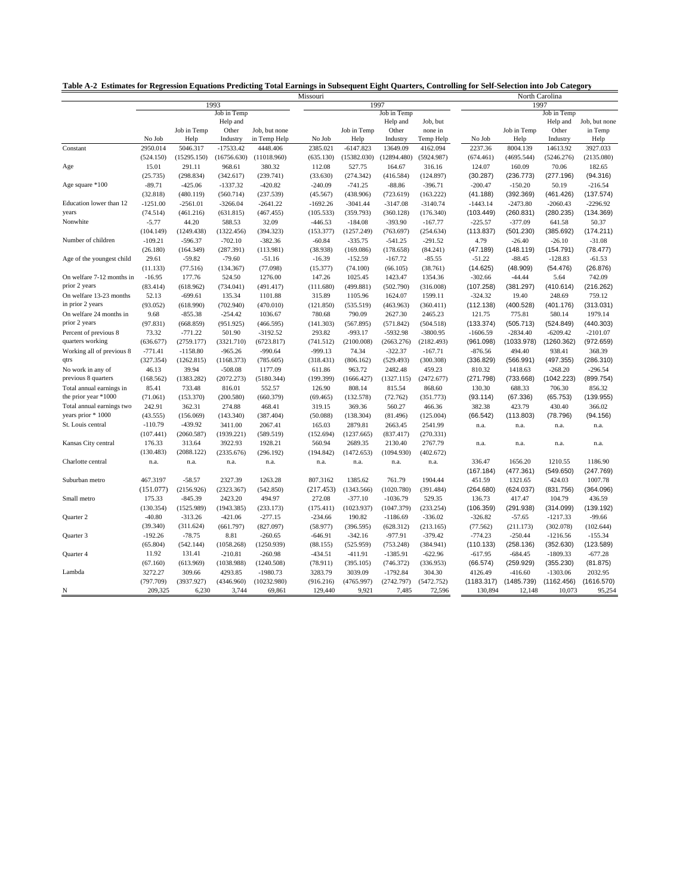| Table A-2 Estimates for Regression Equations Predicting Total Earnings in Subsequent Eight Quarters, Controlling for Self-Selection into Job Category |  |  |  |  |  |
|-------------------------------------------------------------------------------------------------------------------------------------------------------|--|--|--|--|--|
|                                                                                                                                                       |  |  |  |  |  |

|                           |                     |                         |                       |                     | Missouri            |                         |             | North Carolina      |                     |                     |                     |                     |
|---------------------------|---------------------|-------------------------|-----------------------|---------------------|---------------------|-------------------------|-------------|---------------------|---------------------|---------------------|---------------------|---------------------|
|                           | 1993                |                         |                       |                     |                     |                         | 1997        |                     | 1997                |                     |                     |                     |
|                           |                     |                         | Job in Temp           |                     |                     |                         | Job in Temp |                     |                     |                     | Job in Temp         |                     |
|                           |                     |                         | Help and              |                     |                     |                         | Help and    | Job, but            |                     |                     | Help and            | Job, but none       |
|                           |                     | Job in Temp             | Other                 | Job, but none       |                     | Job in Temp             | Other       | none in             |                     | Job in Temp         | Other               | in Temp             |
|                           | No Job              | Help                    | Industry              | in Temp Help        | No Job              | Help                    | Industry    | Temp Help           | No Job              | Help                | Industry            | Help                |
| Constant                  | 2950.014            | 5046.317                | $-17533.42$           | 4448.406            | 2385.021            | $-6147.823$             | 13649.09    | 4162.094            | 2237.36             | 8004.139            | 14613.92            | 3927.033            |
|                           | (524.150)           | (15295.150)             | (16756.630)           | (11018.960)         | (635.130)           | (15382.030)             | (12894.480) | (5924.987)          | (674.461)           | (4695.544)          | (5246.276)          | (2135.080)          |
| Age                       | 15.01               | 291.11                  | 968.61                | 380.32              | 112.08              | 527.75                  | 164.67      | 316.16              | 124.07              | 160.09              | 70.06               | 182.65              |
|                           | (25.735)            | (298.834)               | (342.617)             | (239.741)           | (33.630)            | (274.342)               | (416.584)   | (124.897)           | (30.287)            | (236.773)           | (277.196)           | (94.316)            |
| Age square *100           | $-89.71$            | $-425.06$               | $-1337.32$            | $-420.82$           | $-240.09$           | $-741.25$               | $-88.86$    | $-396.71$           | $-200.47$           | $-150.20$           | 50.19               | $-216.54$           |
|                           | (32.818)            | (480.119)               | (560.714)             | (237.539)           | (45.567)            | (438.906)               | (723.619)   | (163.222)           | (41.188)            | (392.369)           | (461.426)           | (137.574)           |
| Education lower than 12   | $-1251.00$          | $-2561.01$              | $-3266.04$            | $-2641.22$          | $-1692.26$          | $-3041.44$              | $-3147.08$  | $-3140.74$          | $-1443.14$          | $-2473.80$          | $-2060.43$          | $-2296.92$          |
| years                     | (74.514)            | (461.216)               | (631.815)             | (467.455)           | (105.533)           | (359.793)               | (360.128)   | (176.340)           | (103.449)           | (260.831)           | (280.235)           | (134.369)           |
| Nonwhite                  | $-5.77$             | 44.20                   | 588.53                | 32.09               | $-446.53$           | $-184.08$               | $-393.90$   | $-167.77$           | $-225.57$           | $-377.09$           | 641.58              | 50.37               |
|                           | (104.149)           | (1249.438)              | (1322.456)            | (394.323)           | (153.377)           | (1257.249)              | (763.697)   | (254.634)           | (113.837)           | (501.230)           | (385.692)           | (174.211)           |
| Number of children        | $-109.21$           | $-596.37$               | $-702.10$             | $-382.36$           | $-60.84$            | $-335.75$               | $-541.25$   | $-291.52$           | 4.79                | $-26.40$            | $-26.10$            | $-31.08$            |
|                           | (26.180)            | (164.349)               | (287.391)             | (113.981)           | (38.938)            | (169.086)               | (178.658)   | (84.241)            | (47.189)            | (148.119)           | (154.791)           | (78.477)            |
| Age of the youngest child | 29.61               | $-59.82$                | $-79.60$              | $-51.16$            | $-16.39$            | $-152.59$               | $-167.72$   | $-85.55$            | $-51.22$            | $-88.45$            | $-128.83$           | $-61.53$            |
|                           | (11.133)            | (77.516)                | (134.367)             | (77.098)            | (15.377)            | (74.100)                | (66.105)    | (38.761)            | (14.625)            | (48.909)            | (54.476)            | (26.876)            |
| On welfare 7-12 months in | $-16.95$            | 177.76                  | 524.50                | 1276.00             | 147.26              | 1025.45                 | 1423.47     | 1354.36             | $-302.66$           | $-44.44$            | 5.64                | 742.09              |
| prior 2 years             | (83.414)            | (618.962)               | (734.041)             | (491.417)           | (111.680)           | (499.881)               | (502.790)   | (316.008)           | (107.258)           | (381.297)           | (410.614)           | (216.262)           |
| On welfare 13-23 months   | 52.13               | $-699.61$               | 135.34                | 1101.88             | 315.89              | 1105.96                 | 1624.07     | 1599.11             | $-324.32$           | 19.40               | 248.69              | 759.12              |
| in prior 2 years          | (93.052)            | (618.990)               | (702.940)             | (470.010)           | (121.850)           | (535.519)               | (463.963)   | (360.411)           | (112.138)           | (400.528)           | (401.176)           | (313.031)           |
| On welfare 24 months in   | 9.68                | $-855.38$               | $-254.42$             | 1036.67             | 780.68              | 790.09                  | 2627.30     | 2465.23             | 121.75              | 775.81              | 580.14              | 1979.14             |
| prior 2 years             | (97.831)            | (668.859)               | (951.925)             | (466.595)           | (141.303)           | (567.895)               | (571.842)   | (504.518)           | (133.374)           | (505.713)           | (524.849)           | (440.303)           |
| Percent of previous 8     | 73.32               | $-771.22$               | 501.90                | $-3192.52$          | 293.82              | $-993.17$               | $-5932.98$  | $-3800.95$          | $-1606.59$          | $-2834.40$          | $-6209.42$          | $-2101.07$          |
| quarters working          | (636.677)           | (2759.177)              | (3321.710)            | (6723.817)          | (741.512)           | (2100.008)              | (2663.276)  | (2182.493)          | (961.098)           | (1033.978)          | (1260.362)          | (972.659)           |
| Working all of previous 8 | $-771.41$           | $-1158.80$              | $-965.26$             | $-990.64$           | $-999.13$           | 74.34                   | $-322.37$   | $-167.71$           | $-876.56$           | 494.40              | 938.41              | 368.39              |
| qtrs                      | (327.354)           | (1262.815)              | (1168.373)            | (785.605)           | (318.431)           | (806.162)               | (529.493)   | (300.308)           | (336.829)           | (566.991)           | (497.355)           | (286.310)           |
| No work in any of         | 46.13               | 39.94                   | $-508.08$             | 1177.09             | 611.86              | 963.72                  | 2482.48     | 459.23              | 810.32              | 1418.63             | $-268.20$           | $-296.54$           |
| previous 8 quarters       | (168.562)           | (1383.282)              | (2072.273)            | (5180.344)          | (199.399)           | (1666.427)              | (1327.115)  | (2472.677)          | (271.798)           | (733.668)           | (1042.223)          | (899.754)           |
| Total annual earnings in  | 85.41               | 733.48                  | 816.01                | 552.57              | 126.90              | 808.14                  | 815.54      | 868.60              | 130.30              | 688.33              | 706.30              | 856.32              |
| the prior year $*1000$    | (71.061)            | (153.370)               | (200.580)             | (660.379)           | (69.465)            | (132.578)               | (72.762)    | (351.773)           | (93.114)            | (67.336)            | (65.753)            | (139.955)           |
| Total annual earnings two | 242.91              | 362.31                  | 274.88                | 468.41              | 319.15              | 369.36                  | 560.27      | 466.36              | 382.38              | 423.79              | 430.40              | 366.02              |
| years prior * 1000        | (43.555)            | (156.069)               | (143.340)             | (387.404)           | (50.088)            | (138.304)               | (81.496)    | (125.004)           | (66.542)            | (113.803)           | (78.796)            | (94.156)            |
| St. Louis central         | $-110.79$           | $-439.92$               | 3411.00               | 2067.41             | 165.03              | 2879.81                 | 2663.45     | 2541.99             | n.a.                | n.a.                | n.a.                | n.a.                |
|                           | (107.441)           | (2060.587)              | (1939.221)            | (589.519)           | (152.694)           | (1237.665)              | (837.417)   | (270.331)           |                     |                     |                     |                     |
| Kansas City central       | 176.33              | 313.64                  | 3922.93               | 1928.21             | 560.94              | 2689.35                 | 2130.40     | 2767.79             | n.a.                | n.a.                | n.a.                | n.a.                |
|                           | (130.483)           | (2088.122)              | (2335.676)            | (296.192)           | (194.842)           | (1472.653)              | (1094.930)  | (402.672)           |                     |                     |                     |                     |
| Charlotte central         | n.a.                | n.a.                    | n.a.                  | n.a.                | n.a.                | n.a.                    | n.a.        | n.a.                | 336.47              | 1656.20             | 1210.55             | 1186.90             |
|                           |                     |                         |                       |                     |                     |                         |             |                     | (167.184)           | (477.361)           | (549.650)           | (247.769)           |
| Suburban metro            | 467.3197            | $-58.57$                | 2327.39               | 1263.28             | 807.3162            | 1385.62                 | 761.79      | 1904.44             | 451.59              | 1321.65             | 424.03              | 1007.78             |
|                           |                     |                         |                       |                     |                     |                         | (1020.780)  |                     |                     |                     |                     |                     |
| Small metro               | (151.077)<br>175.33 | (2156.926)<br>$-845.39$ | (2323.367)<br>2423.20 | (542.850)<br>494.97 | (217.453)<br>272.08 | (1343.566)<br>$-377.10$ | $-1036.79$  | (391.484)<br>529.35 | (264.680)<br>136.73 | (624.037)<br>417.47 | (831.756)<br>104.79 | (364.096)<br>436.59 |
|                           |                     |                         |                       |                     |                     |                         |             |                     |                     |                     |                     |                     |
|                           | (130.354)           | (1525.989)              | (1943.385)            | (233.173)           | (175.411)           | (1023.937)              | (1047.379)  | (233.254)           | (106.359)           | (291.938)           | (314.099)           | (139.192)           |
| Quarter 2                 | $-40.80$            | $-313.26$               | $-421.06$             | $-277.15$           | $-234.66$           | 190.82                  | $-1186.69$  | $-336.02$           | $-326.82$           | $-57.65$            | $-1217.33$          | $-99.66$            |
|                           | (39.340)            | (311.624)               | (661.797)             | (827.097)           | (58.977)            | (396.595)               | (628.312)   | (213.165)           | (77.562)            | (211.173)           | (302.078)           | (102.644)           |
| Quarter 3                 | $-192.26$           | $-78.75$                | 8.81                  | $-260.65$           | $-646.91$           | $-342.16$               | $-977.91$   | $-379.42$           | $-774.23$           | $-250.44$           | $-1216.56$          | $-155.34$           |
|                           | (65.804)            | (542.144)               | (1058.268)            | (1250.939)          | (88.155)            | (525.959)               | (753.248)   | (384.941)           | (110.133)           | (258.136)           | (352.630)           | (123.589)           |
| Quarter 4                 | 11.92               | 131.41                  | $-210.81$             | $-260.98$           | $-434.51$           | $-411.91$               | $-1385.91$  | $-622.96$           | $-617.95$           | $-684.45$           | $-1809.33$          | $-677.28$           |
|                           | (67.160)            | (613.969)               | (1038.988)            | (1240.508)          | (78.911)            | (395.105)               | (746.372)   | (336.953)           | (66.574)            | (259.929)           | (355.230)           | (81.875)            |
| Lambda                    | 3272.27             | 309.66                  | 4293.85               | $-1980.73$          | 3283.79             | 3039.09                 | $-1792.84$  | 304.30              | 4126.49             | $-416.60$           | $-1303.06$          | 2032.95             |
|                           | (797.709)           | (3937.927)              | (4346.960)            | (10232.980)         | (916.216)           | (4765.997)              | (2742.797)  | (5472.752)          | (1183.317)          | (1485.739)          | (1162.456)          | (1616.570)          |
| N                         | 209,325             | 6,230                   | 3,744                 | 69,861              | 129,440             | 9,921                   | 7,485       | 72,596              | 130,894             | 12,148              | 10,073              | 95,254              |